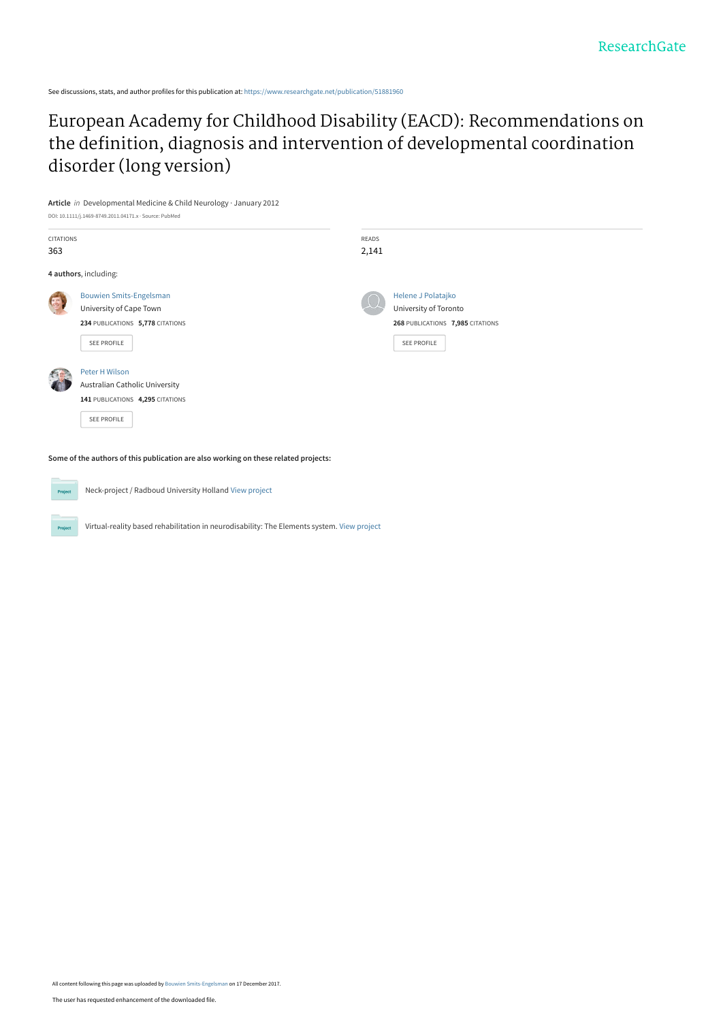See discussions, stats, and author profiles for this publication at: [https://www.researchgate.net/publication/51881960](https://www.researchgate.net/publication/51881960_European_Academy_for_Childhood_Disability_EACD_Recommendations_on_the_definition_diagnosis_and_intervention_of_developmental_coordination_disorder_long_version?enrichId=rgreq-2039c0d459f5ac21faad56a75992a793-XXX&enrichSource=Y292ZXJQYWdlOzUxODgxOTYwO0FTOjU3MjQxNzg2MjYzOTYxNkAxNTEzNDg2NDYxMzk0&el=1_x_2&_esc=publicationCoverPdf)

[European Academy for Childhood Disability \(EACD\): Recommendations on](https://www.researchgate.net/publication/51881960_European_Academy_for_Childhood_Disability_EACD_Recommendations_on_the_definition_diagnosis_and_intervention_of_developmental_coordination_disorder_long_version?enrichId=rgreq-2039c0d459f5ac21faad56a75992a793-XXX&enrichSource=Y292ZXJQYWdlOzUxODgxOTYwO0FTOjU3MjQxNzg2MjYzOTYxNkAxNTEzNDg2NDYxMzk0&el=1_x_3&_esc=publicationCoverPdf) the definition, diagnosis and intervention of developmental coordination disorder (long version)

**Article** in Developmental Medicine & Child Neurology · January 2012 DOI: 10.1111/j.1469-8749.2011.04171.x · Source: PubMed CITATIONS 363 READS 2,141 **4 authors**, including: **Some of the authors of this publication are also working on these related projects:** [Bouwien Smits-Engelsman](https://www.researchgate.net/profile/Bouwien_Smits-Engelsman?enrichId=rgreq-2039c0d459f5ac21faad56a75992a793-XXX&enrichSource=Y292ZXJQYWdlOzUxODgxOTYwO0FTOjU3MjQxNzg2MjYzOTYxNkAxNTEzNDg2NDYxMzk0&el=1_x_5&_esc=publicationCoverPdf) [University of Cape Town](https://www.researchgate.net/institution/University_of_Cape_Town?enrichId=rgreq-2039c0d459f5ac21faad56a75992a793-XXX&enrichSource=Y292ZXJQYWdlOzUxODgxOTYwO0FTOjU3MjQxNzg2MjYzOTYxNkAxNTEzNDg2NDYxMzk0&el=1_x_6&_esc=publicationCoverPdf) **234** PUBLICATIONS **5,778** CITATIONS [SEE PROFILE](https://www.researchgate.net/profile/Bouwien_Smits-Engelsman?enrichId=rgreq-2039c0d459f5ac21faad56a75992a793-XXX&enrichSource=Y292ZXJQYWdlOzUxODgxOTYwO0FTOjU3MjQxNzg2MjYzOTYxNkAxNTEzNDg2NDYxMzk0&el=1_x_7&_esc=publicationCoverPdf) [Helene J Polatajko](https://www.researchgate.net/profile/Helene_Polatajko?enrichId=rgreq-2039c0d459f5ac21faad56a75992a793-XXX&enrichSource=Y292ZXJQYWdlOzUxODgxOTYwO0FTOjU3MjQxNzg2MjYzOTYxNkAxNTEzNDg2NDYxMzk0&el=1_x_5&_esc=publicationCoverPdf) [University of Toronto](https://www.researchgate.net/institution/University_of_Toronto?enrichId=rgreq-2039c0d459f5ac21faad56a75992a793-XXX&enrichSource=Y292ZXJQYWdlOzUxODgxOTYwO0FTOjU3MjQxNzg2MjYzOTYxNkAxNTEzNDg2NDYxMzk0&el=1_x_6&_esc=publicationCoverPdf) **268** PUBLICATIONS **7,985** CITATIONS [SEE PROFILE](https://www.researchgate.net/profile/Helene_Polatajko?enrichId=rgreq-2039c0d459f5ac21faad56a75992a793-XXX&enrichSource=Y292ZXJQYWdlOzUxODgxOTYwO0FTOjU3MjQxNzg2MjYzOTYxNkAxNTEzNDg2NDYxMzk0&el=1_x_7&_esc=publicationCoverPdf) [Peter H Wilson](https://www.researchgate.net/profile/Peter_Wilson19?enrichId=rgreq-2039c0d459f5ac21faad56a75992a793-XXX&enrichSource=Y292ZXJQYWdlOzUxODgxOTYwO0FTOjU3MjQxNzg2MjYzOTYxNkAxNTEzNDg2NDYxMzk0&el=1_x_5&_esc=publicationCoverPdf) [Australian Catholic University](https://www.researchgate.net/institution/Australian_Catholic_University?enrichId=rgreq-2039c0d459f5ac21faad56a75992a793-XXX&enrichSource=Y292ZXJQYWdlOzUxODgxOTYwO0FTOjU3MjQxNzg2MjYzOTYxNkAxNTEzNDg2NDYxMzk0&el=1_x_6&_esc=publicationCoverPdf) **141** PUBLICATIONS **4,295** CITATIONS [SEE PROFILE](https://www.researchgate.net/profile/Peter_Wilson19?enrichId=rgreq-2039c0d459f5ac21faad56a75992a793-XXX&enrichSource=Y292ZXJQYWdlOzUxODgxOTYwO0FTOjU3MjQxNzg2MjYzOTYxNkAxNTEzNDg2NDYxMzk0&el=1_x_7&_esc=publicationCoverPdf)

Neck-project / Radboud University Holland [View project](https://www.researchgate.net/project/Neck-project-Radboud-University-Holland?enrichId=rgreq-2039c0d459f5ac21faad56a75992a793-XXX&enrichSource=Y292ZXJQYWdlOzUxODgxOTYwO0FTOjU3MjQxNzg2MjYzOTYxNkAxNTEzNDg2NDYxMzk0&el=1_x_9&_esc=publicationCoverPdf)

Project

Virtual-reality based rehabilitation in neurodisability: The Elements system. [View project](https://www.researchgate.net/project/Virtual-reality-based-rehabilitation-in-neurodisability-The-Elements-system?enrichId=rgreq-2039c0d459f5ac21faad56a75992a793-XXX&enrichSource=Y292ZXJQYWdlOzUxODgxOTYwO0FTOjU3MjQxNzg2MjYzOTYxNkAxNTEzNDg2NDYxMzk0&el=1_x_9&_esc=publicationCoverPdf)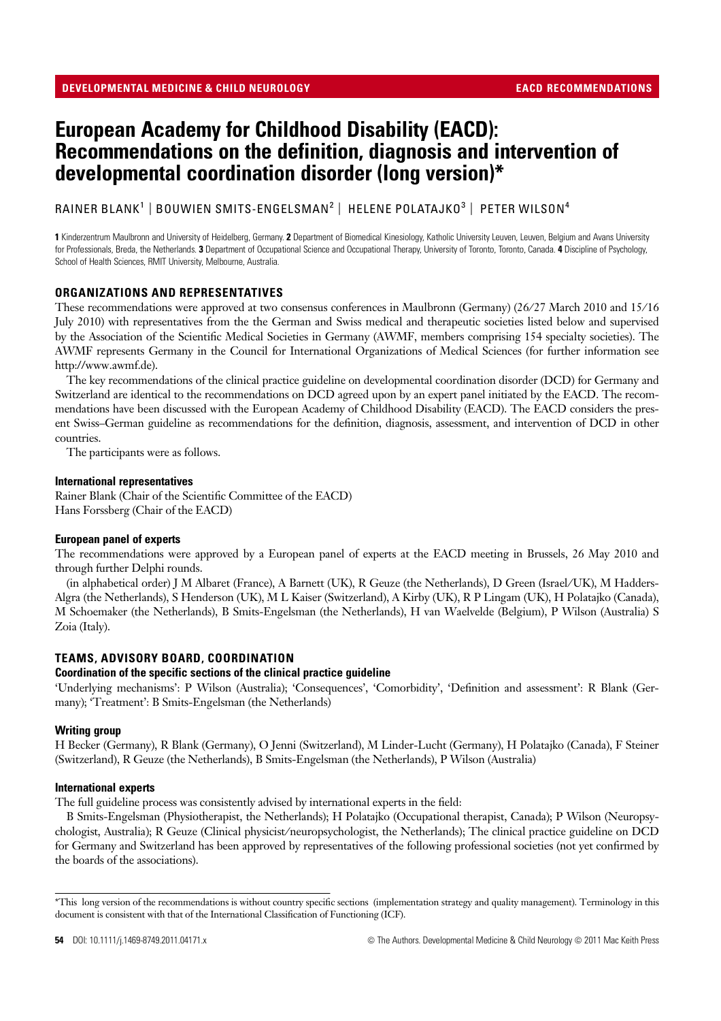# European Academy for Childhood Disability (EACD): Recommendations on the definition, diagnosis and intervention of developmental coordination disorder (long version)\*

 $\,$ RAINER BLANK $\,$   $\,$   $\,$  BOUWIEN SMITS-ENGELSMAN $^2 \,$   $\,$  HELENE POLATAJKO $\,$   $\,$   $\,$  PETER WILSON $\,$ 

1 Kinderzentrum Maulbronn and University of Heidelberg, Germany. 2 Department of Biomedical Kinesiology, Katholic University Leuven, Leuven, Belgium and Avans University for Professionals, Breda, the Netherlands. 3 Department of Occupational Science and Occupational Therapy, University of Toronto, Toronto, Canada. 4 Discipline of Psychology, School of Health Sciences, RMIT University, Melbourne, Australia.

# ORGANIZATIONS AND REPRESENTATIVES

These recommendations were approved at two consensus conferences in Maulbronn (Germany) (26/27 March 2010 and 15/16 July 2010) with representatives from the the German and Swiss medical and therapeutic societies listed below and supervised by the Association of the Scientific Medical Societies in Germany (AWMF, members comprising 154 specialty societies). The AWMF represents Germany in the Council for International Organizations of Medical Sciences (for further information see http://www.awmf.de).

The key recommendations of the clinical practice guideline on developmental coordination disorder (DCD) for Germany and Switzerland are identical to the recommendations on DCD agreed upon by an expert panel initiated by the EACD. The recommendations have been discussed with the European Academy of Childhood Disability (EACD). The EACD considers the present Swiss–German guideline as recommendations for the definition, diagnosis, assessment, and intervention of DCD in other countries.

The participants were as follows.

### International representatives

Rainer Blank (Chair of the Scientific Committee of the EACD) Hans Forssberg (Chair of the EACD)

### European panel of experts

The recommendations were approved by a European panel of experts at the EACD meeting in Brussels, 26 May 2010 and through further Delphi rounds.

(in alphabetical order) J M Albaret (France), A Barnett (UK), R Geuze (the Netherlands), D Green (Israel ⁄UK), M Hadders-Algra (the Netherlands), S Henderson (UK), M L Kaiser (Switzerland), A Kirby (UK), R P Lingam (UK), H Polatajko (Canada), M Schoemaker (the Netherlands), B Smits-Engelsman (the Netherlands), H van Waelvelde (Belgium), P Wilson (Australia) S Zoia (Italy).

# TEAMS, ADVISORY BOARD, COORDINATION

### Coordination of the specific sections of the clinical practice guideline

'Underlying mechanisms': P Wilson (Australia); 'Consequences', 'Comorbidity', 'Definition and assessment': R Blank (Germany); 'Treatment': B Smits-Engelsman (the Netherlands)

### Writing group

H Becker (Germany), R Blank (Germany), O Jenni (Switzerland), M Linder-Lucht (Germany), H Polatajko (Canada), F Steiner (Switzerland), R Geuze (the Netherlands), B Smits-Engelsman (the Netherlands), P Wilson (Australia)

### International experts

The full guideline process was consistently advised by international experts in the field:

B Smits-Engelsman (Physiotherapist, the Netherlands); H Polatajko (Occupational therapist, Canada); P Wilson (Neuropsychologist, Australia); R Geuze (Clinical physicist⁄neuropsychologist, the Netherlands); The clinical practice guideline on DCD for Germany and Switzerland has been approved by representatives of the following professional societies (not yet confirmed by the boards of the associations).

<sup>\*</sup>This long version of the recommendations is without country specific sections (implementation strategy and quality management). Terminology in this document is consistent with that of the International Classification of Functioning (ICF).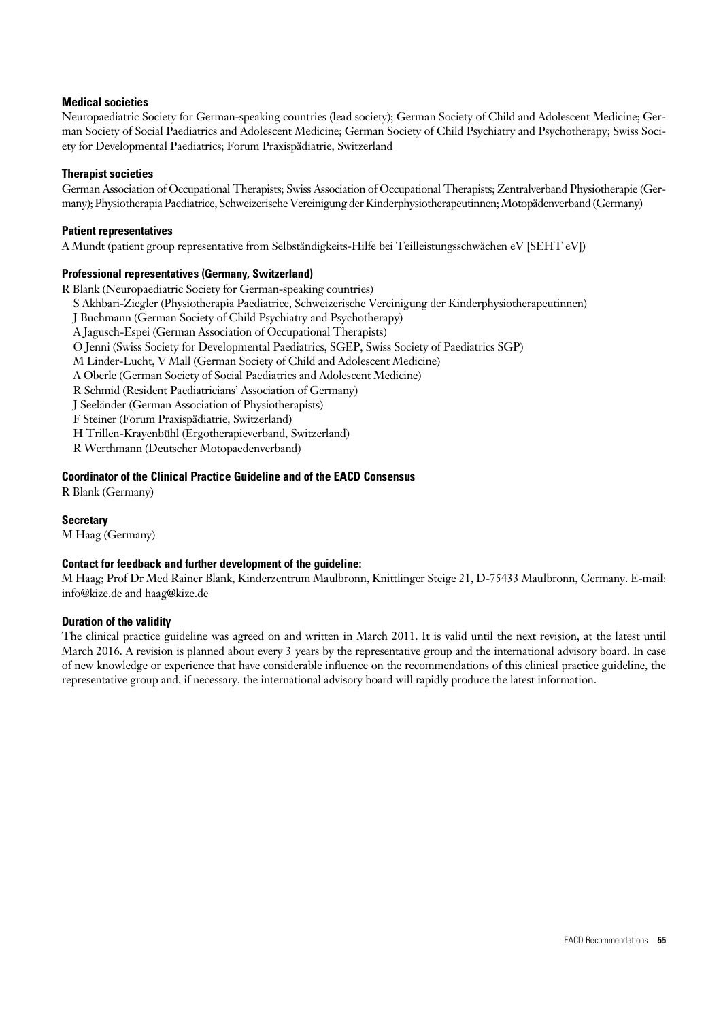# Medical societies

Neuropaediatric Society for German-speaking countries (lead society); German Society of Child and Adolescent Medicine; German Society of Social Paediatrics and Adolescent Medicine; German Society of Child Psychiatry and Psychotherapy; Swiss Society for Developmental Paediatrics; Forum Praxispädiatrie, Switzerland

# Therapist societies

German Association of Occupational Therapists; Swiss Association of Occupational Therapists; Zentralverband Physiotherapie (Germany); Physiotherapia Paediatrice, Schweizerische Vereinigung der Kinderphysiotherapeutinnen; Motopädenverband (Germany)

# Patient representatives

A Mundt (patient group representative from Selbständigkeits-Hilfe bei Teilleistungsschwächen eV [SEHT eV])

# Professional representatives (Germany, Switzerland)

R Blank (Neuropaediatric Society for German-speaking countries) S Akhbari-Ziegler (Physiotherapia Paediatrice, Schweizerische Vereinigung der Kinderphysiotherapeutinnen) J Buchmann (German Society of Child Psychiatry and Psychotherapy) A Jagusch-Espei (German Association of Occupational Therapists) O Jenni (Swiss Society for Developmental Paediatrics, SGEP, Swiss Society of Paediatrics SGP) M Linder-Lucht, V Mall (German Society of Child and Adolescent Medicine) A Oberle (German Society of Social Paediatrics and Adolescent Medicine) R Schmid (Resident Paediatricians' Association of Germany) J Seeländer (German Association of Physiotherapists) F Steiner (Forum Praxispädiatrie, Switzerland) H Trillen-Krayenbühl (Ergotherapieverband, Switzerland) R Werthmann (Deutscher Motopaedenverband)

# Coordinator of the Clinical Practice Guideline and of the EACD Consensus

R Blank (Germany)

# **Secretary**

M Haag (Germany)

# Contact for feedback and further development of the guideline:

M Haag; Prof Dr Med Rainer Blank, Kinderzentrum Maulbronn, Knittlinger Steige 21, D-7543 3 Maulbronn, Germany. E-mail: info@kize.de and haag@kize.de

# Duration of the validity

The clinical practice guideline was agreed on and written in March 2011. It is valid until the next revision, at the latest until March 2016. A revision is planned about every 3 years by the representative group and the international advisory board. In case of new knowledge or experience that have considerable influence on the recommendations of this clinical practice guideline, the representative group and, if necessary, the international advisory board will rapidly produce the latest information.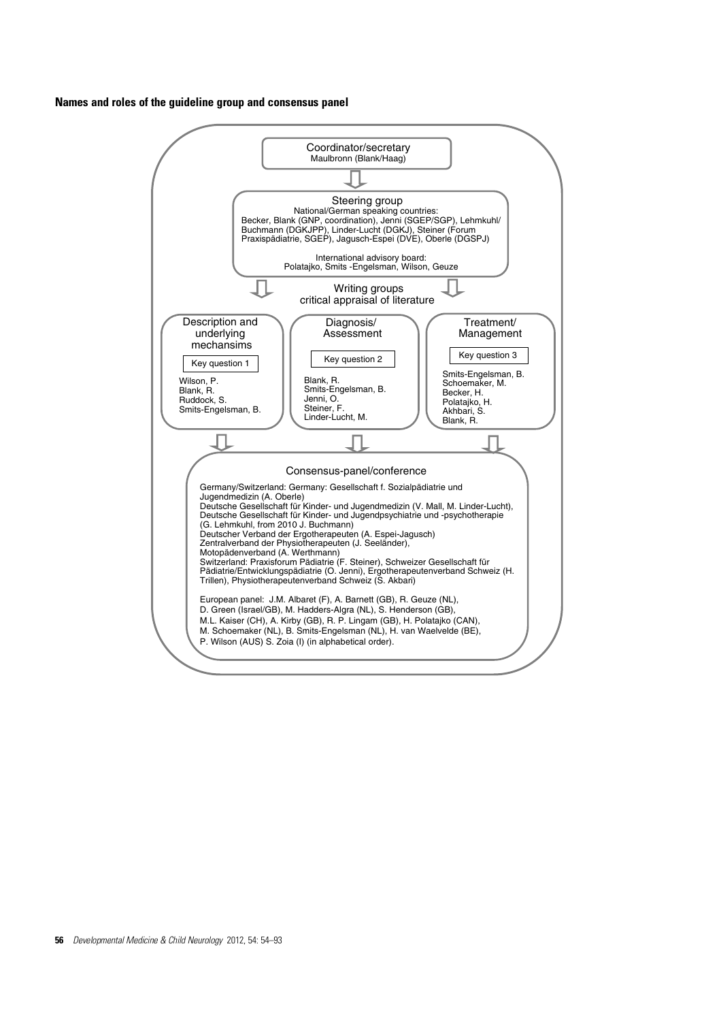# Names and roles of the guideline group and consensus panel

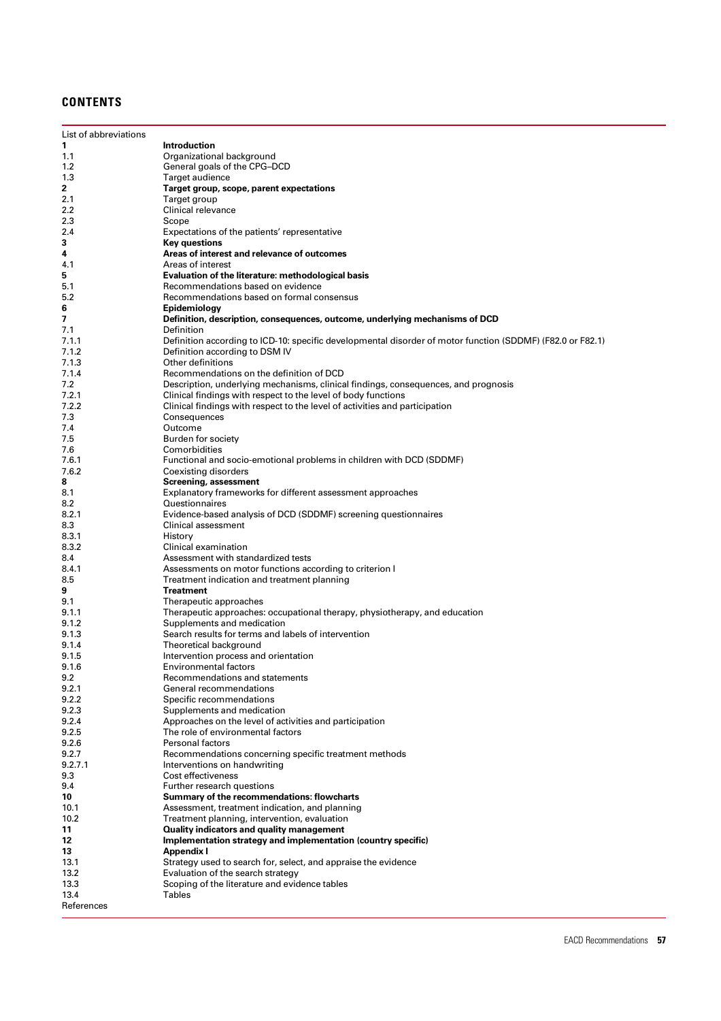# **CONTENTS**

| List of abbreviations |                                                                                                                          |
|-----------------------|--------------------------------------------------------------------------------------------------------------------------|
| 1                     | <b>Introduction</b>                                                                                                      |
| 1.1<br>1.2            | Organizational background<br>General goals of the CPG-DCD                                                                |
| 1.3                   | Target audience                                                                                                          |
| 2                     | Target group, scope, parent expectations                                                                                 |
| 2.1                   | Target group                                                                                                             |
| 2.2                   | Clinical relevance                                                                                                       |
| 2.3                   | Scope                                                                                                                    |
| 2.4                   | Expectations of the patients' representative                                                                             |
| 3                     | <b>Key questions</b>                                                                                                     |
| 4                     | Areas of interest and relevance of outcomes                                                                              |
| 4.1                   | Areas of interest                                                                                                        |
| 5                     | Evaluation of the literature: methodological basis                                                                       |
| 5.1                   | Recommendations based on evidence                                                                                        |
| 5.2                   | Recommendations based on formal consensus                                                                                |
| 6                     | Epidemiology                                                                                                             |
| 7                     | Definition, description, consequences, outcome, underlying mechanisms of DCD                                             |
| 7.1<br>7.1.1          | Definition<br>Definition according to ICD-10: specific developmental disorder of motor function (SDDMF) (F82.0 or F82.1) |
| 7.1.2                 | Definition according to DSM IV                                                                                           |
| 7.1.3                 | Other definitions                                                                                                        |
| 7.1.4                 | Recommendations on the definition of DCD                                                                                 |
| 7.2                   | Description, underlying mechanisms, clinical findings, consequences, and prognosis                                       |
| 7.2.1                 | Clinical findings with respect to the level of body functions                                                            |
| 7.2.2                 | Clinical findings with respect to the level of activities and participation                                              |
| 7.3                   | Consequences                                                                                                             |
| 7.4                   | Outcome                                                                                                                  |
| 7.5                   | Burden for society                                                                                                       |
| 7.6                   | Comorbidities                                                                                                            |
| 7.6.1                 | Functional and socio-emotional problems in children with DCD (SDDMF)                                                     |
| 7.6.2                 | Coexisting disorders                                                                                                     |
| 8                     | Screening, assessment                                                                                                    |
| 8.1                   | Explanatory frameworks for different assessment approaches                                                               |
| 8.2                   | Questionnaires                                                                                                           |
| 8.2.1                 | Evidence-based analysis of DCD (SDDMF) screening questionnaires                                                          |
| 8.3                   | Clinical assessment                                                                                                      |
| 8.3.1<br>8.3.2        | History<br>Clinical examination                                                                                          |
| 8.4                   | Assessment with standardized tests                                                                                       |
| 8.4.1                 | Assessments on motor functions according to criterion I                                                                  |
| 8.5                   | Treatment indication and treatment planning                                                                              |
| 9                     | <b>Treatment</b>                                                                                                         |
| 9.1                   | Therapeutic approaches                                                                                                   |
| 9.1.1                 | Therapeutic approaches: occupational therapy, physiotherapy, and education                                               |
| 9.1.2                 | Supplements and medication                                                                                               |
| 9.1.3                 | Search results for terms and labels of intervention                                                                      |
| 9.1.4                 | Theoretical background                                                                                                   |
| 9.1.5                 | Intervention process and orientation                                                                                     |
| 9.1.6                 | <b>Environmental factors</b>                                                                                             |
| 9.2                   | Recommendations and statements                                                                                           |
| 9.2.1                 | General recommendations                                                                                                  |
| 9.2.2                 | Specific recommendations                                                                                                 |
| 9.2.3                 | Supplements and medication                                                                                               |
| 9.2.4                 | Approaches on the level of activities and participation<br>The role of environmental factors                             |
| 9.2.5<br>9.2.6        | Personal factors                                                                                                         |
| 9.2.7                 | Recommendations concerning specific treatment methods                                                                    |
| 9.2.7.1               | Interventions on handwriting                                                                                             |
| 9.3                   | Cost effectiveness                                                                                                       |
| 9.4                   | Further research questions                                                                                               |
| 10                    | Summary of the recommendations: flowcharts                                                                               |
| 10.1                  | Assessment, treatment indication, and planning                                                                           |
| 10.2                  | Treatment planning, intervention, evaluation                                                                             |
| 11                    | Quality indicators and quality management                                                                                |
| 12                    | Implementation strategy and implementation (country specific)                                                            |
| 13                    | Appendix I                                                                                                               |
| 13.1                  | Strategy used to search for, select, and appraise the evidence                                                           |
| 13.2                  | Evaluation of the search strategy                                                                                        |
| 13.3                  | Scoping of the literature and evidence tables                                                                            |
| 13.4                  | Tables                                                                                                                   |
| References            |                                                                                                                          |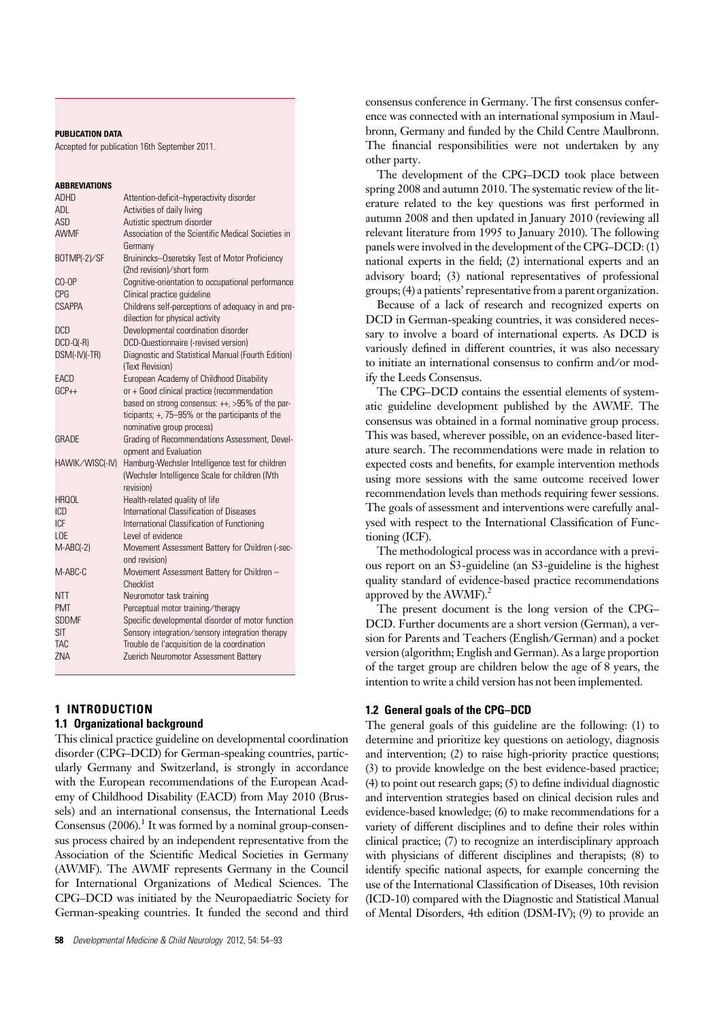### PUBLICATION DATA

Accepted for publication 16th September 2011.

### **ABBREVIATIONS**

| <b>ADHD</b>     | Attention-deficit-hyperactivity disorder                                                                        |
|-----------------|-----------------------------------------------------------------------------------------------------------------|
| ADL             | Activities of daily living                                                                                      |
| ASD             | Autistic spectrum disorder                                                                                      |
| <b>AWMF</b>     | Association of the Scientific Medical Societies in<br>Germany                                                   |
| BOTMP(-2)/SF    | Bruinincks-Oseretsky Test of Motor Proficiency<br>(2nd revision)/short form                                     |
| $CO-OP$         | Cognitive-orientation to occupational performance                                                               |
| <b>CPG</b>      | Clinical practice guideline                                                                                     |
| <b>CSAPPA</b>   | Childrens self-perceptions of adequacy in and pre-<br>dilection for physical activity                           |
| <b>DCD</b>      | Developmental coordination disorder                                                                             |
| $DCD-O(-R)$     | DCD-Questionnaire (-revised version)                                                                            |
| DSM(-IV)(-TR)   | Diagnostic and Statistical Manual (Fourth Edition)<br>(Text Revision)                                           |
| EACD            | European Academy of Childhood Disability                                                                        |
| $GCP++$         | or + Good clinical practice (recommendation                                                                     |
|                 | based on strong consensus: ++, >95% of the par-<br>ticipants; $+$ , 75-95% or the participants of the           |
|                 | nominative group process)                                                                                       |
| GRADE           | Grading of Recommendations Assessment, Devel-<br>opment and Evaluation                                          |
| HAWIK/WISC(-IV) | Hamburg-Wechsler Intelligence test for children<br>(Wechsler Intelligence Scale for children (IVth<br>revision) |
| <b>HROOL</b>    | Health-related quality of life                                                                                  |
| <b>ICD</b>      | International Classification of Diseases                                                                        |
| <b>ICF</b>      | International Classification of Functioning                                                                     |
| L <sub>OE</sub> | Level of evidence                                                                                               |
| $M-ABC(-2)$     | Movement Assessment Battery for Children (-sec-<br>ond revision)                                                |
| M-ABC-C         | Movement Assessment Battery for Children -<br>Checklist                                                         |
| <b>NTT</b>      | Neuromotor task training                                                                                        |
| <b>PMT</b>      | Perceptual motor training/therapy                                                                               |
| <b>SDDMF</b>    | Specific developmental disorder of motor function                                                               |
| <b>SIT</b>      | Sensory integration/sensory integration therapy                                                                 |
| <b>TAC</b>      | Trouble de l'acquisition de la coordination                                                                     |
| <b>ZNA</b>      | Zuerich Neuromotor Assessment Battery                                                                           |

# 1 INTRODUCTION

# 1.1 Organizational background

This clinical practice guideline on developmental coordination disorder (CPG–DCD) for German-speaking countries, particularly Germany and Switzerland, is strongly in accordance with the European recommendations of the European Academy of Childhood Disability (EACD) from May 2010 (Brussels) and an international consensus, the International Leeds Consensus (2006). 1 It was formed by a nominal group-consensus process chaired by an independent representative from the Association of the Scientific Medical Societies in Germany (AWMF). The AWMF represents Germany in the Council for International Organizations of Medical Sciences. The CPG–DCD was initiated by the Neuropaediatric Society for German-speaking countries. It funded the second and third consensus conference in Germany. The first consensus conference was connected with an international symposium in Maulbronn, Germany and funded by the Child Centre Maulbronn. The financial responsibilities were not undertaken by any other party.

The development of the CPG–DCD took place between spring 2008 and autumn 2010. The systematic review of the literature related to the key questions was first performed in autumn 2008 and then updated in January 2010 (reviewing all relevant literature from 1995 to January 2010). The following panels were involved in the development of the CPG–DCD: (1) national experts in the field; (2) international experts and an advisory board; (3) national representatives of professional groups;(4) a patients'representative from a parent organization.

Because of a lack of research and recognized experts on DCD in German-speaking countries, it was considered necessary to involve a board of international experts. As DCD is variously defined in different countries, it was also necessary to initiate an international consensus to confirm and⁄ or modify the Leeds Consensus.

The CPG–DCD contains the essential elements of systematic guideline development published by the AWMF. The consensus was obtained in a formal nominative group process. This was based, wherever possible, on an evidence-based literature search. The recommendations were made in relation to expected costs and benefits, for example intervention methods using more sessions with the same outcome received lower recommendation levels than methods requiring fewer sessions. The goals of assessment and interventions were carefully analysed with respect to the International Classification of Functioning (ICF).

The methodological process was in accordance with a previous report on an S3-guideline (an S3-guideline is the highest quality standard of evidence-based practice recommendations approved by the AWMF).<sup>2</sup>

The present document is the long version of the CPG– DCD. Further documents are a short version (German), a version for Parents and Teachers (English⁄ German) and a pocket version (algorithm;English and German). As a large proportion of the target group are children below the age of 8 years, the intention to write a child version has not been implemented.

### 1.2 General goals of the CPG–DCD

The general goals of this guideline are the following: (1) to determine and prioritize key questions on aetiology, diagnosis and intervention; (2) to raise high-priority practice questions; (3) to provide knowledge on the best evidence-based practice; (4) to point out research gaps; (5) to define individual diagnostic and intervention strategies based on clinical decision rules and evidence-based knowledge; (6) to make recommendations for a variety of different disciplines and to define their roles within clinical practice; (7) to recognize an interdisciplinary approach with physicians of different disciplines and therapists; (8) to identify specific national aspects, for example concerning the use of the International Classification of Diseases, 10th revision (ICD-10) compared with the Diagnostic and Statistical Manual of Mental Disorders, 4th edition (DSM-IV); (9) to provide an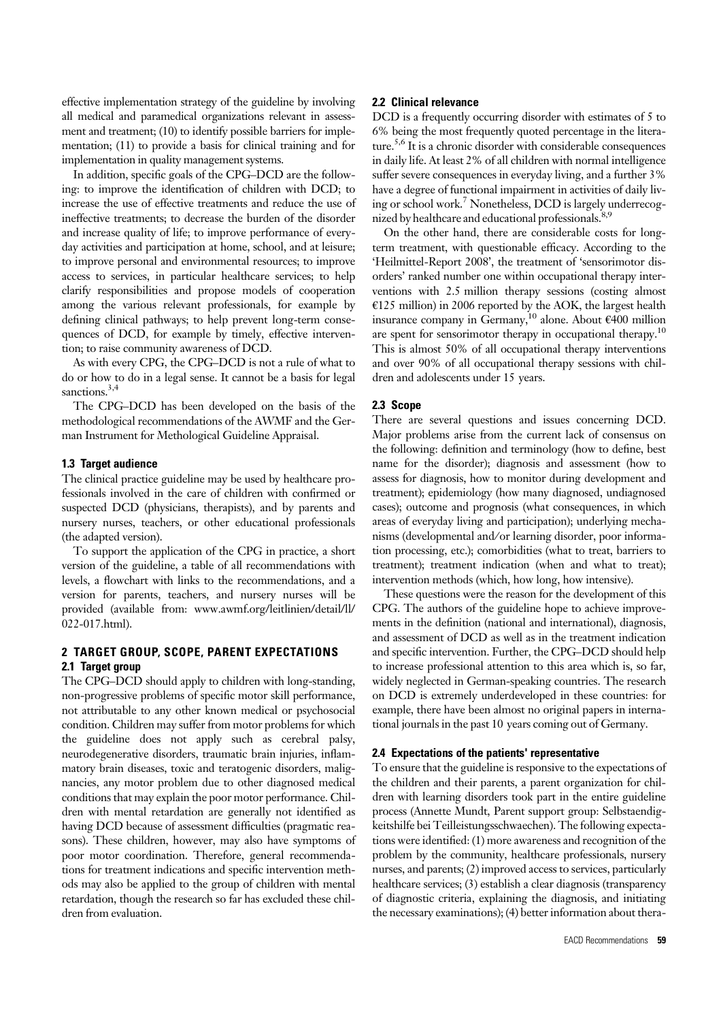effective implementation strategy of the guideline by involving all medical and paramedical organizations relevant in assessment and treatment; (10) to identify possible barriers for implementation; (11) to provide a basis for clinical training and for implementation in quality management systems.

In addition, specific goals of the CPG–DCD are the following: to improve the identification of children with DCD; to increase the use of effective treatments and reduce the use of ineffective treatments; to decrease the burden of the disorder and increase quality of life; to improve performance of everyday activities and participation at home, school, and at leisure; to improve personal and environmental resources; to improve access to services, in particular healthcare services; to help clarify responsibilities and propose models of cooperation among the various relevant professionals, for example by defining clinical pathways; to help prevent long-term consequences of DCD, for example by timely, effective intervention; to raise community awareness of DCD.

As with every CPG, the CPG–DCD is not a rule of what to do or how to do in a legal sense. It cannot be a basis for legal sanctions.<sup>3,4</sup>

The CPG–DCD has been developed on the basis of the methodological recommendations of the AWMF and the German Instrument for Methological Guideline Appraisal.

### 1.3 Target audience

The clinical practice guideline may be used by healthcare professionals involved in the care of children with confirmed or suspected DCD (physicians, therapists), and by parents and nursery nurses, teachers, or other educational professionals (the adapted version).

To support the application of the CPG in practice, a short version of the guideline, a table of all recommendations with levels, a flowchart with links to the recommendations, and a version for parents, teachers, and nursery nurses will be provided (available from: www.awmf.org/leitlinien/detail/ll/ 022-017.html).

# 2 TARGET GROUP, SCOPE, PARENT EXPECTATIONS 2.1 Target group

The CPG–DCD should apply to children with long-standing, non-progressive problems of specific motor skill performance, not attributable to any other known medical or psychosocial condition. Children may suffer from motor problems for which the guideline does not apply such as cerebral palsy, neurodegenerative disorders, traumatic brain injuries, inflammatory brain diseases, toxic and teratogenic disorders, malignancies, any motor problem due to other diagnosed medical conditions that may explain the poor motor performance. Children with mental retardation are generally not identified as having DCD because of assessment difficulties (pragmatic reasons). These children, however, may also have symptoms of poor motor coordination. Therefore, general recommendations for treatment indications and specific intervention methods may also be applied to the group of children with mental retardation, though the research so far has excluded these children from evaluation.

# 2.2 Clinical relevance

DCD is a frequently occurring disorder with estimates of 5 to 6% being the most frequently quoted percentage in the literature. 5,6 It is a chronic disorder with considerable consequences in daily life. At least 2% of all children with normal intelligence suffer severe consequences in everyday living, and a further 3 % have a degree of functional impairment in activities of daily living or school work. <sup>7</sup> Nonetheless, DCD is largely underrecognized by healthcare and educational professionals.<sup>8,9</sup>

On the other hand, there are considerable costs for longterm treatment, with questionable efficacy. According to the 'Heilmittel-Report 2008', the treatment of 'sensorimotor disorders' ranked number one within occupational therapy interventions with 2.5 million therapy sessions (costing almost €125 million) in 2006 reported by the AOK, the largest health insurance company in Germany, 10 alone. About €400 million are spent for sensorimotor therapy in occupational therapy.<sup>10</sup> This is almost 50% of all occupational therapy interventions and over 90% of all occupational therapy sessions with children and adolescents under 15 years.

# 2.3 Scope

There are several questions and issues concerning DCD. Major problems arise from the current lack of consensus on the following: definition and terminology (how to define, best name for the disorder); diagnosis and assessment (how to assess for diagnosis, how to monitor during development and treatment); epidemiology (how many diagnosed, undiagnosed cases); outcome and prognosis (what consequences, in which areas of everyday living and participation); underlying mechanisms (developmental and⁄or learning disorder, poor information processing, etc.); comorbidities (what to treat, barriers to treatment); treatment indication (when and what to treat); intervention methods (which, how long, how intensive).

These questions were the reason for the development of this CPG. The authors of the guideline hope to achieve improvements in the definition (national and international), diagnosis, and assessment of DCD as well as in the treatment indication and specific intervention. Further, the CPG–DCD should help to increase professional attention to this area which is, so far, widely neglected in German-speaking countries. The research on DCD is extremely underdeveloped in these countries: for example, there have been almost no original papers in international journalsin the past 10 years coming out of Germany.

# 2.4 Expectations of the patients' representative

To ensure that the guideline is responsive to the expectations of the children and their parents, a parent organization for children with learning disorders took part in the entire guideline process (Annette Mundt, Parent support group: Selbstaendigkeitshilfe bei Teilleistungsschwaechen). The following expectations were identified: (1) more awareness and recognition of the problem by the community, healthcare professionals, nursery nurses, and parents; (2) improved access to services, particularly healthcare services; (3) establish a clear diagnosis (transparency of diagnostic criteria, explaining the diagnosis, and initiating the necessary examinations); (4) better information about thera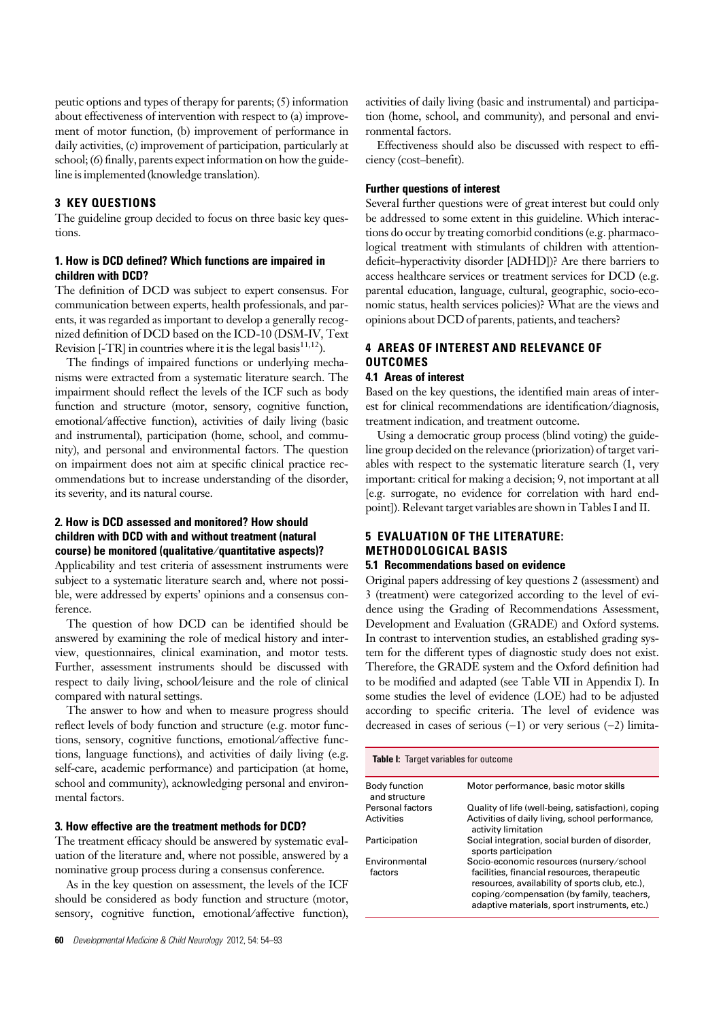peutic options and types of therapy for parents; (5) information about effectiveness of intervention with respect to (a) improvement of motor function, (b) improvement of performance in daily activities, (c) improvement of participation, particularly at school; (6) finally, parents expect information on how the guideline isimplemented (knowledge translation).

### **3 KEY QUESTIONS**

The guideline group decided to focus on three basic key questions.

# 1. How is DCD defined? Which functions are impaired in children with DCD?

The definition of DCD was subject to expert consensus. For communication between experts, health professionals, and parents, it was regarded as important to develop a generally recognized definition of DCD based on the ICD-10 (DSM-IV, Text Revision [-TR] in countries where it is the legal basis $11,12$ ).

The findings of impaired functions or underlying mechanisms were extracted from a systematic literature search. The impairment should reflect the levels of the ICF such as body function and structure (motor, sensory, cognitive function, emotional⁄ affective function), activities of daily living (basic and instrumental), participation (home, school, and community), and personal and environmental factors. The question on impairment does not aim at specific clinical practice recommendations but to increase understanding of the disorder, its severity, and its natural course.

# 2. How is DCD assessed and monitored? How should children with DCD with and without treatment (natural course) be monitored (qualitative ⁄ quantitative aspects)?

Applicability and test criteria of assessment instruments were subject to a systematic literature search and, where not possible, were addressed by experts' opinions and a consensus conference.

The question of how DCD can be identified should be answered by examining the role of medical history and interview, questionnaires, clinical examination, and motor tests. Further, assessment instruments should be discussed with respect to daily living, school⁄leisure and the role of clinical compared with natural settings.

The answer to how and when to measure progress should reflect levels of body function and structure (e.g. motor functions, sensory, cognitive functions, emotional/affective functions, language functions), and activities of daily living (e.g. self-care, academic performance) and participation (at home, school and community), acknowledging personal and environmental factors.

# 3. How effective are the treatment methods for DCD?

The treatment efficacy should be answered by systematic evaluation of the literature and, where not possible, answered by a nominative group process during a consensus conference.

As in the key question on assessment, the levels of the ICF should be considered as body function and structure (motor, sensory, cognitive function, emotional/affective function), activities of daily living (basic and instrumental) and participation (home, school, and community), and personal and environmental factors.

Effectiveness should also be discussed with respect to efficiency (cost–benefit).

### Further questions of interest

Several further questions were of great interest but could only be addressed to some extent in this guideline. Which interactions do occur by treating comorbid conditions (e.g. pharmacological treatment with stimulants of children with attentiondeficit–hyperactivity disorder [ADHD])? Are there barriers to access healthcare services or treatment services for DCD (e.g. parental education, language, cultural, geographic, socio-economic status, health services policies)? What are the views and opinions about DCD of parents, patients, and teachers?

# 4 AREAS OF INTEREST AND RELEVANCE OF **OUTCOMES**

# 4.1 Areas of interest

Based on the key questions, the identified main areas of interest for clinical recommendations are identification⁄diagnosis, treatment indication, and treatment outcome.

Using a democratic group process (blind voting) the guideline group decided on the relevance (priorization) of target variables with respect to the systematic literature search (1, very important: critical for making a decision; 9, not important at all [e.g. surrogate, no evidence for correlation with hard endpoint]). Relevant target variables are shown in Tables I and II.

# **5 EVALUATION OF THE LITERATURE: METHODOLOGICAL BASIS**

# 5.1 Recommendations based on evidence

Original papers addressing of key questions 2 (assessment) and 3 (treatment) were categorized according to the level of evidence using the Grading of Recommendations Assessment, Development and Evaluation (GRADE) and Oxford systems. In contrast to intervention studies, an established grading system for the different types of diagnostic study does not exist. Therefore, the GRADE system and the Oxford definition had to be modified and adapted (see Table VII in Appendix I). In some studies the level of evidence (LOE) had to be adjusted according to specific criteria. The level of evidence was decreased in cases of serious  $(-1)$  or very serious  $(-2)$  limita-

| <b>Table I:</b> Target variables for outcome |                                                                                                                                                                                                                                         |  |  |
|----------------------------------------------|-----------------------------------------------------------------------------------------------------------------------------------------------------------------------------------------------------------------------------------------|--|--|
| Body function<br>and structure               | Motor performance, basic motor skills                                                                                                                                                                                                   |  |  |
| Personal factors                             | Quality of life (well-being, satisfaction), coping                                                                                                                                                                                      |  |  |
| Activities                                   | Activities of daily living, school performance,<br>activity limitation                                                                                                                                                                  |  |  |
| Participation                                | Social integration, social burden of disorder,<br>sports participation                                                                                                                                                                  |  |  |
| <b>Environmental</b><br>factors              | Socio-economic resources (nursery/school<br>facilities, financial resources, therapeutic<br>resources, availability of sports club, etc.),<br>coping/compensation (by family, teachers,<br>adaptive materials, sport instruments, etc.) |  |  |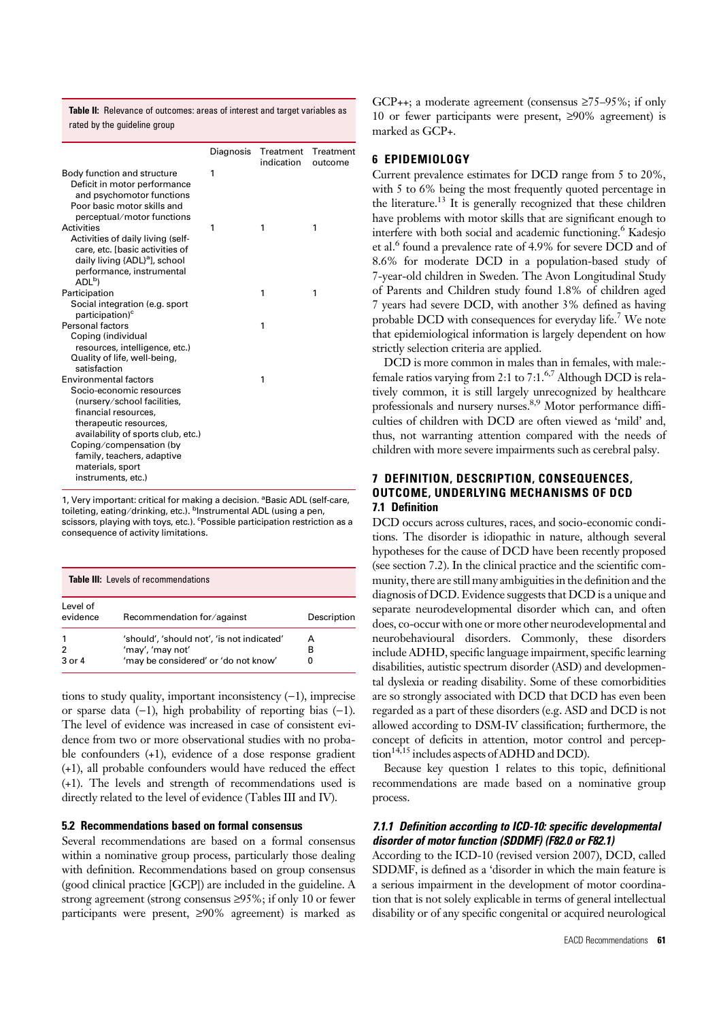Table II: Relevance of outcomes: areas of interest and target variables as rated by the guideline group

|                                                                                                                                                                                                                              | Diagnosis | Treatment<br>indication | Treatment<br>outcome |
|------------------------------------------------------------------------------------------------------------------------------------------------------------------------------------------------------------------------------|-----------|-------------------------|----------------------|
| Body function and structure<br>Deficit in motor performance<br>and psychomotor functions<br>Poor basic motor skills and<br>perceptual/motor functions                                                                        | 1         |                         |                      |
| Activities                                                                                                                                                                                                                   | 1         | 1                       | 1                    |
| Activities of daily living (self-<br>care, etc. [basic activities of<br>daily living {ADL} <sup>a</sup> ], school<br>performance, instrumental<br>ADL <sup>b</sup>                                                           |           |                         |                      |
| Participation                                                                                                                                                                                                                |           | 1                       | 1                    |
| Social integration (e.g. sport<br>participation) <sup>c</sup>                                                                                                                                                                |           |                         |                      |
| Personal factors                                                                                                                                                                                                             |           | 1                       |                      |
| Coping (individual<br>resources, intelligence, etc.)<br>Quality of life, well-being,<br>satisfaction                                                                                                                         |           |                         |                      |
| <b>Environmental factors</b>                                                                                                                                                                                                 |           | 1                       |                      |
| Socio-economic resources<br>(nursery/school facilities,<br>financial resources.<br>therapeutic resources,<br>availability of sports club, etc.)<br>Coping/compensation (by<br>family, teachers, adaptive<br>materials, sport |           |                         |                      |
| instruments, etc.)                                                                                                                                                                                                           |           |                         |                      |

1, Very important: critical for making a decision. <sup>a</sup>Basic ADL (self-care, toileting, eating/drinking, etc.). <sup>b</sup>Instrumental ADL (using a pen, scissors, playing with toys, etc.). <sup>c</sup>Possible participation restriction as a consequence of activity limitations.

| <b>Table III:</b> Levels of recommendations |                                                                                                        |             |  |  |
|---------------------------------------------|--------------------------------------------------------------------------------------------------------|-------------|--|--|
| Level of<br>evidence                        | Recommendation for/against                                                                             | Description |  |  |
| 2<br>$3$ or $4$                             | 'should', 'should not', 'is not indicated'<br>'may', 'may not'<br>'may be considered' or 'do not know' | А<br>в      |  |  |

tions to study quality, important inconsistency  $(-1)$ , imprecise or sparse data  $(-1)$ , high probability of reporting bias  $(-1)$ . The level of evidence was increased in case of consistent evidence from two or more observational studies with no probable confounders (+1), evidence of a dose response gradient (+1), all probable confounders would have reduced the effect (+1). The levels and strength of recommendations used is directly related to the level of evidence (Tables III and IV).

### 5.2 Recommendations based on formal consensus

Several recommendations are based on a formal consensus within a nominative group process, particularly those dealing with definition. Recommendations based on group consensus (good clinical practice [GCP]) are included in the guideline. A strong agreement (strong consensus  $\geq 95\%$ ; if only 10 or fewer participants were present,  $\geq 90\%$  agreement) is marked as GCP++; a moderate agreement (consensus  $\geq 75-95\%$ ; if only 10 or fewer participants were present,  $\geq 90\%$  agreement) is marked as GCP+.

### 6 EPIDEMIOLOGY

Current prevalence estimates for DCD range from 5 to 20% , with 5 to 6% being the most frequently quoted percentage in the literature.<sup>13</sup> It is generally recognized that these children have problems with motor skills that are significant enough to interfere with both social and academic functioning. <sup>6</sup> Kadesjo et al. 6 found a prevalence rate of 4.9% for severe DCD and of 8 .6% for moderate DCD in a population-based study of 7-year-old children in Sweden. The Avon Longitudinal Study of Parents and Children study found 1.8% of children aged 7 years had severe DCD, with another 3 % defined as having probable DCD with consequences for everyday life.<sup>7</sup> We note that epidemiological information is largely dependent on how strictly selection criteria are applied.

DCD is more common in males than in females, with male: female ratios varying from 2:1 to 7:1.<sup>6,7</sup> Although DCD is relatively common, it is still largely unrecognized by healthcare professionals and nursery nurses.<sup>8,9</sup> Motor performance difficulties of children with DCD are often viewed as 'mild' and, thus, not warranting attention compared with the needs of children with more severe impairments such as cerebral palsy.

# 7 DEFINITION, DESCRIPTION, CONSEQUENCES, OUTCOME, UNDERLYING MECHANISMS OF DCD 7.1 Definition

DCD occurs across cultures, races, and socio-economic conditions. The disorder is idiopathic in nature, although several hypotheses for the cause of DCD have been recently proposed (see section 7.2). In the clinical practice and the scientific community, there are still many ambiguities in the definition and the diagnosis of DCD. Evidence suggests that DCD is a unique and separate neurodevelopmental disorder which can, and often does, co-occur with one or more other neurodevelopmental and neurobehavioural disorders. Commonly, these disorders include ADHD, specific language impairment, specific learning disabilities, autistic spectrum disorder (ASD) and developmental dyslexia or reading disability. Some of these comorbidities are so strongly associated with DCD that DCD has even been regarded as a part of these disorders (e.g. ASD and DCD is not allowed according to DSM-IV classification; furthermore, the concept of deficits in attention, motor control and perception<sup>14,15</sup> includes aspects of ADHD and DCD).

Because key question 1 relates to this topic, definitional recommendations are made based on a nominative group process.

# 7.1.1 Definition according to ICD-10: specific developmental disorder of motor function (SDDMF) (F82.0 or F82.1)

According to the ICD-10 (revised version 2007), DCD, called SDDMF, is defined as a 'disorder in which the main feature is a serious impairment in the development of motor coordination that is not solely explicable in terms of general intellectual disability or of any specific congenital or acquired neurological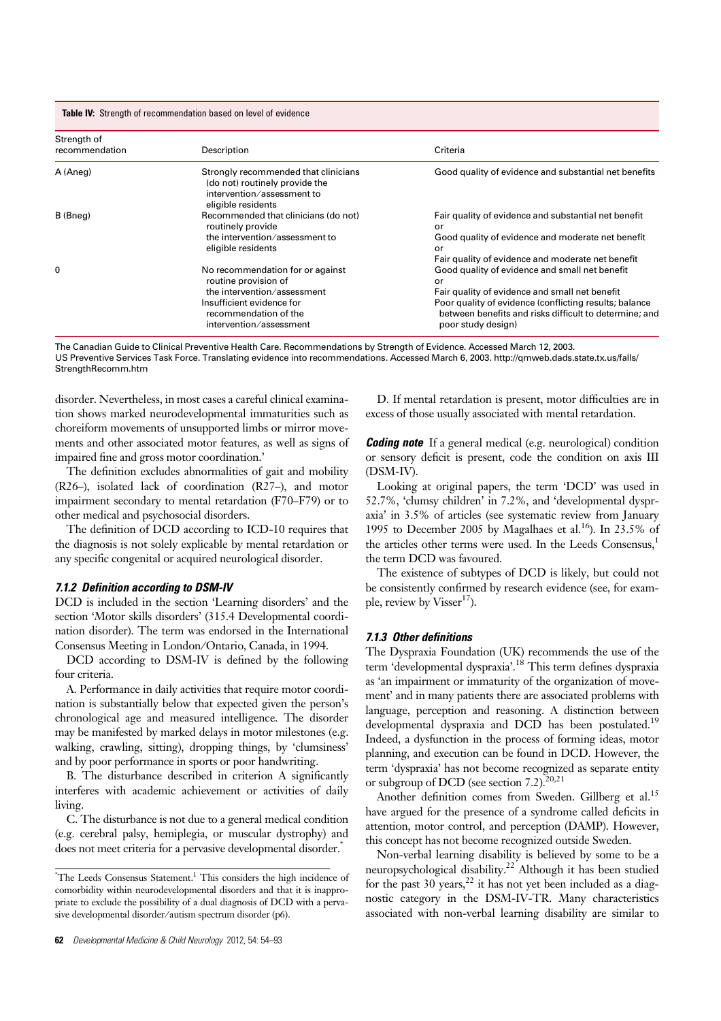Table IV: Strength of recommendation based on level of evidence

| Strength of<br>recommendation | Description                                                                                                                                                              | Criteria                                                                                                                                                                                                                                         |  |
|-------------------------------|--------------------------------------------------------------------------------------------------------------------------------------------------------------------------|--------------------------------------------------------------------------------------------------------------------------------------------------------------------------------------------------------------------------------------------------|--|
| A (Aneg)                      | Strongly recommended that clinicians<br>(do not) routinely provide the<br>intervention/assessment to<br>eligible residents                                               | Good quality of evidence and substantial net benefits                                                                                                                                                                                            |  |
| B (Bneg)                      | Recommended that clinicians (do not)<br>routinely provide<br>the intervention/assessment to<br>eligible residents                                                        | Fair quality of evidence and substantial net benefit<br>or<br>Good quality of evidence and moderate net benefit<br>or<br>Fair quality of evidence and moderate net benefit                                                                       |  |
| 0                             | No recommendation for or against<br>routine provision of<br>the intervention/assessment<br>Insufficient evidence for<br>recommendation of the<br>intervention/assessment | Good quality of evidence and small net benefit<br>or<br>Fair quality of evidence and small net benefit<br>Poor quality of evidence (conflicting results; balance<br>between benefits and risks difficult to determine; and<br>poor study design) |  |

The Canadian Guide to Clinical Preventive Health Care. Recommendations by Strength of Evidence. Accessed March 12, 2003. U S Preventive Services Task Force. Translating evidence into recommendations. Accessed March 6, 2003. http://qmweb.dads.state.tx.us/falls/ StrengthRecomm.htm

disorder. Nevertheless, in most cases a careful clinical examination shows marked neurodevelopmental immaturities such as choreiform movements of unsupported limbs or mirror movements and other associated motor features, as well as signs of impaired fine and gross motor coordination.'

The definition excludes abnormalities of gait and mobility (R26–), isolated lack of coordination (R27–), and motor impairment secondary to mental retardation (F70–F79) or to other medical and psychosocial disorders.

The definition of DCD according to ICD-10 requires that the diagnosis is not solely explicable by mental retardation or any specific congenital or acquired neurological disorder.

### 7.1.2 Definition according to DSM-IV

DCD is included in the section 'Learning disorders' and the section 'Motor skills disorders' (3 15.4 Developmental coordination disorder). The term was endorsed in the International Consensus Meeting in London⁄Ontario, Canada, in 1994.

DCD according to DSM-IV is defined by the following four criteria.

A. Performance in daily activities that require motor coordination is substantially below that expected given the person's chronological age and measured intelligence. The disorder may be manifested by marked delays in motor milestones (e.g. walking, crawling, sitting), dropping things, by 'clumsiness' and by poor performance in sports or poor handwriting.

B. The disturbance described in criterion A significantly interferes with academic achievement or activities of daily living.

C. The disturbance is not due to a general medical condition (e.g. cerebral palsy, hemiplegia, or muscular dystrophy) and does not meet criteria for a pervasive developmental disorder.<sup>\*</sup>

D. If mental retardation is present, motor difficulties are in excess of those usually associated with mental retardation.

**Coding note** If a general medical (e.g. neurological) condition or sensory deficit is present, code the condition on axis III (DSM-IV).

Looking at original papers, the term 'DCD' was used in 52.7% , 'clumsy children' in 7.2% , and 'developmental dyspraxia' in 3 .5% of articles (see systematic review from January 1995 to December 2005 by Magalhaes et al.<sup>16</sup>). In 23.5% of the articles other terms were used. In the Leeds Consensus, 1 the term DCD was favoured.

The existence of subtypes of DCD is likely, but could not be consistently confirmed by research evidence (see, for example, review by Visser<sup>17</sup>).

### 7.1.3 Other definitions

The Dyspraxia Foundation (UK) recommends the use of the term 'developmental dyspraxia'.<sup>18</sup> This term defines dyspraxia as 'an impairment or immaturity of the organization of movement' and in many patients there are associated problems with language, perception and reasoning. A distinction between developmental dyspraxia and DCD has been postulated.<sup>19</sup> Indeed, a dysfunction in the process of forming ideas, motor planning, and execution can be found in DCD. However, the term 'dyspraxia' has not become recognized as separate entity or subgroup of DCD (see section 7.2).<sup>20,21</sup>

Another definition comes from Sweden. Gillberg et al.<sup>15</sup> have argued for the presence of a syndrome called deficits in attention, motor control, and perception (DAMP). However, this concept has not become recognized outside Sweden.

Non-verbal learning disability is believed by some to be a neuropsychological disability.<sup>22</sup> Although it has been studied for the past 30 years, $^{22}$  it has not yet been included as a diagnostic category in the DSM-IV-TR. Many characteristics associated with non-verbal learning disability are similar to

<sup>\*</sup>The Leeds Consensus Statement. <sup>1</sup> This considers the high incidence of comorbidity within neurodevelopmental disorders and that it is inappropriate to exclude the possibility of a dual diagnosis of DCD with a pervasive developmental disorder⁄ autism spectrum disorder (p6).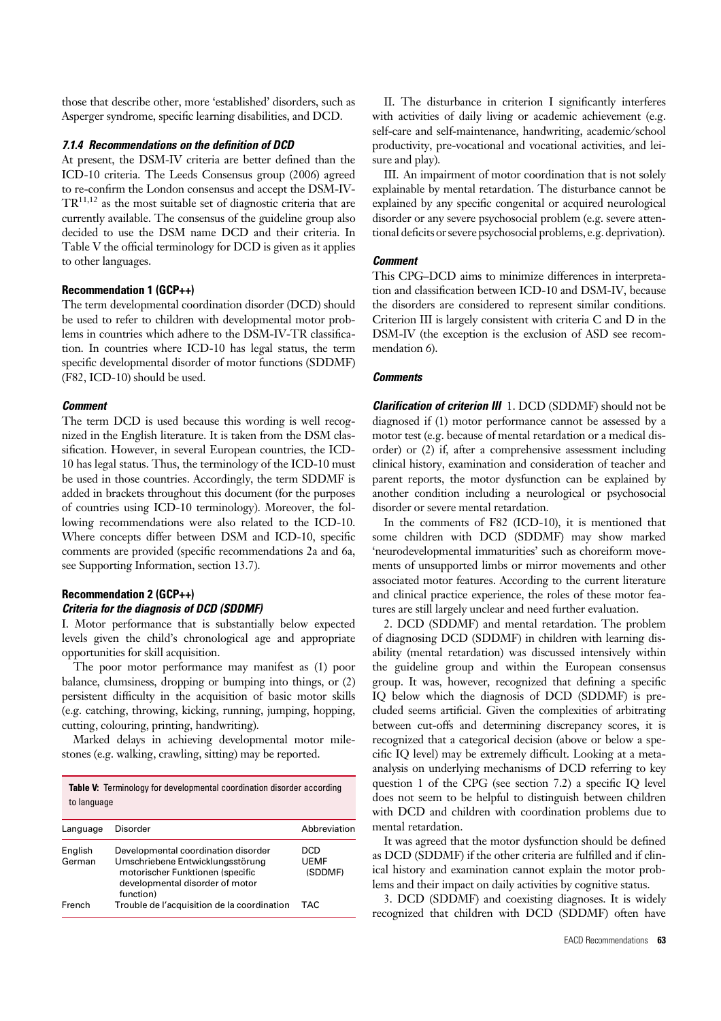those that describe other, more 'established' disorders, such as Asperger syndrome, specific learning disabilities, and DCD.

### 7.1.4 Recommendations on the definition of DCD

At present, the DSM-IV criteria are better defined than the ICD-10 criteria. The Leeds Consensus group (2006) agreed to re-confirm the London consensus and accept the DSM-IV- $TR^{11,12}$  as the most suitable set of diagnostic criteria that are currently available. The consensus of the guideline group also decided to use the DSM name DCD and their criteria. In Table V the official terminology for DCD is given as it applies to other languages.

### Recommendation 1 (GCP++)

The term developmental coordination disorder (DCD) should be used to refer to children with developmental motor problems in countries which adhere to the DSM-IV-TR classification. In countries where ICD-10 has legal status, the term specific developmental disorder of motor functions (SDDMF) (F82, ICD-10) should be used.

### Comment

The term DCD is used because this wording is well recognized in the English literature. It is taken from the DSM classification. However, in several European countries, the ICD-10 has legal status. Thus, the terminology of the ICD-10 must be used in those countries. Accordingly, the term SDDMF is added in brackets throughout this document (for the purposes of countries using ICD-10 terminology). Moreover, the following recommendations were also related to the ICD-10. Where concepts differ between DSM and ICD-10, specific comments are provided (specific recommendations 2a and 6a, see Supporting Information, section 13 .7).

# Recommendation 2 (GCP++) Criteria for the diagnosis of DCD (SDDMF)

I. Motor performance that is substantially below expected levels given the child's chronological age and appropriate opportunities for skill acquisition.

The poor motor performance may manifest as (1) poor balance, clumsiness, dropping or bumping into things, or (2) persistent difficulty in the acquisition of basic motor skills (e.g. catching, throwing, kicking, running, jumping, hopping, cutting, colouring, printing, handwriting).

Marked delays in achieving developmental motor milestones (e.g. walking, crawling, sitting) may be reported.

Table V: Terminology for developmental coordination disorder according

| to language       |                                                                                                                                                             |                               |
|-------------------|-------------------------------------------------------------------------------------------------------------------------------------------------------------|-------------------------------|
| Language          | Disorder                                                                                                                                                    | Abbreviation                  |
| English<br>German | Developmental coordination disorder<br>Umschriebene Entwicklungsstörung<br>motorischer Funktionen (specific<br>developmental disorder of motor<br>function) | DCD<br><b>UEMF</b><br>(SDDMF) |
| French            | Trouble de l'acquisition de la coordination                                                                                                                 | TAC                           |

II. The disturbance in criterion I significantly interferes with activities of daily living or academic achievement (e.g. self-care and self-maintenance, handwriting, academic/school productivity, pre-vocational and vocational activities, and leisure and play).

III. An impairment of motor coordination that is not solely explainable by mental retardation. The disturbance cannot be explained by any specific congenital or acquired neurological disorder or any severe psychosocial problem (e.g. severe attentional deficits or severe psychosocial problems, e.g. deprivation).

### Comment

This CPG–DCD aims to minimize differences in interpretation and classification between ICD-10 and DSM-IV, because the disorders are considered to represent similar conditions. Criterion III is largely consistent with criteria C and D in the DSM-IV (the exception is the exclusion of ASD see recommendation 6).

# **Comments**

Clarification of criterion III 1. DCD (SDDMF) should not be diagnosed if (1) motor performance cannot be assessed by a motor test (e.g. because of mental retardation or a medical disorder) or (2) if, after a comprehensive assessment including clinical history, examination and consideration of teacher and parent reports, the motor dysfunction can be explained by another condition including a neurological or psychosocial disorder or severe mental retardation.

In the comments of F82 (ICD-10), it is mentioned that some children with DCD (SDDMF) may show marked 'neurodevelopmental immaturities' such as choreiform movements of unsupported limbs or mirror movements and other associated motor features. According to the current literature and clinical practice experience, the roles of these motor features are still largely unclear and need further evaluation.

2. DCD (SDDMF) and mental retardation. The problem of diagnosing DCD (SDDMF) in children with learning disability (mental retardation) was discussed intensively within the guideline group and within the European consensus group. It was, however, recognized that defining a specific IQ below which the diagnosis of DCD (SDDMF) is precluded seems artificial. Given the complexities of arbitrating between cut-offs and determining discrepancy scores, it is recognized that a categorical decision (above or below a specific IQ level) may be extremely difficult. Looking at a metaanalysis on underlying mechanisms of DCD referring to key question 1 of the CPG (see section 7.2) a specific IQ level does not seem to be helpful to distinguish between children with DCD and children with coordination problems due to mental retardation.

It was agreed that the motor dysfunction should be defined as DCD (SDDMF) if the other criteria are fulfilled and if clinical history and examination cannot explain the motor problems and their impact on daily activities by cognitive status.

3 . DCD (SDDMF) and coexisting diagnoses. It is widely recognized that children with DCD (SDDMF) often have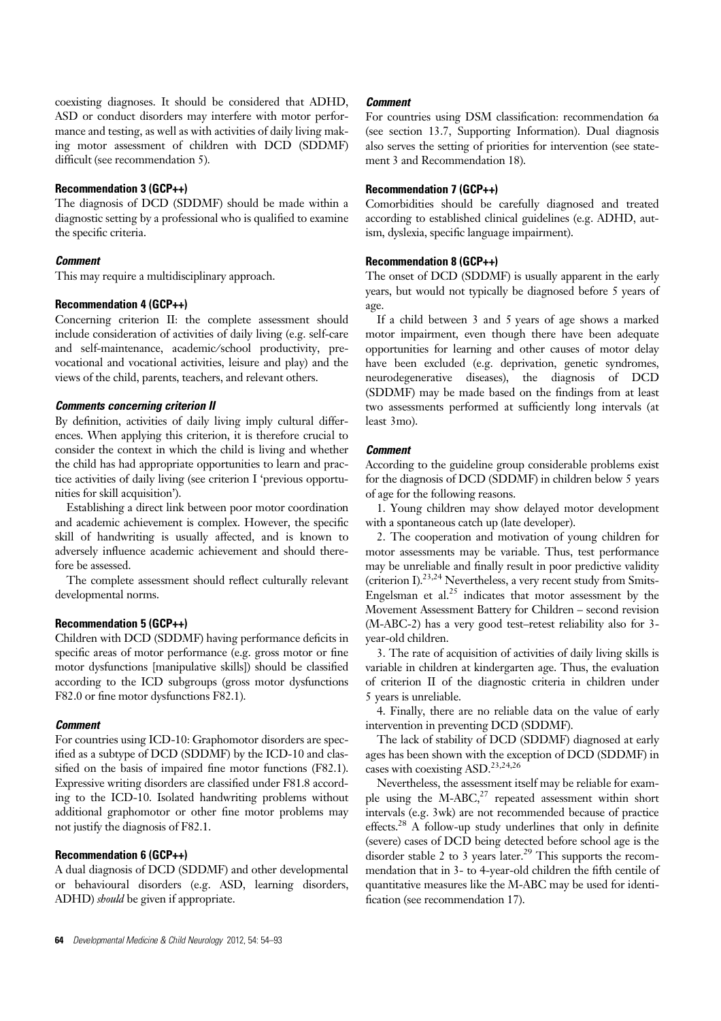coexisting diagnoses. It should be considered that ADHD, ASD or conduct disorders may interfere with motor performance and testing, as well as with activities of daily living making motor assessment of children with DCD (SDDMF) difficult (see recommendation 5).

### Recommendation 3 (GCP++)

The diagnosis of DCD (SDDMF) should be made within a diagnostic setting by a professional who is qualified to examine the specific criteria.

### Comment

This may require a multidisciplinary approach.

# Recommendation 4 (GCP++)

Concerning criterion II: the complete assessment should include consideration of activities of daily living (e.g. self-care and self-maintenance, academic/school productivity, prevocational and vocational activities, leisure and play) and the views of the child, parents, teachers, and relevant others.

# Comments concerning criterion II

By definition, activities of daily living imply cultural differences. When applying this criterion, it is therefore crucial to consider the context in which the child is living and whether the child has had appropriate opportunities to learn and practice activities of daily living (see criterion I 'previous opportunities for skill acquisition').

Establishing a direct link between poor motor coordination and academic achievement is complex. However, the specific skill of handwriting is usually affected, and is known to adversely influence academic achievement and should therefore be assessed.

The complete assessment should reflect culturally relevant developmental norms.

# Recommendation 5 (GCP++)

Children with DCD (SDDMF) having performance deficits in specific areas of motor performance (e.g. gross motor or fine motor dysfunctions [manipulative skills]) should be classified according to the ICD subgroups (gross motor dysfunctions F82.0 or fine motor dysfunctions F82.1).

# **Comment**

For countries using ICD-10: Graphomotor disorders are specified as a subtype of DCD (SDDMF) by the ICD-10 and classified on the basis of impaired fine motor functions (F82.1). Expressive writing disorders are classified under F81.8 according to the ICD-10. Isolated handwriting problems without additional graphomotor or other fine motor problems may not justify the diagnosis of F82.1.

# Recommendation 6 (GCP++)

A dual diagnosis of DCD (SDDMF) and other developmental or behavioural disorders (e.g. ASD, learning disorders, ADHD) *should* be given if appropriate.

### **Comment**

For countries using DSM classification: recommendation 6a (see section 13 .7, Supporting Information). Dual diagnosis also serves the setting of priorities for intervention (see statement 3 and Recommendation 18).

### Recommendation 7 (GCP++)

Comorbidities should be carefully diagnosed and treated according to established clinical guidelines (e.g. ADHD, autism, dyslexia, specific language impairment).

### Recommendation 8 (GCP++)

The onset of DCD (SDDMF) is usually apparent in the early years, but would not typically be diagnosed before 5 years of age.

If a child between 3 and 5 years of age shows a marked motor impairment, even though there have been adequate opportunities for learning and other causes of motor delay have been excluded (e.g. deprivation, genetic syndromes, neurodegenerative diseases), the diagnosis of DCD (SDDMF) may be made based on the findings from at least two assessments performed at sufficiently long intervals (at least 3mo).

### Comment

According to the guideline group considerable problems exist for the diagnosis of DCD (SDDMF) in children below 5 years of age for the following reasons.

1. Young children may show delayed motor development with a spontaneous catch up (late developer).

2. The cooperation and motivation of young children for motor assessments may be variable. Thus, test performance may be unreliable and finally result in poor predictive validity (criterion I).<sup>23,24</sup> Nevertheless, a very recent study from Smits-Engelsman et al. $25$  indicates that motor assessment by the Movement Assessment Battery for Children – second revision (M-ABC-2) has a very good test–retest reliability also for 3 year-old children.

3 . The rate of acquisition of activities of daily living skills is variable in children at kindergarten age. Thus, the evaluation of criterion II of the diagnostic criteria in children under 5 years is unreliable.

4. Finally, there are no reliable data on the value of early intervention in preventing DCD (SDDMF).

The lack of stability of DCD (SDDMF) diagnosed at early ages has been shown with the exception of DCD (SDDMF) in cases with coexisting ASD. 23,24,26

Nevertheless, the assessment itself may be reliable for example using the M-ABC,<sup>27</sup> repeated assessment within short intervals (e.g. 3 wk) are not recommended because of practice effects.<sup>28</sup> A follow-up study underlines that only in definite (severe) cases of DCD being detected before school age is the disorder stable 2 to 3 years later.<sup>29</sup> This supports the recommendation that in 3- to 4-year-old children the fifth centile of quantitative measures like the M-ABC may be used for identification (see recommendation 17).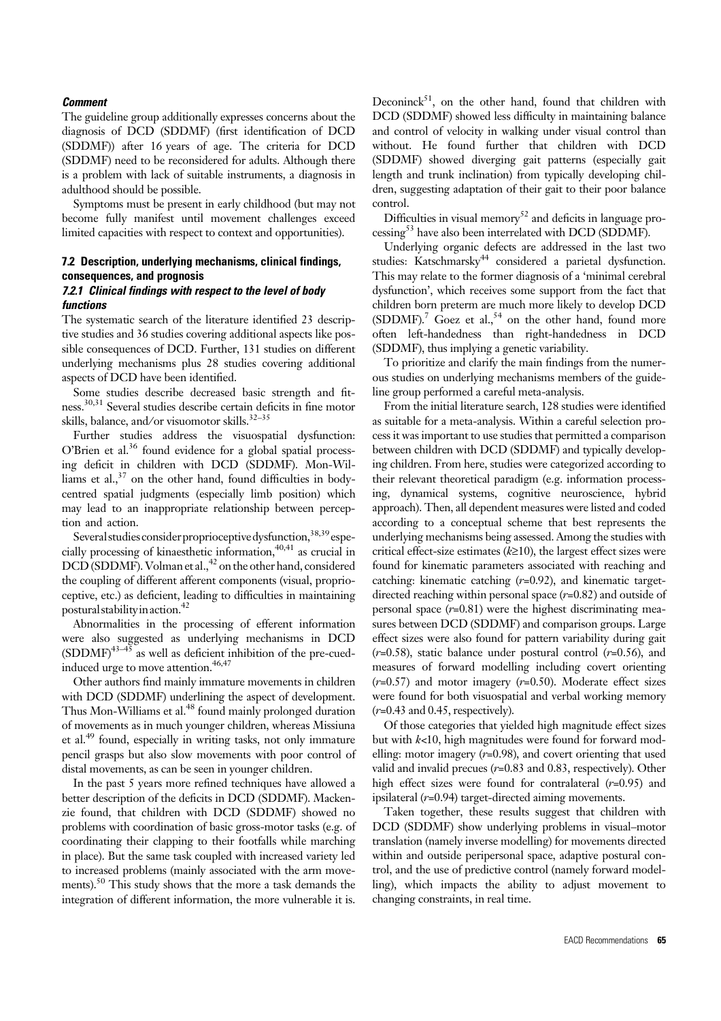### Comment

The guideline group additionally expresses concerns about the diagnosis of DCD (SDDMF) (first identification of DCD (SDDMF)) after 16 years of age. The criteria for DCD (SDDMF) need to be reconsidered for adults. Although there is a problem with lack of suitable instruments, a diagnosis in adulthood should be possible.

Symptoms must be present in early childhood (but may not become fully manifest until movement challenges exceed limited capacities with respect to context and opportunities).

# 7.2 Description, underlying mechanisms, clinical findings, consequences, and prognosis 7.2.1 Clinical findings with respect to the level of body

# functions

The systematic search of the literature identified 23 descriptive studies and 36 studies covering additional aspects like possible consequences of DCD. Further, 131 studies on different underlying mechanisms plus 28 studies covering additional aspects of DCD have been identified.

Some studies describe decreased basic strength and fitness.<sup>30,31</sup> Several studies describe certain deficits in fine motor skills, balance, and/or visuomotor skills.<sup>32–35</sup>

Further studies address the visuospatial dysfunction: O'Brien et al.<sup>36</sup> found evidence for a global spatial processing deficit in children with DCD (SDDMF). Mon-Williams et al., $37$  on the other hand, found difficulties in bodycentred spatial judgments (especially limb position) which may lead to an inappropriate relationship between perception and action.

Several studies consider proprioceptive dysfunction, 38,39 especially processing of kinaesthetic information, 40,41 as crucial in DCD (SDDMF). Volman et al.,<sup>42</sup> on the other hand, considered the coupling of different afferent components (visual, proprioceptive, etc.) as deficient, leading to difficulties in maintaining postural stability in action.<sup>42</sup>

Abnormalities in the processing of efferent information were also suggested as underlying mechanisms in DCD  $(SDDMF)^{43-45}$  as well as deficient inhibition of the pre-cuedinduced urge to move attention. 46,47

Other authors find mainly immature movements in children with DCD (SDDMF) underlining the aspect of development. Thus Mon-Williams et al.<sup>48</sup> found mainly prolonged duration of movements as in much younger children, whereas Missiuna et al. 49 found, especially in writing tasks, not only immature pencil grasps but also slow movements with poor control of distal movements, as can be seen in younger children.

In the past 5 years more refined techniques have allowed a better description of the deficits in DCD (SDDMF). Mackenzie found, that children with DCD (SDDMF) showed no problems with coordination of basic gross-motor tasks (e.g. of coordinating their clapping to their footfalls while marching in place). But the same task coupled with increased variety led to increased problems (mainly associated with the arm movements).<sup>50</sup> This study shows that the more a task demands the integration of different information, the more vulnerable it is.

Deconinck<sup>51</sup>, on the other hand, found that children with DCD (SDDMF) showed less difficulty in maintaining balance and control of velocity in walking under visual control than without. He found further that children with DCD (SDDMF) showed diverging gait patterns (especially gait length and trunk inclination) from typically developing children, suggesting adaptation of their gait to their poor balance control.

Difficulties in visual memory<sup>52</sup> and deficits in language processing<sup>53</sup> have also been interrelated with DCD (SDDMF).

Underlying organic defects are addressed in the last two studies: Katschmarsky<sup>44</sup> considered a parietal dysfunction. This may relate to the former diagnosis of a 'minimal cerebral dysfunction', which receives some support from the fact that children born preterm are much more likely to develop DCD (SDDMF).<sup>7</sup> Goez et al.,<sup>54</sup> on the other hand, found more often left-handedness than right-handedness in DCD (SDDMF), thus implying a genetic variability.

To prioritize and clarify the main findings from the numerous studies on underlying mechanisms members of the guideline group performed a careful meta-analysis.

From the initial literature search, 128 studies were identified as suitable for a meta-analysis. Within a careful selection process it was important to use studies that permitted a comparison between children with DCD (SDDMF) and typically developing children. From here, studies were categorized according to their relevant theoretical paradigm (e.g. information processing, dynamical systems, cognitive neuroscience, hybrid approach). Then, all dependent measures were listed and coded according to a conceptual scheme that best represents the underlying mechanisms being assessed. Among the studies with critical effect-size estimates ( $k \ge 10$ ), the largest effect sizes were found for kinematic parameters associated with reaching and catching: kinematic catching  $(r=0.92)$ , and kinematic targetdirected reaching within personal space  $(r=0.82)$  and outside of personal space  $(r=0.81)$  were the highest discriminating measures between DCD (SDDMF) and comparison groups. Large effect sizes were also found for pattern variability during gait  $(r=0.58)$ , static balance under postural control  $(r=0.56)$ , and measures of forward modelling including covert orienting  $(r=0.57)$  and motor imagery  $(r=0.50)$ . Moderate effect sizes were found for both visuospatial and verbal working memory  $(r=0.43$  and 0.45, respectively).

Of those categories that yielded high magnitude effect sizes but with  $k<10$ , high magnitudes were found for forward modelling: motor imagery  $(r=0.98)$ , and covert orienting that used valid and invalid precues  $(r=0.83$  and 0.83, respectively). Other high effect sizes were found for contralateral  $(r=0.95)$  and ipsilateral (r=0.94) target-directed aiming movements.

Taken together, these results suggest that children with DCD (SDDMF) show underlying problems in visual–motor translation (namely inverse modelling) for movements directed within and outside peripersonal space, adaptive postural control, and the use of predictive control (namely forward modelling), which impacts the ability to adjust movement to changing constraints, in real time.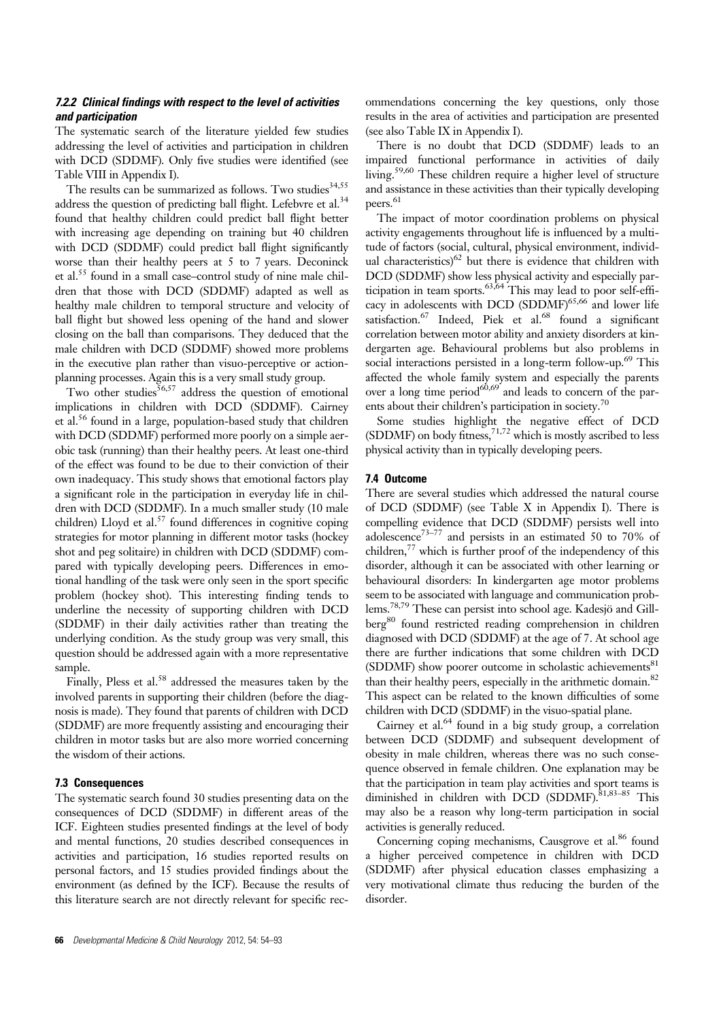# 7.2.2 Clinical findings with respect to the level of activities and participation

The systematic search of the literature yielded few studies addressing the level of activities and participation in children with DCD (SDDMF). Only five studies were identified (see Table VIII in Appendix I).

The results can be summarized as follows. Two studies<sup>34,55</sup> address the question of predicting ball flight. Lefebvre et al.<sup>34</sup> found that healthy children could predict ball flight better with increasing age depending on training but 40 children with DCD (SDDMF) could predict ball flight significantly worse than their healthy peers at 5 to 7 years. Deconinck et al. 55 found in a small case–control study of nine male children that those with DCD (SDDMF) adapted as well as healthy male children to temporal structure and velocity of ball flight but showed less opening of the hand and slower closing on the ball than comparisons. They deduced that the male children with DCD (SDDMF) showed more problems in the executive plan rather than visuo-perceptive or actionplanning processes. Again this is a very small study group.

Two other studies<sup>56,57</sup> address the question of emotional implications in children with DCD (SDDMF). Cairney et al. 56 found in a large, population-based study that children with DCD (SDDMF) performed more poorly on a simple aerobic task (running) than their healthy peers. At least one-third of the effect was found to be due to their conviction of their own inadequacy. This study shows that emotional factors play a significant role in the participation in everyday life in children with DCD (SDDMF). In a much smaller study (10 male children) Lloyd et al.<sup>57</sup> found differences in cognitive coping strategies for motor planning in different motor tasks (hockey shot and peg solitaire) in children with DCD (SDDMF) compared with typically developing peers. Differences in emotional handling of the task were only seen in the sport specific problem (hockey shot). This interesting finding tends to underline the necessity of supporting children with DCD (SDDMF) in their daily activities rather than treating the underlying condition. As the study group was very small, this question should be addressed again with a more representative sample.

Finally, Pless et al.<sup>58</sup> addressed the measures taken by the involved parents in supporting their children (before the diagnosis is made). They found that parents of children with DCD (SDDMF) are more frequently assisting and encouraging their children in motor tasks but are also more worried concerning the wisdom of their actions.

### 7.3 Consequences

The systematic search found 30 studies presenting data on the consequences of DCD (SDDMF) in different areas of the ICF. Eighteen studies presented findings at the level of body and mental functions, 20 studies described consequences in activities and participation, 16 studies reported results on personal factors, and 15 studies provided findings about the environment (as defined by the ICF). Because the results of this literature search are not directly relevant for specific recommendations concerning the key questions, only those results in the area of activities and participation are presented (see also Table IX in Appendix I).

There is no doubt that DCD (SDDMF) leads to an impaired functional performance in activities of daily living. 59,60 These children require a higher level of structure and assistance in these activities than their typically developing peers. 61

The impact of motor coordination problems on physical activity engagements throughout life is influenced by a multitude of factors (social, cultural, physical environment, individual characteristics)<sup>62</sup> but there is evidence that children with DCD (SDDMF) show less physical activity and especially participation in team sports.<sup>63,64</sup> This may lead to poor self-efficacy in adolescents with DCD (SDDMF) 65,66 and lower life satisfaction.<sup>67</sup> Indeed, Piek et al.<sup>68</sup> found a significant correlation between motor ability and anxiety disorders at kindergarten age. Behavioural problems but also problems in social interactions persisted in a long-term follow-up.<sup>69</sup> This affected the whole family system and especially the parents over a long time period<sup>60,69</sup> and leads to concern of the parents about their children's participation in society.<sup>70</sup>

Some studies highlight the negative effect of DCD (SDDMF) on body fitness,  $71,72$  which is mostly ascribed to less physical activity than in typically developing peers.

### 7.4 Outcome

There are several studies which addressed the natural course of DCD (SDDMF) (see Table X in Appendix I). There is compelling evidence that DCD (SDDMF) persists well into adolescence<sup>73-77</sup> and persists in an estimated 50 to 70% of children,<sup>77</sup> which is further proof of the independency of this disorder, although it can be associated with other learning or behavioural disorders: In kindergarten age motor problems seem to be associated with language and communication problems.<sup>78,79</sup> These can persist into school age. Kadesjö and Gillberg 80 found restricted reading comprehension in children diagnosed with DCD (SDDMF) at the age of 7. At school age there are further indications that some children with DCD (SDDMF) show poorer outcome in scholastic achievements<sup>81</sup> than their healthy peers, especially in the arithmetic domain.<sup>82</sup> This aspect can be related to the known difficulties of some children with DCD (SDDMF) in the visuo-spatial plane.

Cairney et al. 64 found in a big study group, a correlation between DCD (SDDMF) and subsequent development of obesity in male children, whereas there was no such consequence observed in female children. One explanation may be that the participation in team play activities and sport teams is diminished in children with DCD (SDDMF).<sup>81,83-85</sup> This may also be a reason why long-term participation in social activities is generally reduced.

Concerning coping mechanisms, Causgrove et al.<sup>86</sup> found a higher perceived competence in children with DCD (SDDMF) after physical education classes emphasizing a very motivational climate thus reducing the burden of the disorder.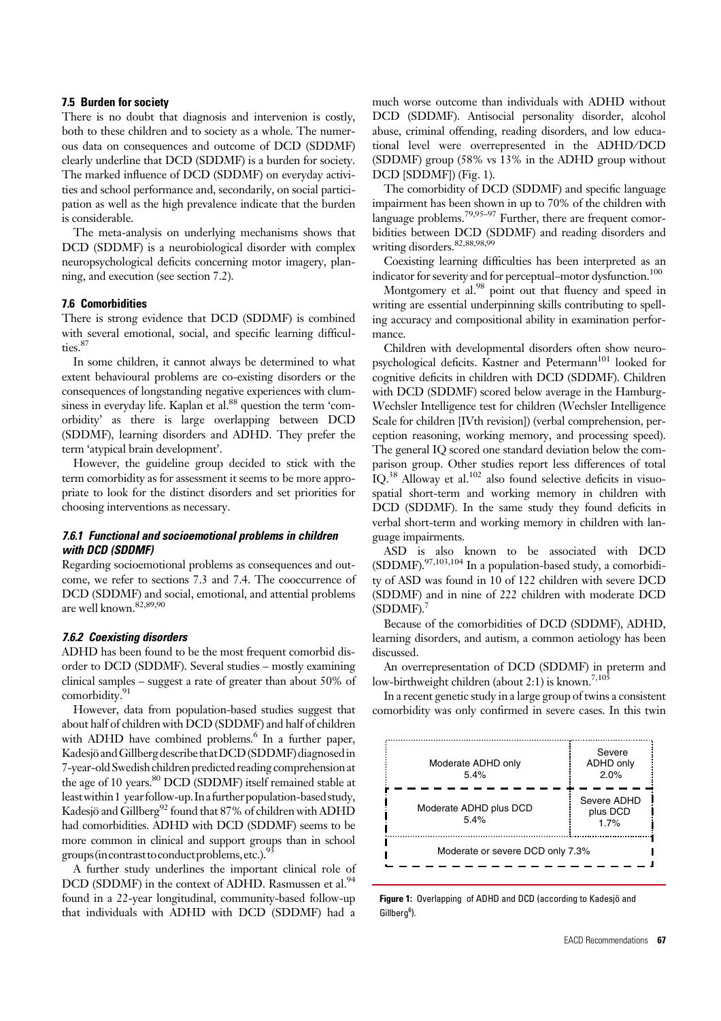### 7.5 Burden for society

There is no doubt that diagnosis and intervenion is costly, both to these children and to society as a whole. The numerous data on consequences and outcome of DCD (SDDMF) clearly underline that DCD (SDDMF) is a burden for society. The marked influence of DCD (SDDMF) on everyday activities and school performance and, secondarily, on social participation as well as the high prevalence indicate that the burden is considerable.

The meta-analysis on underlying mechanisms shows that DCD (SDDMF) is a neurobiological disorder with complex neuropsychological deficits concerning motor imagery, planning, and execution (see section 7.2).

### 7.6 Comorbidities

There is strong evidence that DCD (SDDMF) is combined with several emotional, social, and specific learning difficulties. 87

In some children, it cannot always be determined to what extent behavioural problems are co-existing disorders or the consequences of longstanding negative experiences with clumsiness in everyday life. Kaplan et al.<sup>88</sup> question the term 'comorbidity' as there is large overlapping between DCD (SDDMF), learning disorders and ADHD. They prefer the term 'atypical brain development'.

However, the guideline group decided to stick with the term comorbidity as for assessment it seems to be more appropriate to look for the distinct disorders and set priorities for choosing interventions as necessary.

# 7.6.1 Functional and socioemotional problems in children with DCD (SDDMF)

Regarding socioemotional problems as consequences and outcome, we refer to sections 7.3 and 7.4. The cooccurrence of DCD (SDDMF) and social, emotional, and attential problems are well known. 82,89,90

### 7.6.2 Coexisting disorders

ADHD has been found to be the most frequent comorbid disorder to DCD (SDDMF). Several studies – mostly examining clinical samples – suggest a rate of greater than about 50% of comorbidity. 91

However, data from population-based studies suggest that about half of children with DCD (SDDMF) and half of children with ADHD have combined problems. 6 In a further paper, Kadesjö and Gillberg describe that DCD (SDDMF) diagnosed in 7-year-old Swedish children predicted reading comprehension at the age of 10 years. <sup>80</sup> DCD (SDDMF) itself remained stable at least within 1 year follow-up. In a further population-based study, Kadesjö and Gillberg<sup>92</sup> found that 87% of children with ADHD had comorbidities. ADHD with DCD (SDDMF) seems to be more common in clinical and support groups than in school groups (in contrast to conduct problems, etc.). 93

A further study underlines the important clinical role of DCD (SDDMF) in the context of ADHD. Rasmussen et al.<sup>94</sup> found in a 22-year longitudinal, community-based follow-up that individuals with ADHD with DCD (SDDMF) had a

much worse outcome than individuals with ADHD without DCD (SDDMF). Antisocial personality disorder, alcohol abuse, criminal offending, reading disorders, and low educational level were overrepresented in the ADHD/DCD (SDDMF) group  $(58\% \text{ vs } 13\% \text{ in the ADHD group without})$ DCD [SDDMF]) (Fig. 1).

The comorbidity of DCD (SDDMF) and specific language impairment has been shown in up to 70% of the children with language problems.<sup>79,95-97</sup> Further, there are frequent comorbidities between DCD (SDDMF) and reading disorders and writing disorders. 82,88,98,99

Coexisting learning difficulties has been interpreted as an indicator for severity and for perceptual-motor dysfunction.<sup>100</sup>

Montgomery et al.<sup>98</sup> point out that fluency and speed in writing are essential underpinning skills contributing to spelling accuracy and compositional ability in examination performance.

Children with developmental disorders often show neuropsychological deficits. Kastner and Petermann<sup>101</sup> looked for cognitive deficits in children with DCD (SDDMF). Children with DCD (SDDMF) scored below average in the Hamburg-Wechsler Intelligence test for children (Wechsler Intelligence Scale for children [IVth revision]) (verbal comprehension, perception reasoning, working memory, and processing speed). The general IQ scored one standard deviation below the comparison group. Other studies report less differences of total IQ.<sup>38</sup> Alloway et al.<sup>102</sup> also found selective deficits in visuospatial short-term and working memory in children with DCD (SDDMF). In the same study they found deficits in verbal short-term and working memory in children with language impairments.

ASD is also known to be associated with DCD (SDDMF).<sup>97,103,104</sup> In a population-based study, a comorbidity of ASD was found in 10 of 122 children with severe DCD (SDDMF) and in nine of 222 children with moderate DCD (SDDMF). 7

Because of the comorbidities of DCD (SDDMF), ADHD, learning disorders, and autism, a common aetiology has been discussed.

An overrepresentation of DCD (SDDMF) in preterm and low-birthweight children (about 2:1) is known.<sup>7,105</sup>

In a recent genetic study in a large group of twins a consistent comorbidity was only confirmed in severe cases. In this twin



Figure 1: Overlapping of ADHD and DCD (according to Kadesiö and Gillberg<sup>6</sup>).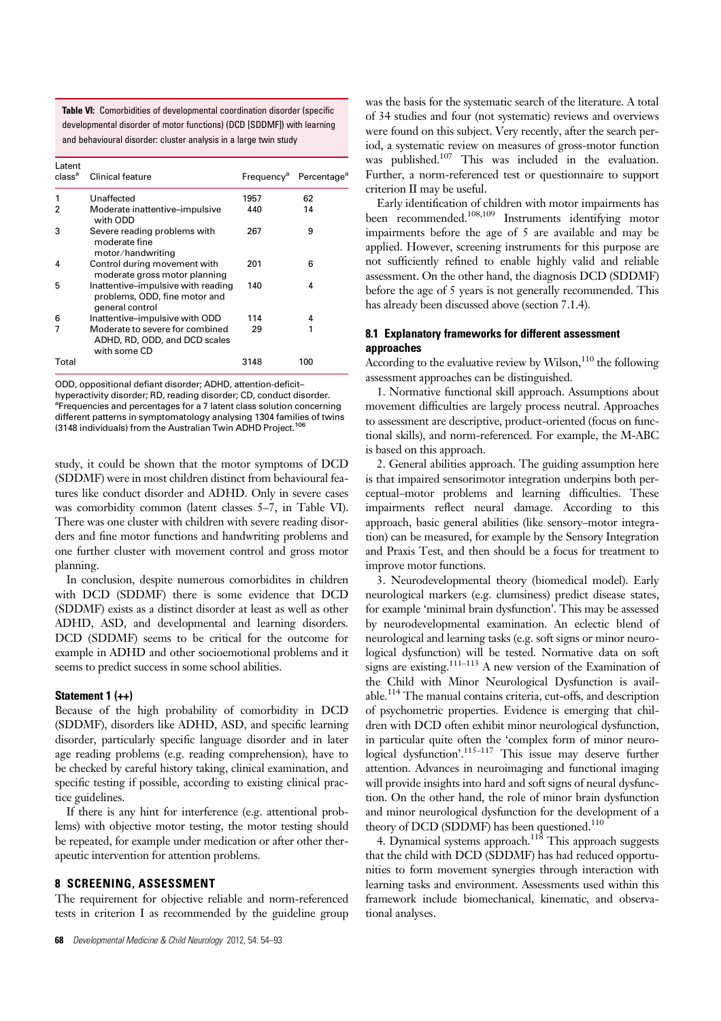Table VI: Comorbidities of developmental coordination disorder (specific developmental disorder of motor functions) (DCD [SDDMF]) with learning and behavioural disorder: cluster analysis in a large twin study

| Latent<br>class <sup>a</sup> | Clinical feature                                                                       |      | Frequency <sup>a</sup> Percentage <sup>a</sup> |
|------------------------------|----------------------------------------------------------------------------------------|------|------------------------------------------------|
| 1                            | Unaffected                                                                             | 1957 | 62                                             |
|                              | Moderate inattentive-impulsive<br>with ODD                                             | 440  | 14                                             |
| з                            | Severe reading problems with<br>moderate fine<br>motor/handwriting                     | 267  | 9                                              |
| 4                            | Control during movement with<br>moderate gross motor planning                          | 201  | 6                                              |
| 5                            | Inattentive-impulsive with reading<br>problems, ODD, fine motor and<br>general control | 140  | 4                                              |
| 6                            | Inattentive-impulsive with ODD                                                         | 114  | 4                                              |
|                              | Moderate to severe for combined<br>ADHD, RD, ODD, and DCD scales<br>with some CD       | 29   |                                                |
| Total                        |                                                                                        | 3148 | 100                                            |

ODD, oppositional defiant disorder; ADHD, attention-deficit– hyperactivity disorder; RD, reading disorder; CD, conduct disorder. <sup>a</sup>Frequencies and percentages for a 7 latent class solution concerning different patterns in symptomatology analysing 1304 families of twins (3148 individuals) from the Australian Twin ADHD Project. 106

study, it could be shown that the motor symptoms of DCD (SDDMF) were in most children distinct from behavioural features like conduct disorder and ADHD. Only in severe cases was comorbidity common (latent classes 5–7, in Table VI). There was one cluster with children with severe reading disorders and fine motor functions and handwriting problems and one further cluster with movement control and gross motor planning.

In conclusion, despite numerous comorbidites in children with DCD (SDDMF) there is some evidence that DCD (SDDMF) exists as a distinct disorder at least as well as other ADHD, ASD, and developmental and learning disorders. DCD (SDDMF) seems to be critical for the outcome for example in ADHD and other socioemotional problems and it seems to predict success in some school abilities.

# Statement 1 (++)

Because of the high probability of comorbidity in DCD (SDDMF), disorders like ADHD, ASD, and specific learning disorder, particularly specific language disorder and in later age reading problems (e.g. reading comprehension), have to be checked by careful history taking, clinical examination, and specific testing if possible, according to existing clinical practice guidelines.

If there is any hint for interference (e.g. attentional problems) with objective motor testing, the motor testing should be repeated, for example under medication or after other therapeutic intervention for attention problems.

### 8 SCREENING, ASSESSMENT

The requirement for objective reliable and norm-referenced tests in criterion I as recommended by the guideline group was the basis for the systematic search of the literature. A total of 34 studies and four (not systematic) reviews and overviews were found on this subject. Very recently, after the search period, a systematic review on measures of gross-motor function was published. <sup>107</sup> This was included in the evaluation. Further, a norm-referenced test or questionnaire to support criterion II may be useful.

Early identification of children with motor impairments has been recommended.<sup>108,109</sup> Instruments identifying motor impairments before the age of 5 are available and may be applied. However, screening instruments for this purpose are not sufficiently refined to enable highly valid and reliable assessment. On the other hand, the diagnosis DCD (SDDMF) before the age of 5 years is not generally recommended. This has already been discussed above (section 7.1.4).

# 8.1 Explanatory frameworks for different assessment approaches

According to the evaluative review by Wilson,<sup>110</sup> the following assessment approaches can be distinguished.

1. Normative functional skill approach. Assumptions about movement difficulties are largely process neutral. Approaches to assessment are descriptive, product-oriented (focus on functional skills), and norm-referenced. For example, the M-ABC is based on this approach.

2. General abilities approach. The guiding assumption here is that impaired sensorimotor integration underpins both perceptual–motor problems and learning difficulties. These impairments reflect neural damage. According to this approach, basic general abilities (like sensory–motor integration) can be measured, for example by the Sensory Integration and Praxis Test, and then should be a focus for treatment to improve motor functions.

3 . Neurodevelopmental theory (biomedical model). Early neurological markers (e.g. clumsiness) predict disease states, for example 'minimal brain dysfunction'. This may be assessed by neurodevelopmental examination. An eclectic blend of neurological and learning tasks (e.g. soft signs or minor neurological dysfunction) will be tested. Normative data on soft signs are existing.<sup>111-113</sup> A new version of the Examination of the Child with Minor Neurological Dysfunction is available.<sup>114</sup> The manual contains criteria, cut-offs, and description of psychometric properties. Evidence is emerging that children with DCD often exhibit minor neurological dysfunction, in particular quite often the 'complex form of minor neurological dysfunction'.<sup>115-117</sup> This issue may deserve further attention. Advances in neuroimaging and functional imaging will provide insights into hard and soft signs of neural dysfunction. On the other hand, the role of minor brain dysfunction and minor neurological dysfunction for the development of a theory of DCD (SDDMF) has been questioned.<sup>110</sup>

4. Dynamical systems approach.<sup>118</sup> This approach suggests that the child with DCD (SDDMF) has had reduced opportunities to form movement synergies through interaction with learning tasks and environment. Assessments used within this framework include biomechanical, kinematic, and observational analyses.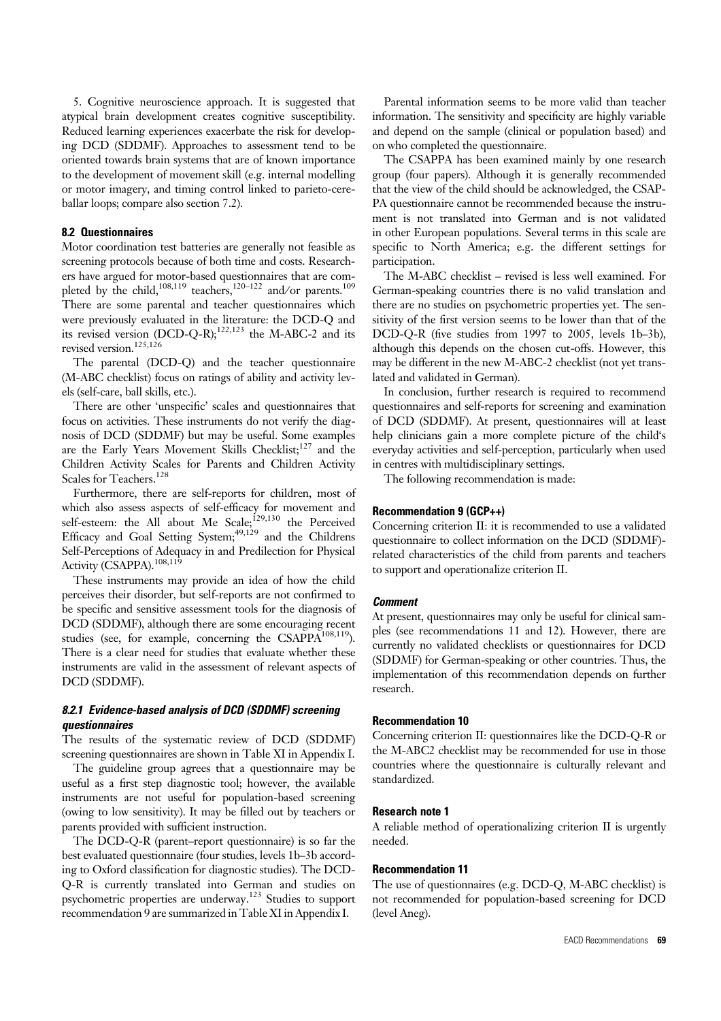5. Cognitive neuroscience approach. It is suggested that atypical brain development creates cognitive susceptibility. Reduced learning experiences exacerbate the risk for developing DCD (SDDMF). Approaches to assessment tend to be oriented towards brain systems that are of known importance to the development of movement skill (e.g. internal modelling or motor imagery, and timing control linked to parieto-cereballar loops; compare also section 7.2).

# 8.2 Questionnaires

Motor coordination test batteries are generally not feasible as screening protocols because of both time and costs. Researchers have argued for motor-based questionnaires that are completed by the child,  $^{108,119}$  teachers,  $^{120-122}$  and/or parents.  $^{109}$ There are some parental and teacher questionnaires which were previously evaluated in the literature: the DCD-Q and its revised version (DCD-Q-R);<sup>122,123</sup> the M-ABC-2 and its revised version. 125,126

The parental (DCD-Q) and the teacher questionnaire (M-ABC checklist) focus on ratings of ability and activity levels (self-care, ball skills, etc.).

There are other 'unspecific' scales and questionnaires that focus on activities. These instruments do not verify the diagnosis of DCD (SDDMF) but may be useful. Some examples are the Early Years Movement Skills Checklist;<sup>127</sup> and the Children Activity Scales for Parents and Children Activity Scales for Teachers.<sup>128</sup>

Furthermore, there are self-reports for children, most of which also assess aspects of self-efficacy for movement and self-esteem: the All about Me Scale;<sup>129,130</sup> the Perceived Efficacy and Goal Setting System;<sup>49,129</sup> and the Childrens Self-Perceptions of Adequacy in and Predilection for Physical Activity (CSAPPA).<sup>108,115</sup>

These instruments may provide an idea of how the child perceives their disorder, but self-reports are not confirmed to be specific and sensitive assessment tools for the diagnosis of DCD (SDDMF), although there are some encouraging recent studies (see, for example, concerning the CSAPPA<sup>108,119</sup>). There is a clear need for studies that evaluate whether these instruments are valid in the assessment of relevant aspects of DCD (SDDMF).

# 8.2.1 Evidence-based analysis of DCD (SDDMF) screening questionnaires

The results of the systematic review of DCD (SDDMF) screening questionnaires are shown in Table XI in Appendix I.

The guideline group agrees that a questionnaire may be useful as a first step diagnostic tool; however, the available instruments are not useful for population-based screening (owing to low sensitivity). It may be filled out by teachers or parents provided with sufficient instruction.

The DCD-Q-R (parent–report questionnaire) is so far the best evaluated questionnaire (four studies, levels 1b-3b according to Oxford classification for diagnostic studies). The DCD-Q-R is currently translated into German and studies on psychometric properties are underway.<sup>123</sup> Studies to support recommendation 9 are summarized in Table XI in Appendix I.

Parental information seems to be more valid than teacher information. The sensitivity and specificity are highly variable and depend on the sample (clinical or population based) and on who completed the questionnaire.

The CSAPPA has been examined mainly by one research group (four papers). Although it is generally recommended that the view of the child should be acknowledged, the CSAP-PA questionnaire cannot be recommended because the instrument is not translated into German and is not validated in other European populations. Several terms in this scale are specific to North America; e.g. the different settings for participation.

The M-ABC checklist – revised is less well examined. For German-speaking countries there is no valid translation and there are no studies on psychometric properties yet. The sensitivity of the first version seems to be lower than that of the DCD-Q-R (five studies from 1997 to 2005, levels 1b–3b), although this depends on the chosen cut-offs. However, this may be different in the new M-ABC-2 checklist (not yet translated and validated in German).

In conclusion, further research is required to recommend questionnaires and self-reports for screening and examination of DCD (SDDMF). At present, questionnaires will at least help clinicians gain a more complete picture of the child's everyday activities and self-perception, particularly when used in centres with multidisciplinary settings.

The following recommendation is made:

# Recommendation 9 (GCP++)

Concerning criterion II: it is recommended to use a validated questionnaire to collect information on the DCD (SDDMF) related characteristics of the child from parents and teachers to support and operationalize criterion II.

### Comment

At present, questionnaires may only be useful for clinical samples (see recommendations 11 and 12). However, there are currently no validated checklists or questionnaires for DCD (SDDMF) for German-speaking or other countries. Thus, the implementation of this recommendation depends on further research.

# Recommendation 10

Concerning criterion II: questionnaires like the DCD-Q-R or the M-ABC2 checklist may be recommended for use in those countries where the questionnaire is culturally relevant and standardized.

### Research note 1

A reliable method of operationalizing criterion II is urgently needed.

### Recommendation 11

The use of questionnaires (e.g. DCD-Q, M-ABC checklist) is not recommended for population-based screening for DCD (level Aneg).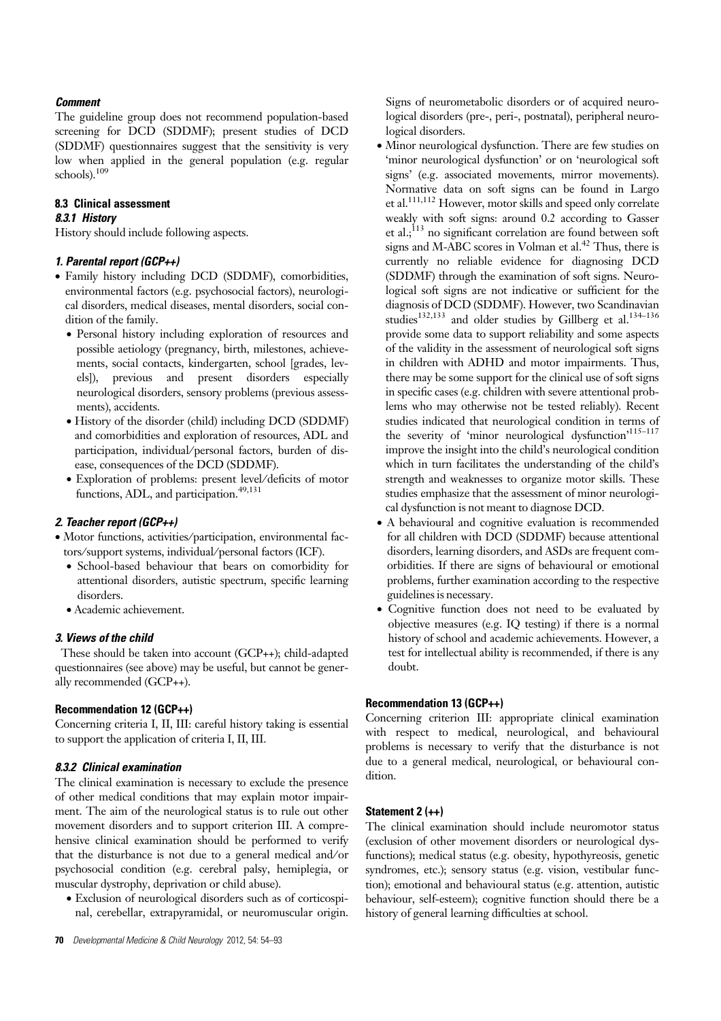# **Comment**

The guideline group does not recommend population-based screening for DCD (SDDMF); present studies of DCD (SDDMF) questionnaires suggest that the sensitivity is very low when applied in the general population (e.g. regular schools).<sup>109</sup>

# 8.3 Clinical assessment

# 8.3.1 History

History should include following aspects.

### 1. Parental report (GCP++)

- Family history including DCD (SDDMF), comorbidities, environmental factors (e.g. psychosocial factors), neurological disorders, medical diseases, mental disorders, social condition of the family.
	- Personal history including exploration of resources and possible aetiology (pregnancy, birth, milestones, achievements, social contacts, kindergarten, school [grades, levels]), previous and present disorders especially neurological disorders, sensory problems (previous assessments), accidents.
	- History of the disorder (child) including DCD (SDDMF) and comorbidities and exploration of resources, ADL and participation, individual⁄ personal factors, burden of disease, consequences of the DCD (SDDMF).
	- Exploration of problems: present level⁄deficits of motor functions, ADL, and participation.<sup>49,131</sup>

# 2. Teacher report (GCP++)

- Motor functions, activities⁄participation, environmental factors⁄support systems, individual⁄personal factors (ICF).
	- School-based behaviour that bears on comorbidity for attentional disorders, autistic spectrum, specific learning disorders.
	- Academic achievement.

# 3. Views of the child

These should be taken into account (GCP++); child-adapted questionnaires (see above) may be useful, but cannot be generally recommended (GCP++).

### Recommendation 12 (GCP++)

Concerning criteria I, II, III: careful history taking is essential to support the application of criteria I, II, III.

# 8.3.2 Clinical examination

The clinical examination is necessary to exclude the presence of other medical conditions that may explain motor impairment. The aim of the neurological status is to rule out other movement disorders and to support criterion III. A comprehensive clinical examination should be performed to verify that the disturbance is not due to a general medical and/or psychosocial condition (e.g. cerebral palsy, hemiplegia, or muscular dystrophy, deprivation or child abuse).

• Exclusion of neurological disorders such as of corticospinal, cerebellar, extrapyramidal, or neuromuscular origin. Signs of neurometabolic disorders or of acquired neurological disorders (pre-, peri-, postnatal), peripheral neurological disorders.

- Minor neurological dysfunction. There are few studies on 'minor neurological dysfunction' or on 'neurological soft signs' (e.g. associated movements, mirror movements). Normative data on soft signs can be found in Largo et al.<sup>111,112</sup> However, motor skills and speed only correlate weakly with soft signs: around 0.2 according to Gasser et al.;<sup>113</sup> no significant correlation are found between soft signs and M-ABC scores in Volman et al. <sup>42</sup> Thus, there is currently no reliable evidence for diagnosing DCD (SDDMF) through the examination of soft signs. Neurological soft signs are not indicative or sufficient for the diagnosis of DCD (SDDMF). However, two Scandinavian studies<sup>132,133</sup> and older studies by Gillberg et al.<sup>134–136</sup> provide some data to support reliability and some aspects of the validity in the assessment of neurological soft signs in children with ADHD and motor impairments. Thus, there may be some support for the clinical use of soft signs in specific cases (e.g. children with severe attentional problems who may otherwise not be tested reliably). Recent studies indicated that neurological condition in terms of the severity of 'minor neurological dysfunction'<sup>115-117</sup> improve the insight into the child's neurological condition which in turn facilitates the understanding of the child's strength and weaknesses to organize motor skills. These studies emphasize that the assessment of minor neurological dysfunction is not meant to diagnose DCD.
- A behavioural and cognitive evaluation is recommended for all children with DCD (SDDMF) because attentional disorders, learning disorders, and ASDs are frequent comorbidities. If there are signs of behavioural or emotional problems, further examination according to the respective guidelines is necessary.
- Cognitive function does not need to be evaluated by objective measures (e.g. IQ testing) if there is a normal history of school and academic achievements. However, a test for intellectual ability is recommended, if there is any doubt.

### Recommendation 13 (GCP++)

Concerning criterion III: appropriate clinical examination with respect to medical, neurological, and behavioural problems is necessary to verify that the disturbance is not due to a general medical, neurological, or behavioural condition.

## Statement 2 (++)

The clinical examination should include neuromotor status (exclusion of other movement disorders or neurological dysfunctions); medical status (e.g. obesity, hypothyreosis, genetic syndromes, etc.); sensory status (e.g. vision, vestibular function); emotional and behavioural status (e.g. attention, autistic behaviour, self-esteem); cognitive function should there be a history of general learning difficulties at school.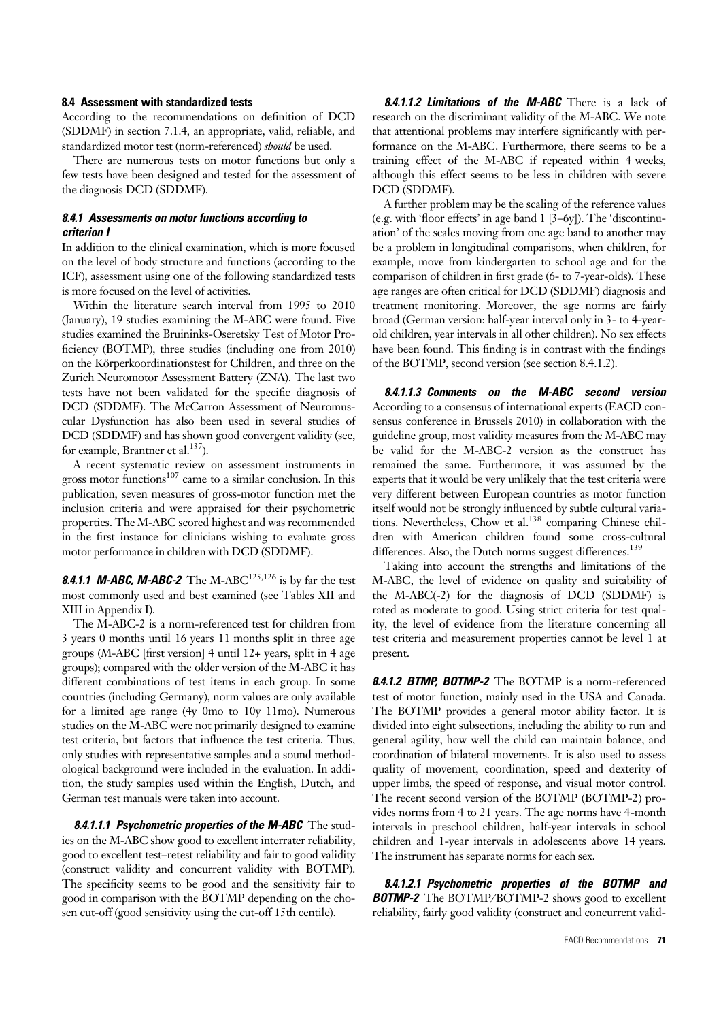### 8.4 Assessment with standardized tests

According to the recommendations on definition of DCD (SDDMF) in section 7.1.4, an appropriate, valid, reliable, and standardized motor test (norm-referenced) should be used.

There are numerous tests on motor functions but only a few tests have been designed and tested for the assessment of the diagnosis DCD (SDDMF).

# 8.4.1 Assessments on motor functions according to criterion I

In addition to the clinical examination, which is more focused on the level of body structure and functions (according to the ICF), assessment using one of the following standardized tests is more focused on the level of activities.

Within the literature search interval from 1995 to 2010 (January), 19 studies examining the M-ABC were found. Five studies examined the Bruininks-Oseretsky Test of Motor Proficiency (BOTMP), three studies (including one from 2010) on the Körperkoordinationstest for Children, and three on the Zurich Neuromotor Assessment Battery (ZNA). The last two tests have not been validated for the specific diagnosis of DCD (SDDMF). The McCarron Assessment of Neuromuscular Dysfunction has also been used in several studies of DCD (SDDMF) and has shown good convergent validity (see, for example, Brantner et al.<sup>137</sup>).

A recent systematic review on assessment instruments in gross motor functions 107 came to a similar conclusion. In this publication, seven measures of gross-motor function met the inclusion criteria and were appraised for their psychometric properties. The M-ABC scored highest and was recommended in the first instance for clinicians wishing to evaluate gross motor performance in children with DCD (SDDMF).

**8.4.1.1 M-ABC, M-ABC-2** The M-ABC<sup>125,126</sup> is by far the test most commonly used and best examined (see Tables XII and XIII in Appendix I).

The M-ABC-2 is a norm-referenced test for children from 3 years 0 months until 16 years 11 months split in three age groups (M-ABC [first version] 4 until 12+ years, split in 4 age groups); compared with the older version of the M-ABC it has different combinations of test items in each group. In some countries (including Germany), norm values are only available for a limited age range (4y 0mo to 10y 11mo). Numerous studies on the M-ABC were not primarily designed to examine test criteria, but factors that influence the test criteria. Thus, only studies with representative samples and a sound methodological background were included in the evaluation. In addition, the study samples used within the English, Dutch, and German test manuals were taken into account.

8.4.1.1.1 Psychometric properties of the M-ABC The studies on the M-ABC show good to excellent interrater reliability, good to excellent test–retest reliability and fair to good validity (construct validity and concurrent validity with BOTMP). The specificity seems to be good and the sensitivity fair to good in comparison with the BOTMP depending on the chosen cut-off (good sensitivity using the cut-off 15th centile).

**8.4.1.1.2 Limitations of the M-ABC** There is a lack of research on the discriminant validity of the M-ABC. We note that attentional problems may interfere significantly with performance on the M-ABC. Furthermore, there seems to be a training effect of the M-ABC if repeated within 4 weeks, although this effect seems to be less in children with severe DCD (SDDMF).

A further problem may be the scaling of the reference values (e.g. with 'floor effects' in age band 1 [3 –6y]). The 'discontinuation' of the scales moving from one age band to another may be a problem in longitudinal comparisons, when children, for example, move from kindergarten to school age and for the comparison of children in first grade (6- to 7-year-olds). These age ranges are often critical for DCD (SDDMF) diagnosis and treatment monitoring. Moreover, the age norms are fairly broad (German version: half-year interval only in 3- to 4-yearold children, year intervals in all other children). No sex effects have been found. This finding is in contrast with the findings of the BOTMP, second version (see section 8.4.1.2).

8.4.1.1.3 Comments on the M-ABC second version According to a consensus of international experts (EACD consensus conference in Brussels 2010) in collaboration with the guideline group, most validity measures from the M-ABC may be valid for the M-ABC-2 version as the construct has remained the same. Furthermore, it was assumed by the experts that it would be very unlikely that the test criteria were very different between European countries as motor function itself would not be strongly influenced by subtle cultural variations. Nevertheless, Chow et al.<sup>138</sup> comparing Chinese children with American children found some cross-cultural differences. Also, the Dutch norms suggest differences.<sup>139</sup>

Taking into account the strengths and limitations of the M-ABC, the level of evidence on quality and suitability of the M-ABC(-2) for the diagnosis of DCD (SDDMF) is rated as moderate to good. Using strict criteria for test quality, the level of evidence from the literature concerning all test criteria and measurement properties cannot be level 1 at present.

8.4.1.2 BTMP, BOTMP-2 The BOTMP is a norm-referenced test of motor function, mainly used in the USA and Canada. The BOTMP provides a general motor ability factor. It is divided into eight subsections, including the ability to run and general agility, how well the child can maintain balance, and coordination of bilateral movements. It is also used to assess quality of movement, coordination, speed and dexterity of upper limbs, the speed of response, and visual motor control. The recent second version of the BOTMP (BOTMP-2) provides norms from 4 to 21 years. The age norms have 4-month intervals in preschool children, half-year intervals in school children and 1-year intervals in adolescents above 14 years. The instrument has separate norms for each sex.

8.4.1.2.1 Psychometric properties of the BOTMP and **BOTMP-2** The BOTMP/BOTMP-2 shows good to excellent reliability, fairly good validity (construct and concurrent valid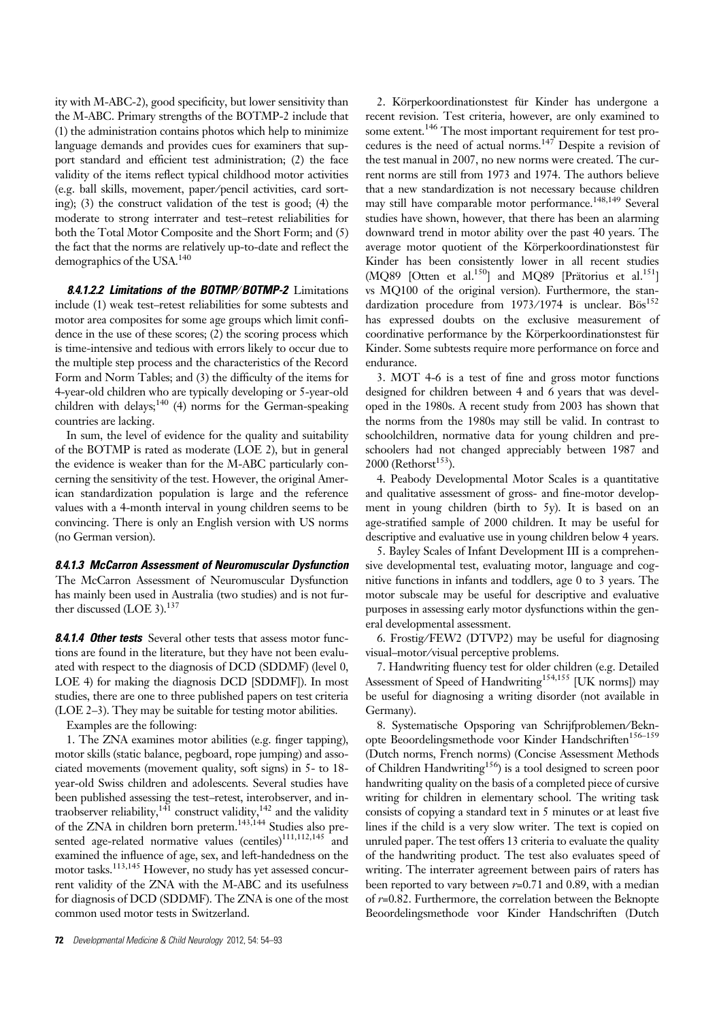ity with M-ABC-2), good specificity, but lower sensitivity than the M-ABC. Primary strengths of the BOTMP-2 include that (1) the administration contains photos which help to minimize language demands and provides cues for examiners that support standard and efficient test administration; (2) the face validity of the items reflect typical childhood motor activities (e.g. ball skills, movement, paper⁄pencil activities, card sorting);  $(3)$  the construct validation of the test is good;  $(4)$  the moderate to strong interrater and test–retest reliabilities for both the Total Motor Composite and the Short Form; and (5) the fact that the norms are relatively up-to-date and reflect the demographics of the USA.<sup>140</sup>

8.4.1.2.2 Limitations of the BOTMP/BOTMP-2 Limitations include (1) weak test–retest reliabilities for some subtests and motor area composites for some age groups which limit confidence in the use of these scores; (2) the scoring process which is time-intensive and tedious with errors likely to occur due to the multiple step process and the characteristics of the Record Form and Norm Tables; and (3) the difficulty of the items for 4-year-old children who are typically developing or 5-year-old children with delays;<sup>140</sup> (4) norms for the German-speaking countries are lacking.

In sum, the level of evidence for the quality and suitability of the BOTMP is rated as moderate (LOE 2), but in general the evidence is weaker than for the M-ABC particularly concerning the sensitivity of the test. However, the original American standardization population is large and the reference values with a 4-month interval in young children seems to be convincing. There is only an English version with US norms (no German version).

# 8.4.1.3 McCarron Assessment of Neuromuscular Dysfunction The McCarron Assessment of Neuromuscular Dysfunction

has mainly been used in Australia (two studies) and is not further discussed (LOE 3).<sup>137</sup>

8.4.1.4 Other tests Several other tests that assess motor functions are found in the literature, but they have not been evaluated with respect to the diagnosis of DCD (SDDMF) (level 0, LOE 4) for making the diagnosis DCD [SDDMF]). In most studies, there are one to three published papers on test criteria (LOE 2–3 ). They may be suitable for testing motor abilities.

Examples are the following:

1. The ZNA examines motor abilities (e.g. finger tapping), motor skills (static balance, pegboard, rope jumping) and associated movements (movement quality, soft signs) in 5- to 18 year-old Swiss children and adolescents. Several studies have been published assessing the test–retest, interobserver, and intraobserver reliability,  $141$  construct validity,  $142$  and the validity of the ZNA in children born preterm.<sup>143,144</sup> Studies also presented age-related normative values (centiles)<sup>111,112,145</sup> and examined the influence of age, sex, and left-handedness on the motor tasks. 113,145 However, no study has yet assessed concurrent validity of the ZNA with the M-ABC and its usefulness for diagnosis of DCD (SDDMF). The ZNA is one of the most common used motor tests in Switzerland.

2. Körperkoordinationstest für Kinder has undergone a recent revision. Test criteria, however, are only examined to some extent.<sup>146</sup> The most important requirement for test procedures is the need of actual norms.<sup>147</sup> Despite a revision of the test manual in 2007, no new norms were created. The current norms are still from 1973 and 1974. The authors believe that a new standardization is not necessary because children may still have comparable motor performance.<sup>148,149</sup> Several studies have shown, however, that there has been an alarming downward trend in motor ability over the past 40 years. The average motor quotient of the Körperkoordinationstest für Kinder has been consistently lower in all recent studies  $(MQ89$  [Otten et al.<sup>150</sup>] and MQ89 [Prätorius et al.<sup>151</sup>] vs MQ100 of the original version). Furthermore, the standardization procedure from 1973/1974 is unclear. Bös<sup>152</sup> has expressed doubts on the exclusive measurement of coordinative performance by the Körperkoordinationstest für Kinder. Some subtests require more performance on force and endurance.

3 . MOT 4-6 is a test of fine and gross motor functions designed for children between 4 and 6 years that was developed in the 1980s. A recent study from 2003 has shown that the norms from the 1980s may still be valid. In contrast to schoolchildren, normative data for young children and preschoolers had not changed appreciably between 1987 and 2000 (Rethorst<sup>153</sup>).

4. Peabody Developmental Motor Scales is a quantitative and qualitative assessment of gross- and fine-motor development in young children (birth to 5y). It is based on an age-stratified sample of 2000 children. It may be useful for descriptive and evaluative use in young children below 4 years.

5. Bayley Scales of Infant Development III is a comprehensive developmental test, evaluating motor, language and cognitive functions in infants and toddlers, age 0 to 3 years. The motor subscale may be useful for descriptive and evaluative purposes in assessing early motor dysfunctions within the general developmental assessment.

6. Frostig/FEW2 (DTVP2) may be useful for diagnosing visual–motor⁄ visual perceptive problems.

7. Handwriting fluency test for older children (e.g. Detailed Assessment of Speed of Handwriting<sup>154,155</sup> [UK norms]) may be useful for diagnosing a writing disorder (not available in Germany).

8 . Systematische Opsporing van Schrijfproblemen⁄Beknopte Beoordelingsmethode voor Kinder Handschriften 156–159 (Dutch norms, French norms) (Concise Assessment Methods of Children Handwriting<sup>156</sup>) is a tool designed to screen poor handwriting quality on the basis of a completed piece of cursive writing for children in elementary school. The writing task consists of copying a standard text in 5 minutes or at least five lines if the child is a very slow writer. The text is copied on unruled paper. The test offers 13 criteria to evaluate the quality of the handwriting product. The test also evaluates speed of writing. The interrater agreement between pairs of raters has been reported to vary between  $r=0.71$  and 0.89, with a median of r=0.82. Furthermore, the correlation between the Beknopte Beoordelingsmethode voor Kinder Handschriften (Dutch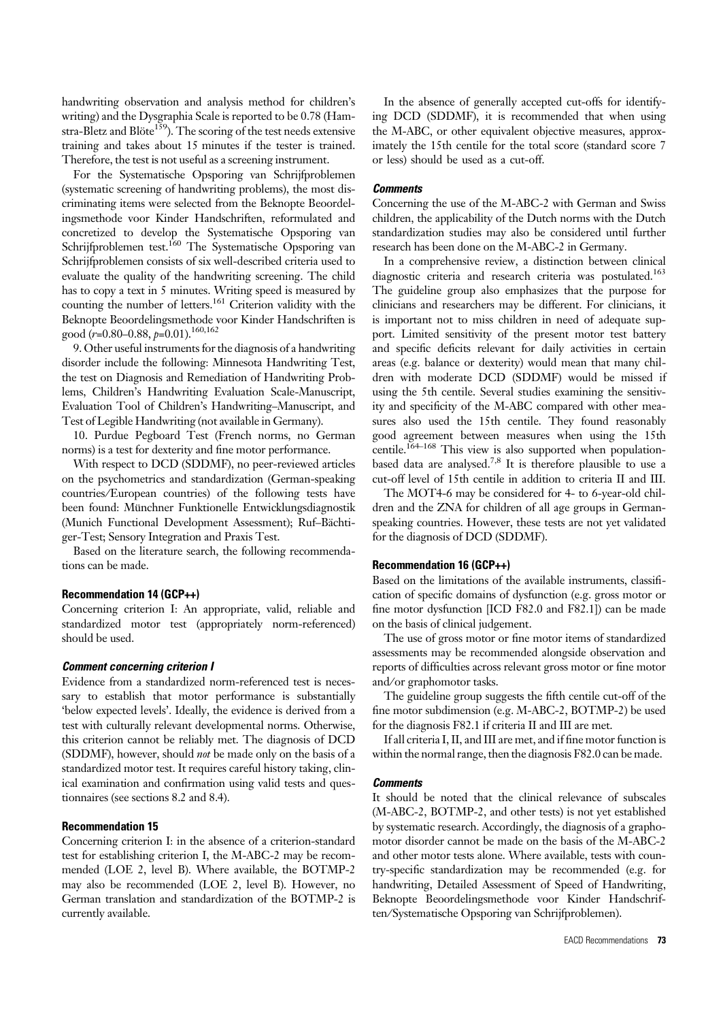handwriting observation and analysis method for children's writing) and the Dysgraphia Scale is reported to be 0.78 (Hamstra-Bletz and Blöte<sup>159</sup>). The scoring of the test needs extensive training and takes about 15 minutes if the tester is trained. Therefore, the test is not useful as a screening instrument.

For the Systematische Opsporing van Schrijfproblemen (systematic screening of handwriting problems), the most discriminating items were selected from the Beknopte Beoordelingsmethode voor Kinder Handschriften, reformulated and concretized to develop the Systematische Opsporing van Schrijfproblemen test.<sup>160</sup> The Systematische Opsporing van Schrijfproblemen consists of six well-described criteria used to evaluate the quality of the handwriting screening. The child has to copy a text in 5 minutes. Writing speed is measured by counting the number of letters. <sup>161</sup> Criterion validity with the Beknopte Beoordelingsmethode voor Kinder Handschriften is good ( $r=0.80-0.88$ ,  $p=0.01$ ).  $^{160,162}$ 

9. Other useful instruments for the diagnosis of a handwriting disorder include the following: Minnesota Handwriting Test, the test on Diagnosis and Remediation of Handwriting Problems, Children's Handwriting Evaluation Scale-Manuscript, Evaluation Tool of Children's Handwriting–Manuscript, and Test of Legible Handwriting (not available in Germany).

10. Purdue Pegboard Test (French norms, no German norms) is a test for dexterity and fine motor performance.

With respect to DCD (SDDMF), no peer-reviewed articles on the psychometrics and standardization (German-speaking countries⁄European countries) of the following tests have been found: Münchner Funktionelle Entwicklungsdiagnostik (Munich Functional Development Assessment); Ruf-Bächtiger-Test; Sensory Integration and Praxis Test.

Based on the literature search, the following recommendations can be made.

### Recommendation 14 (GCP++)

Concerning criterion I: An appropriate, valid, reliable and standardized motor test (appropriately norm-referenced) should be used.

### Comment concerning criterion I

Evidence from a standardized norm-referenced test is necessary to establish that motor performance is substantially 'below expected levels'. Ideally, the evidence is derived from a test with culturally relevant developmental norms. Otherwise, this criterion cannot be reliably met. The diagnosis of DCD (SDDMF), however, should not be made only on the basis of a standardized motor test. It requires careful history taking, clinical examination and confirmation using valid tests and questionnaires (see sections 8.2 and 8.4).

### Recommendation 15

Concerning criterion I: in the absence of a criterion-standard test for establishing criterion I, the M-ABC-2 may be recommended (LOE 2, level B). Where available, the BOTMP-2 may also be recommended (LOE 2, level B). However, no German translation and standardization of the BOTMP-2 is currently available.

In the absence of generally accepted cut-offs for identifying DCD (SDDMF), it is recommended that when using the M-ABC, or other equivalent objective measures, approximately the 15th centile for the total score (standard score 7 or less) should be used as a cut-off.

### **Comments**

Concerning the use of the M-ABC-2 with German and Swiss children, the applicability of the Dutch norms with the Dutch standardization studies may also be considered until further research has been done on the M-ABC-2 in Germany.

In a comprehensive review, a distinction between clinical diagnostic criteria and research criteria was postulated.<sup>163</sup> The guideline group also emphasizes that the purpose for clinicians and researchers may be different. For clinicians, it is important not to miss children in need of adequate support. Limited sensitivity of the present motor test battery and specific deficits relevant for daily activities in certain areas (e.g. balance or dexterity) would mean that many children with moderate DCD (SDDMF) would be missed if using the 5th centile. Several studies examining the sensitivity and specificity of the M-ABC compared with other measures also used the 15th centile. They found reasonably good agreement between measures when using the 15th centile.<sup>164-168</sup> This view is also supported when populationbased data are analysed.<sup>7,8</sup> It is therefore plausible to use a cut-off level of 15th centile in addition to criteria II and III.

The MOT4-6 may be considered for 4- to 6-year-old children and the ZNA for children of all age groups in Germanspeaking countries. However, these tests are not yet validated for the diagnosis of DCD (SDDMF).

# Recommendation 16 (GCP++)

Based on the limitations of the available instruments, classification of specific domains of dysfunction (e.g. gross motor or fine motor dysfunction [ICD F82.0 and F82.1]) can be made on the basis of clinical judgement.

The use of gross motor or fine motor items of standardized assessments may be recommended alongside observation and reports of difficulties across relevant gross motor or fine motor and/or graphomotor tasks.

The guideline group suggests the fifth centile cut-off of the fine motor subdimension (e.g. M-ABC-2, BOTMP-2) be used for the diagnosis F82.1 if criteria II and III are met.

If all criteria I, II, and III are met, and if fine motor function is within the normal range, then the diagnosis F82.0 can be made.

### **Comments**

It should be noted that the clinical relevance of subscales (M-ABC-2, BOTMP-2, and other tests) is not yet established by systematic research. Accordingly, the diagnosis of a graphomotor disorder cannot be made on the basis of the M-ABC-2 and other motor tests alone. Where available, tests with country-specific standardization may be recommended (e.g. for handwriting, Detailed Assessment of Speed of Handwriting, Beknopte Beoordelingsmethode voor Kinder Handschriften⁄Systematische Opsporing van Schrijfproblemen).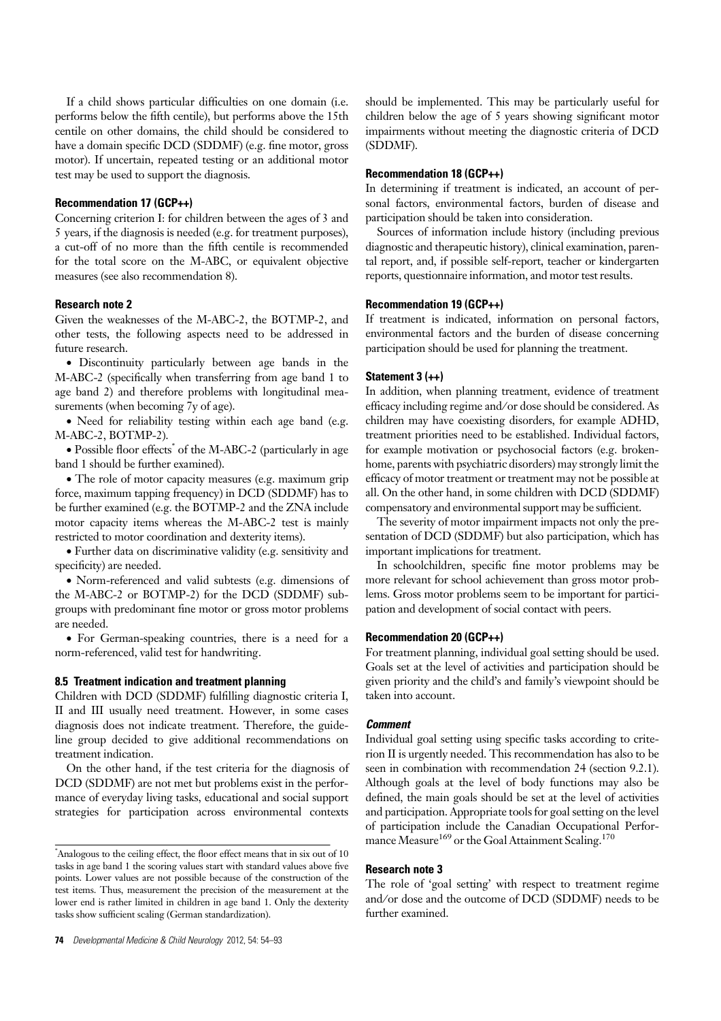If a child shows particular difficulties on one domain (i.e. performs below the fifth centile), but performs above the 15th centile on other domains, the child should be considered to have a domain specific DCD (SDDMF) (e.g. fine motor, gross motor). If uncertain, repeated testing or an additional motor test may be used to support the diagnosis.

### Recommendation 17 (GCP++)

Concerning criterion I: for children between the ages of 3 and 5 years, if the diagnosis is needed (e.g. for treatment purposes), a cut-off of no more than the fifth centile is recommended for the total score on the M-ABC, or equivalent objective measures (see also recommendation 8).

# Research note 2

Given the weaknesses of the M-ABC-2, the BOTMP-2, and other tests, the following aspects need to be addressed in future research.

• Discontinuity particularly between age bands in the M-ABC-2 (specifically when transferring from age band 1 to age band 2) and therefore problems with longitudinal measurements (when becoming  $7y$  of age).

• Need for reliability testing within each age band (e.g. M-ABC-2, BOTMP-2).

• Possible floor effects \* of the M-ABC-2 (particularly in age band 1 should be further examined).

• The role of motor capacity measures (e.g. maximum grip force, maximum tapping frequency) in DCD (SDDMF) has to be further examined (e.g. the BOTMP-2 and the ZNA include motor capacity items whereas the M-ABC-2 test is mainly restricted to motor coordination and dexterity items).

• Further data on discriminative validity (e.g. sensitivity and specificity) are needed.

• Norm-referenced and valid subtests (e.g. dimensions of the M-ABC-2 or BOTMP-2) for the DCD (SDDMF) subgroups with predominant fine motor or gross motor problems are needed.

• For German-speaking countries, there is a need for a norm-referenced, valid test for handwriting.

# 8.5 Treatment indication and treatment planning

Children with DCD (SDDMF) fulfilling diagnostic criteria I, II and III usually need treatment. However, in some cases diagnosis does not indicate treatment. Therefore, the guideline group decided to give additional recommendations on treatment indication.

On the other hand, if the test criteria for the diagnosis of DCD (SDDMF) are not met but problems exist in the performance of everyday living tasks, educational and social support strategies for participation across environmental contexts

should be implemented. This may be particularly useful for children below the age of 5 years showing significant motor impairments without meeting the diagnostic criteria of DCD (SDDMF).

### Recommendation 18 (GCP++)

In determining if treatment is indicated, an account of personal factors, environmental factors, burden of disease and participation should be taken into consideration.

Sources of information include history (including previous diagnostic and therapeutic history), clinical examination, parental report, and, if possible self-report, teacher or kindergarten reports, questionnaire information, and motor test results.

# Recommendation 19 (GCP++)

If treatment is indicated, information on personal factors, environmental factors and the burden of disease concerning participation should be used for planning the treatment.

# Statement 3 (++)

In addition, when planning treatment, evidence of treatment efficacy including regime and ⁄ or dose should be considered. As children may have coexisting disorders, for example ADHD, treatment priorities need to be established. Individual factors, for example motivation or psychosocial factors (e.g. brokenhome, parents with psychiatric disorders) may strongly limit the efficacy of motor treatment or treatment may not be possible at all. On the other hand, in some children with DCD (SDDMF) compensatory and environmental support may be sufficient.

The severity of motor impairment impacts not only the presentation of DCD (SDDMF) but also participation, which has important implications for treatment.

In schoolchildren, specific fine motor problems may be more relevant for school achievement than gross motor problems. Gross motor problems seem to be important for participation and development of social contact with peers.

# Recommendation 20 (GCP++)

For treatment planning, individual goal setting should be used. Goals set at the level of activities and participation should be given priority and the child's and family's viewpoint should be taken into account.

# **Comment**

Individual goal setting using specific tasks according to criterion II is urgently needed. This recommendation has also to be seen in combination with recommendation 24 (section 9.2.1). Although goals at the level of body functions may also be defined, the main goals should be set at the level of activities and participation. Appropriate tools for goal setting on the level of participation include the Canadian Occupational Performance Measure<sup>169</sup> or the Goal Attainment Scaling.<sup>170</sup>

# Research note 3

The role of 'goal setting' with respect to treatment regime and/or dose and the outcome of DCD (SDDMF) needs to be further examined.

<sup>\*</sup>Analogous to the ceiling effect, the floor effect means that in six out of 10 tasks in age band 1 the scoring values start with standard values above five points. Lower values are not possible because of the construction of the test items. Thus, measurement the precision of the measurement at the lower end is rather limited in children in age band 1. Only the dexterity tasks show sufficient scaling (German standardization).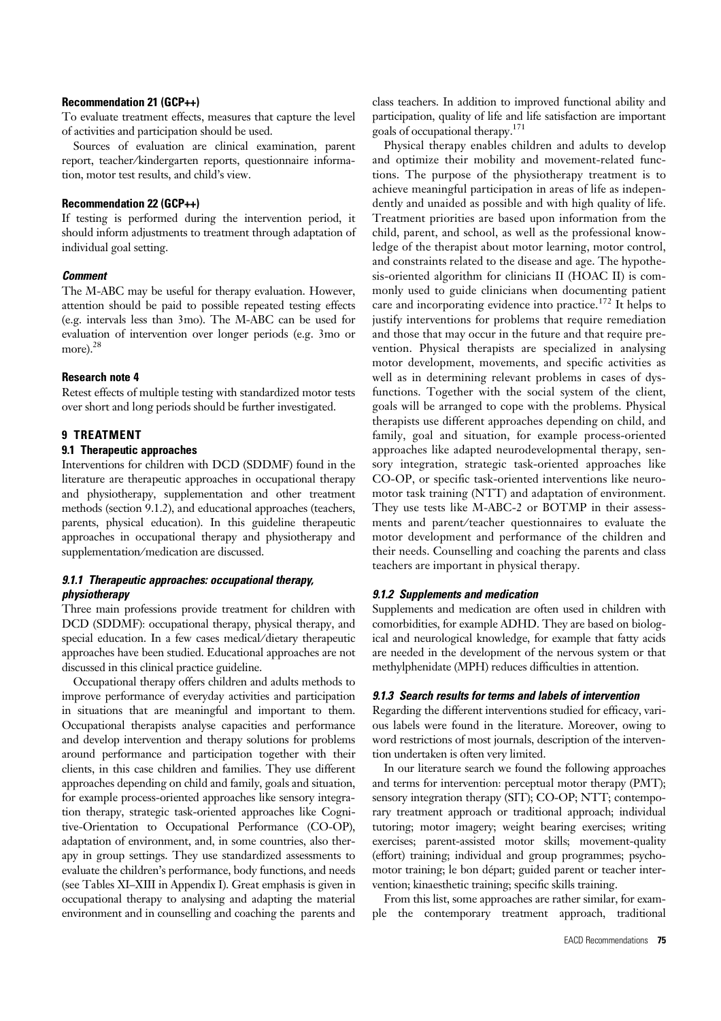# Recommendation 21 (GCP++)

To evaluate treatment effects, measures that capture the level of activities and participation should be used.

Sources of evaluation are clinical examination, parent report, teacher⁄ kindergarten reports, questionnaire information, motor test results, and child's view.

### Recommendation 22 (GCP++)

If testing is performed during the intervention period, it should inform adjustments to treatment through adaptation of individual goal setting.

# Comment

The M-ABC may be useful for therapy evaluation. However, attention should be paid to possible repeated testing effects (e.g. intervals less than 3mo). The M-ABC can be used for evaluation of intervention over longer periods (e.g. 3mo or more). $^{28}$ 

### Research note 4

Retest effects of multiple testing with standardized motor tests over short and long periods should be further investigated.

# **9 TREATMENT**

# 9.1 Therapeutic approaches

Interventions for children with DCD (SDDMF) found in the literature are therapeutic approaches in occupational therapy and physiotherapy, supplementation and other treatment methods (section 9.1.2), and educational approaches (teachers, parents, physical education). In this guideline therapeutic approaches in occupational therapy and physiotherapy and supplementation⁄medication are discussed.

# 9.1.1 Therapeutic approaches: occupational therapy, physiotherapy

Three main professions provide treatment for children with DCD (SDDMF): occupational therapy, physical therapy, and special education. In a few cases medical/dietary therapeutic approaches have been studied. Educational approaches are not discussed in this clinical practice guideline.

Occupational therapy offers children and adults methods to improve performance of everyday activities and participation in situations that are meaningful and important to them. Occupational therapists analyse capacities and performance and develop intervention and therapy solutions for problems around performance and participation together with their clients, in this case children and families. They use different approaches depending on child and family, goals and situation, for example process-oriented approaches like sensory integration therapy, strategic task-oriented approaches like Cognitive-Orientation to Occupational Performance (CO-OP), adaptation of environment, and, in some countries, also therapy in group settings. They use standardized assessments to evaluate the children's performance, body functions, and needs (see Tables XI–XIII in Appendix I). Great emphasis is given in occupational therapy to analysing and adapting the material environment and in counselling and coaching the parents and class teachers. In addition to improved functional ability and participation, quality of life and life satisfaction are important goals of occupational therapy. 171

Physical therapy enables children and adults to develop and optimize their mobility and movement-related functions. The purpose of the physiotherapy treatment is to achieve meaningful participation in areas of life as independently and unaided as possible and with high quality of life. Treatment priorities are based upon information from the child, parent, and school, as well as the professional knowledge of the therapist about motor learning, motor control, and constraints related to the disease and age. The hypothesis-oriented algorithm for clinicians II (HOAC II) is commonly used to guide clinicians when documenting patient care and incorporating evidence into practice. 172 It helps to justify interventions for problems that require remediation and those that may occur in the future and that require prevention. Physical therapists are specialized in analysing motor development, movements, and specific activities as well as in determining relevant problems in cases of dysfunctions. Together with the social system of the client, goals will be arranged to cope with the problems. Physical therapists use different approaches depending on child, and family, goal and situation, for example process-oriented approaches like adapted neurodevelopmental therapy, sensory integration, strategic task-oriented approaches like CO-OP, or specific task-oriented interventions like neuromotor task training (NTT) and adaptation of environment. They use tests like M-ABC-2 or BOTMP in their assessments and parent⁄teacher questionnaires to evaluate the motor development and performance of the children and their needs. Counselling and coaching the parents and class teachers are important in physical therapy.

### 9.1.2 Supplements and medication

Supplements and medication are often used in children with comorbidities, for example ADHD. They are based on biological and neurological knowledge, for example that fatty acids are needed in the development of the nervous system or that methylphenidate (MPH) reduces difficulties in attention.

### 9.1.3 Search results for terms and labels of intervention

Regarding the different interventions studied for efficacy, various labels were found in the literature. Moreover, owing to word restrictions of most journals, description of the intervention undertaken is often very limited.

In our literature search we found the following approaches and terms for intervention: perceptual motor therapy (PMT); sensory integration therapy (SIT); CO-OP; NTT; contemporary treatment approach or traditional approach; individual tutoring; motor imagery; weight bearing exercises; writing exercises; parent-assisted motor skills; movement-quality (effort) training; individual and group programmes; psychomotor training; le bon départ; guided parent or teacher intervention; kinaesthetic training; specific skills training.

From this list, some approaches are rather similar, for example the contemporary treatment approach, traditional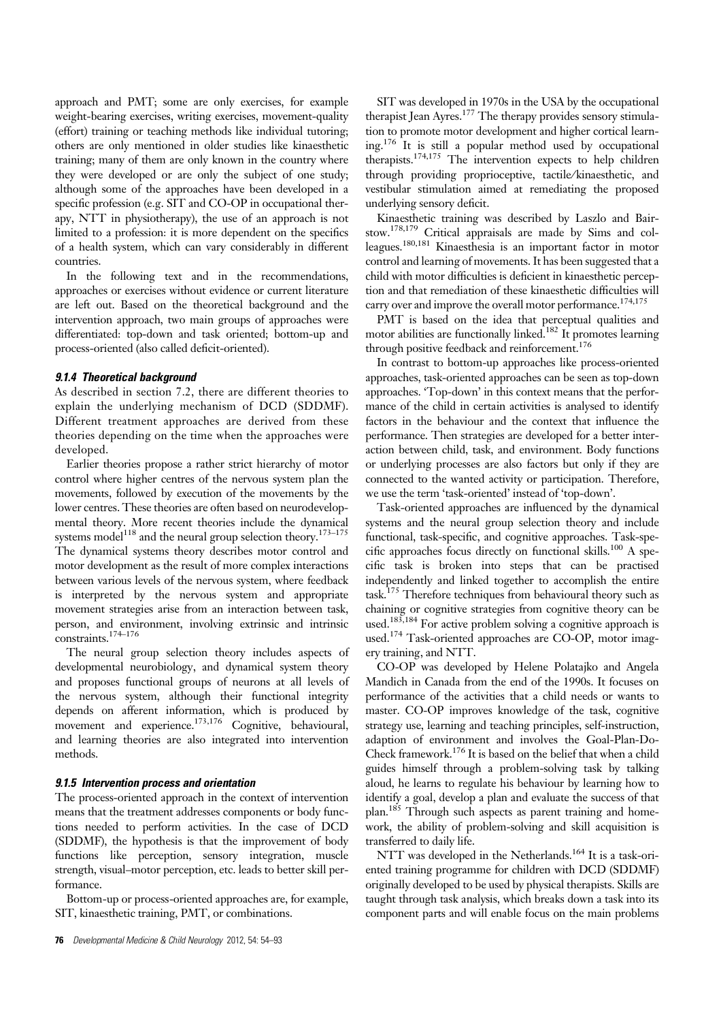approach and PMT; some are only exercises, for example weight-bearing exercises, writing exercises, movement-quality (effort) training or teaching methods like individual tutoring; others are only mentioned in older studies like kinaesthetic training; many of them are only known in the country where they were developed or are only the subject of one study; although some of the approaches have been developed in a specific profession (e.g. SIT and CO-OP in occupational therapy, NTT in physiotherapy), the use of an approach is not limited to a profession: it is more dependent on the specifics of a health system, which can vary considerably in different countries.

In the following text and in the recommendations, approaches or exercises without evidence or current literature are left out. Based on the theoretical background and the intervention approach, two main groups of approaches were differentiated: top-down and task oriented; bottom-up and process-oriented (also called deficit-oriented).

# 9.1.4 Theoretical background

As described in section 7.2, there are different theories to explain the underlying mechanism of DCD (SDDMF). Different treatment approaches are derived from these theories depending on the time when the approaches were developed.

Earlier theories propose a rather strict hierarchy of motor control where higher centres of the nervous system plan the movements, followed by execution of the movements by the lower centres. These theories are often based on neurodevelopmental theory. More recent theories include the dynamical systems model<sup>118</sup> and the neural group selection theory.<sup>173-175</sup> The dynamical systems theory describes motor control and motor development as the result of more complex interactions between various levels of the nervous system, where feedback is interpreted by the nervous system and appropriate movement strategies arise from an interaction between task, person, and environment, involving extrinsic and intrinsic constraints. 174–176

The neural group selection theory includes aspects of developmental neurobiology, and dynamical system theory and proposes functional groups of neurons at all levels of the nervous system, although their functional integrity depends on afferent information, which is produced by movement and experience.<sup>173,176</sup> Cognitive, behavioural, and learning theories are also integrated into intervention methods.

### 9.1.5 Intervention process and orientation

The process-oriented approach in the context of intervention means that the treatment addresses components or body functions needed to perform activities. In the case of DCD (SDDMF), the hypothesis is that the improvement of body functions like perception, sensory integration, muscle strength, visual–motor perception, etc. leads to better skill performance.

Bottom-up or process-oriented approaches are, for example, SIT, kinaesthetic training, PMT, or combinations.

SIT was developed in 1970s in the USA by the occupational therapist Jean Ayres.<sup>177</sup> The therapy provides sensory stimulation to promote motor development and higher cortical learning. 176 It is still a popular method used by occupational therapists.<sup>174,175</sup> The intervention expects to help children through providing proprioceptive, tactile/kinaesthetic, and vestibular stimulation aimed at remediating the proposed underlying sensory deficit.

Kinaesthetic training was described by Laszlo and Bairstow.<sup>178,179</sup> Critical appraisals are made by Sims and colleagues. 180,181 Kinaesthesia is an important factor in motor control and learning of movements. It has been suggested that a child with motor difficulties is deficient in kinaesthetic perception and that remediation of these kinaesthetic difficulties will carry over and improve the overall motor performance.<sup>174,175</sup>

PMT is based on the idea that perceptual qualities and motor abilities are functionally linked. 182 It promotes learning through positive feedback and reinforcement. 176

In contrast to bottom-up approaches like process-oriented approaches, task-oriented approaches can be seen as top-down approaches. 'Top-down' in this context means that the performance of the child in certain activities is analysed to identify factors in the behaviour and the context that influence the performance. Then strategies are developed for a better interaction between child, task, and environment. Body functions or underlying processes are also factors but only if they are connected to the wanted activity or participation. Therefore, we use the term 'task-oriented' instead of 'top-down'.

Task-oriented approaches are influenced by the dynamical systems and the neural group selection theory and include functional, task-specific, and cognitive approaches. Task-specific approaches focus directly on functional skills.<sup>100</sup> A specific task is broken into steps that can be practised independently and linked together to accomplish the entire task.<sup>175</sup> Therefore techniques from behavioural theory such as chaining or cognitive strategies from cognitive theory can be used.<sup>183,184</sup> For active problem solving a cognitive approach is used. <sup>174</sup> Task-oriented approaches are CO-OP, motor imagery training, and NTT.

CO-OP was developed by Helene Polatajko and Angela Mandich in Canada from the end of the 1990s. It focuses on performance of the activities that a child needs or wants to master. CO-OP improves knowledge of the task, cognitive strategy use, learning and teaching principles, self-instruction, adaption of environment and involves the Goal-Plan-Do-Check framework. 176 It is based on the belief that when a child guides himself through a problem-solving task by talking aloud, he learns to regulate his behaviour by learning how to identify a goal, develop a plan and evaluate the success of that plan.<sup>185</sup> Through such aspects as parent training and homework, the ability of problem-solving and skill acquisition is transferred to daily life.

NTT was developed in the Netherlands.<sup>164</sup> It is a task-oriented training programme for children with DCD (SDDMF) originally developed to be used by physical therapists. Skills are taught through task analysis, which breaks down a task into its component parts and will enable focus on the main problems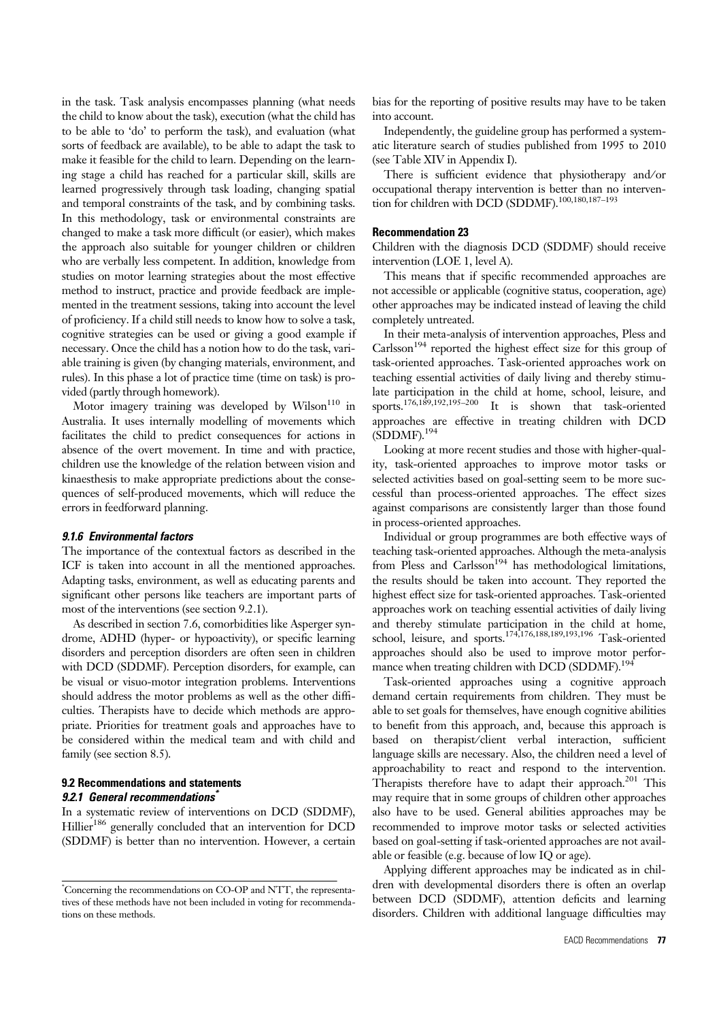in the task. Task analysis encompasses planning (what needs the child to know about the task), execution (what the child has to be able to 'do' to perform the task), and evaluation (what sorts of feedback are available), to be able to adapt the task to make it feasible for the child to learn. Depending on the learning stage a child has reached for a particular skill, skills are learned progressively through task loading, changing spatial and temporal constraints of the task, and by combining tasks. In this methodology, task or environmental constraints are changed to make a task more difficult (or easier), which makes the approach also suitable for younger children or children who are verbally less competent. In addition, knowledge from studies on motor learning strategies about the most effective method to instruct, practice and provide feedback are implemented in the treatment sessions, taking into account the level of proficiency. If a child still needs to know how to solve a task, cognitive strategies can be used or giving a good example if necessary. Once the child has a notion how to do the task, variable training is given (by changing materials, environment, and rules). In this phase a lot of practice time (time on task) is provided (partly through homework).

Motor imagery training was developed by Wilson<sup>110</sup> in Australia. It uses internally modelling of movements which facilitates the child to predict consequences for actions in absence of the overt movement. In time and with practice, children use the knowledge of the relation between vision and kinaesthesis to make appropriate predictions about the consequences of self-produced movements, which will reduce the errors in feedforward planning.

# 9.1.6 Environmental factors

The importance of the contextual factors as described in the ICF is taken into account in all the mentioned approaches. Adapting tasks, environment, as well as educating parents and significant other persons like teachers are important parts of most of the interventions (see section 9.2.1).

As described in section 7.6, comorbidities like Asperger syndrome, ADHD (hyper- or hypoactivity), or specific learning disorders and perception disorders are often seen in children with DCD (SDDMF). Perception disorders, for example, can be visual or visuo-motor integration problems. Interventions should address the motor problems as well as the other difficulties. Therapists have to decide which methods are appropriate. Priorities for treatment goals and approaches have to be considered within the medical team and with child and family (see section 8.5).

# 9.2 Recommendations and statements 9.2.1 General recommendations \*

In a systematic review of interventions on DCD (SDDMF), Hillier<sup>186</sup> generally concluded that an intervention for DCD (SDDMF) is better than no intervention. However, a certain bias for the reporting of positive results may have to be taken into account.

Independently, the guideline group has performed a systematic literature search of studies published from 1995 to 2010 (see Table XIV in Appendix I).

There is sufficient evidence that physiotherapy and/or occupational therapy intervention is better than no intervention for children with DCD (SDDMF).<sup>100,180,187–193</sup>

# Recommendation 23

Children with the diagnosis DCD (SDDMF) should receive intervention (LOE 1, level A).

This means that if specific recommended approaches are not accessible or applicable (cognitive status, cooperation, age) other approaches may be indicated instead of leaving the child completely untreated.

In their meta-analysis of intervention approaches, Pless and Carlsson<sup>194</sup> reported the highest effect size for this group of task-oriented approaches. Task-oriented approaches work on teaching essential activities of daily living and thereby stimulate participation in the child at home, school, leisure, and sports. 176,189,192,195–200 It is shown that task-oriented approaches are effective in treating children with DCD (SDDMF). 194

Looking at more recent studies and those with higher-quality, task-oriented approaches to improve motor tasks or selected activities based on goal-setting seem to be more successful than process-oriented approaches. The effect sizes against comparisons are consistently larger than those found in process-oriented approaches.

Individual or group programmes are both effective ways of teaching task-oriented approaches. Although the meta-analysis from Pless and Carlsson<sup>194</sup> has methodological limitations, the results should be taken into account. They reported the highest effect size for task-oriented approaches. Task-oriented approaches work on teaching essential activities of daily living and thereby stimulate participation in the child at home, school, leisure, and sports.<sup>174,176,188,189,193,196</sup> Task-oriented approaches should also be used to improve motor performance when treating children with DCD (SDDMF).<sup>194</sup>

Task-oriented approaches using a cognitive approach demand certain requirements from children. They must be able to set goals for themselves, have enough cognitive abilities to benefit from this approach, and, because this approach is based on therapist⁄ client verbal interaction, sufficient language skills are necessary. Also, the children need a level of approachability to react and respond to the intervention. Therapists therefore have to adapt their approach.<sup>201</sup> This may require that in some groups of children other approaches also have to be used. General abilities approaches may be recommended to improve motor tasks or selected activities based on goal-setting if task-oriented approaches are not available or feasible (e.g. because of low IQ or age).

Applying different approaches may be indicated as in children with developmental disorders there is often an overlap between DCD (SDDMF), attention deficits and learning disorders. Children with additional language difficulties may

<sup>\*</sup>Concerning the recommendations on CO-OP and NTT, the representatives of these methods have not been included in voting for recommendations on these methods.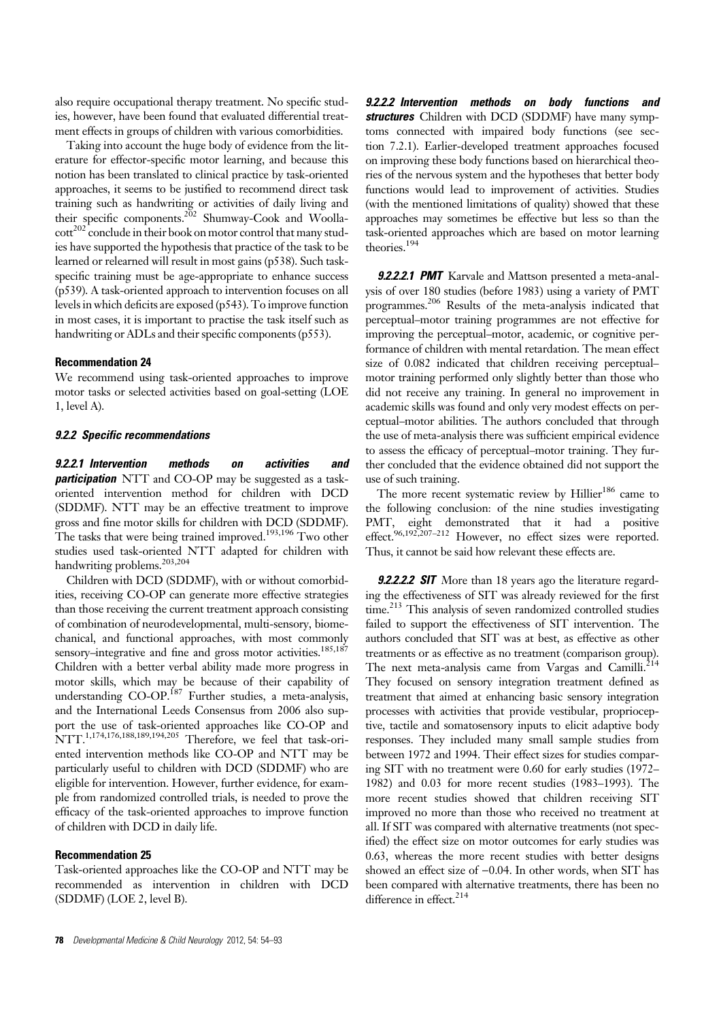also require occupational therapy treatment. No specific studies, however, have been found that evaluated differential treatment effects in groups of children with various comorbidities.

Taking into account the huge body of evidence from the literature for effector-specific motor learning, and because this notion has been translated to clinical practice by task-oriented approaches, it seems to be justified to recommend direct task training such as handwriting or activities of daily living and their specific components.<sup>202</sup> Shumway-Cook and Woollacott<sup>202</sup> conclude in their book on motor control that many studies have supported the hypothesis that practice of the task to be learned or relearned will result in most gains (p538). Such taskspecific training must be age-appropriate to enhance success (p53 9). A task-oriented approach to intervention focuses on all levels in which deficits are exposed (p543). To improve function in most cases, it is important to practise the task itself such as handwriting or ADLs and their specific components (p553).

### Recommendation 24

We recommend using task-oriented approaches to improve motor tasks or selected activities based on goal-setting (LOE 1, level A).

### 9.2.2 Specific recommendations

9.2.2.1 Intervention methods on activities and **participation** NTT and CO-OP may be suggested as a taskoriented intervention method for children with DCD (SDDMF). NTT may be an effective treatment to improve gross and fine motor skills for children with DCD (SDDMF). The tasks that were being trained improved.<sup>193,196</sup> Two other studies used task-oriented NTT adapted for children with handwriting problems.<sup>203,204</sup>

Children with DCD (SDDMF), with or without comorbidities, receiving CO-OP can generate more effective strategies than those receiving the current treatment approach consisting of combination of neurodevelopmental, multi-sensory, biomechanical, and functional approaches, with most commonly sensory-integrative and fine and gross motor activities.<sup>185,187</sup> Children with a better verbal ability made more progress in motor skills, which may be because of their capability of understanding CO-OP.<sup>187</sup> Further studies, a meta-analysis, and the International Leeds Consensus from 2006 also support the use of task-oriented approaches like CO-OP and NTT.<sup>1,174,176,188,189,194,205</sup> Therefore, we feel that task-oriented intervention methods like CO-OP and NTT may be particularly useful to children with DCD (SDDMF) who are eligible for intervention. However, further evidence, for example from randomized controlled trials, is needed to prove the efficacy of the task-oriented approaches to improve function of children with DCD in daily life.

# Recommendation 25

Task-oriented approaches like the CO-OP and NTT may be recommended as intervention in children with DCD (SDDMF) (LOE 2, level B).

9.2.2.2 Intervention methods on body functions and structures Children with DCD (SDDMF) have many symptoms connected with impaired body functions (see section 7.2.1). Earlier-developed treatment approaches focused on improving these body functions based on hierarchical theories of the nervous system and the hypotheses that better body functions would lead to improvement of activities. Studies (with the mentioned limitations of quality) showed that these approaches may sometimes be effective but less so than the task-oriented approaches which are based on motor learning theories. 194

9.2.2.2.1 PMT Karvale and Mattson presented a meta-analysis of over 180 studies (before 1983) using a variety of PMT programmes. <sup>206</sup> Results of the meta-analysis indicated that perceptual–motor training programmes are not effective for improving the perceptual–motor, academic, or cognitive performance of children with mental retardation. The mean effect size of 0.082 indicated that children receiving perceptual– motor training performed only slightly better than those who did not receive any training. In general no improvement in academic skills was found and only very modest effects on perceptual–motor abilities. The authors concluded that through the use of meta-analysis there was sufficient empirical evidence to assess the efficacy of perceptual–motor training. They further concluded that the evidence obtained did not support the use of such training.

The more recent systematic review by Hillier<sup>186</sup> came to the following conclusion: of the nine studies investigating PMT, eight demonstrated that it had a positive effect.<sup>96,192,207-212</sup> However, no effect sizes were reported. Thus, it cannot be said how relevant these effects are.

**9.2.2.2.2 SIT** More than 18 years ago the literature regarding the effectiveness of SIT was already reviewed for the first time.<sup>213</sup> This analysis of seven randomized controlled studies failed to support the effectiveness of SIT intervention. The authors concluded that SIT was at best, as effective as other treatments or as effective as no treatment (comparison group). The next meta-analysis came from Vargas and Camilli.<sup>214</sup> They focused on sensory integration treatment defined as treatment that aimed at enhancing basic sensory integration processes with activities that provide vestibular, proprioceptive, tactile and somatosensory inputs to elicit adaptive body responses. They included many small sample studies from between 1972 and 1994. Their effect sizes for studies comparing SIT with no treatment were 0.60 for early studies (1972– 1982) and 0.03 for more recent studies (1983–1993). The more recent studies showed that children receiving SIT improved no more than those who received no treatment at all. If SIT was compared with alternative treatments (not specified) the effect size on motor outcomes for early studies was 0.63, whereas the more recent studies with better designs showed an effect size of  $-0.04$ . In other words, when SIT has been compared with alternative treatments, there has been no difference in effect.<sup>214</sup>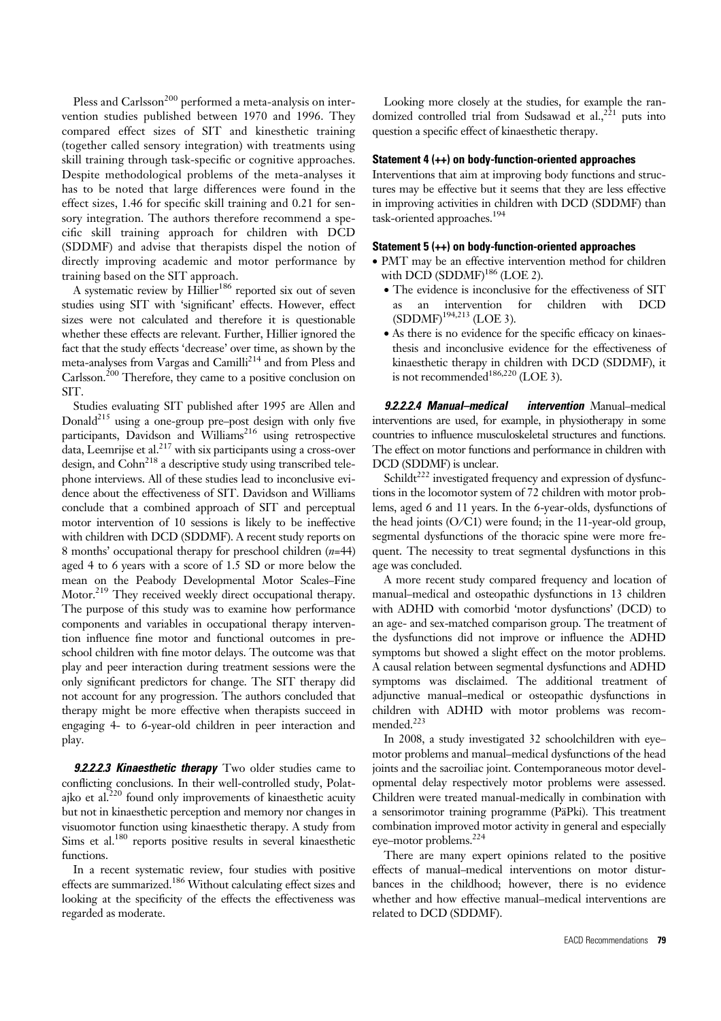Pless and Carlsson<sup>200</sup> performed a meta-analysis on intervention studies published between 1970 and 1996. They compared effect sizes of SIT and kinesthetic training (together called sensory integration) with treatments using skill training through task-specific or cognitive approaches. Despite methodological problems of the meta-analyses it has to be noted that large differences were found in the effect sizes, 1.46 for specific skill training and 0.21 for sensory integration. The authors therefore recommend a specific skill training approach for children with DCD (SDDMF) and advise that therapists dispel the notion of directly improving academic and motor performance by training based on the SIT approach.

A systematic review by Hillier<sup>186</sup> reported six out of seven studies using SIT with 'significant' effects. However, effect sizes were not calculated and therefore it is questionable whether these effects are relevant. Further, Hillier ignored the fact that the study effects 'decrease' over time, as shown by the meta-analyses from Vargas and Camilli<sup>214</sup> and from Pless and Carlsson.<sup>200</sup> Therefore, they came to a positive conclusion on SIT.

Studies evaluating SIT published after 1995 are Allen and Donald<sup>215</sup> using a one-group pre-post design with only five participants, Davidson and Williams<sup>216</sup> using retrospective data, Leemrijse et al. <sup>217</sup> with six participants using a cross-over design, and Cohn<sup>218</sup> a descriptive study using transcribed telephone interviews. All of these studies lead to inconclusive evidence about the effectiveness of SIT. Davidson and Williams conclude that a combined approach of SIT and perceptual motor intervention of 10 sessions is likely to be ineffective with children with DCD (SDDMF). A recent study reports on 8 months' occupational therapy for preschool children  $(n=44)$ aged 4 to 6 years with a score of 1.5 SD or more below the mean on the Peabody Developmental Motor Scales–Fine Motor.<sup>219</sup> They received weekly direct occupational therapy. The purpose of this study was to examine how performance components and variables in occupational therapy intervention influence fine motor and functional outcomes in preschool children with fine motor delays. The outcome was that play and peer interaction during treatment sessions were the only significant predictors for change. The SIT therapy did not account for any progression. The authors concluded that therapy might be more effective when therapists succeed in engaging 4- to 6-year-old children in peer interaction and play.

9.2.2.2.3 Kinaesthetic therapy Two older studies came to conflicting conclusions. In their well-controlled study, Polatajko et al.<sup>220</sup> found only improvements of kinaesthetic acuity but not in kinaesthetic perception and memory nor changes in visuomotor function using kinaesthetic therapy. A study from Sims et al.<sup>180</sup> reports positive results in several kinaesthetic functions.

In a recent systematic review, four studies with positive effects are summarized.<sup>186</sup> Without calculating effect sizes and looking at the specificity of the effects the effectiveness was regarded as moderate.

Looking more closely at the studies, for example the randomized controlled trial from Sudsawad et al.,<sup>221</sup> puts into question a specific effect of kinaesthetic therapy.

### Statement 4 (++) on body-function-oriented approaches

Interventions that aim at improving body functions and structures may be effective but it seems that they are less effective in improving activities in children with DCD (SDDMF) than task-oriented approaches. 194

# Statement 5 (++) on body-function-oriented approaches

- PMT may be an effective intervention method for children with DCD (SDDMF)<sup>186</sup> (LOE 2).
	- The evidence is inconclusive for the effectiveness of SIT as an intervention for children with DCD  $(SDDMF)^{194,213}$  (LOE 3).
	- As there is no evidence for the specific efficacy on kinaesthesis and inconclusive evidence for the effectiveness of kinaesthetic therapy in children with DCD (SDDMF), it is not recommended<sup>186,220</sup> (LOE 3).

9.2.2.2.4 Manual–medical intervention Manual–medical interventions are used, for example, in physiotherapy in some countries to influence musculoskeletal structures and functions. The effect on motor functions and performance in children with DCD (SDDMF) is unclear.

Schildt<sup>222</sup> investigated frequency and expression of dysfunctions in the locomotor system of 72 children with motor problems, aged 6 and 11 years. In the 6-year-olds, dysfunctions of the head joints  $(O/C1)$  were found; in the 11-year-old group, segmental dysfunctions of the thoracic spine were more frequent. The necessity to treat segmental dysfunctions in this age was concluded.

A more recent study compared frequency and location of manual–medical and osteopathic dysfunctions in 13 children with ADHD with comorbid 'motor dysfunctions' (DCD) to an age- and sex-matched comparison group. The treatment of the dysfunctions did not improve or influence the ADHD symptoms but showed a slight effect on the motor problems. A causal relation between segmental dysfunctions and ADHD symptoms was disclaimed. The additional treatment of adjunctive manual–medical or osteopathic dysfunctions in children with ADHD with motor problems was recommended.<sup>223</sup>

In 2008, a study investigated 32 schoolchildren with eyemotor problems and manual–medical dysfunctions of the head joints and the sacroiliac joint. Contemporaneous motor developmental delay respectively motor problems were assessed. Children were treated manual-medically in combination with a sensorimotor training programme (PäPki). This treatment combination improved motor activity in general and especially eye–motor problems. 224

There are many expert opinions related to the positive effects of manual–medical interventions on motor disturbances in the childhood; however, there is no evidence whether and how effective manual–medical interventions are related to DCD (SDDMF).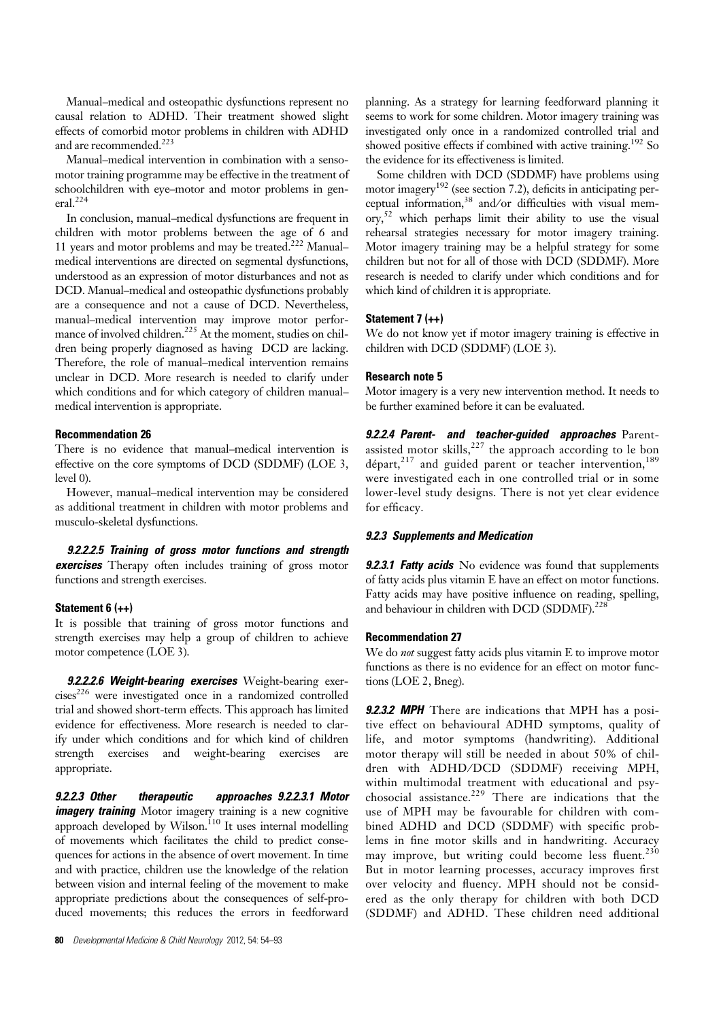Manual–medical and osteopathic dysfunctions represent no causal relation to ADHD. Their treatment showed slight effects of comorbid motor problems in children with ADHD and are recommended.<sup>223</sup>

Manual–medical intervention in combination with a sensomotor training programme may be effective in the treatment of schoolchildren with eye–motor and motor problems in general. 224

In conclusion, manual–medical dysfunctions are frequent in children with motor problems between the age of 6 and 11 years and motor problems and may be treated. <sup>222</sup> Manual– medical interventions are directed on segmental dysfunctions, understood as an expression of motor disturbances and not as DCD. Manual–medical and osteopathic dysfunctions probably are a consequence and not a cause of DCD. Nevertheless, manual–medical intervention may improve motor performance of involved children.<sup>225</sup> At the moment, studies on children being properly diagnosed as having DCD are lacking. Therefore, the role of manual–medical intervention remains unclear in DCD. More research is needed to clarify under which conditions and for which category of children manual– medical intervention is appropriate.

### Recommendation 26

There is no evidence that manual–medical intervention is effective on the core symptoms of DCD (SDDMF) (LOE 3 , level 0).

However, manual–medical intervention may be considered as additional treatment in children with motor problems and musculo-skeletal dysfunctions.

9.2.2.2.5 Training of gross motor functions and strength **exercises** Therapy often includes training of gross motor functions and strength exercises.

### Statement 6 (++)

It is possible that training of gross motor functions and strength exercises may help a group of children to achieve motor competence (LOE 3).

9.2.2.2.6 Weight-bearing exercises Weight-bearing exercises <sup>226</sup> were investigated once in a randomized controlled trial and showed short-term effects. This approach has limited evidence for effectiveness. More research is needed to clarify under which conditions and for which kind of children strength exercises and weight-bearing exercises are appropriate.

9.2.2.3 Other therapeutic approaches 9.2.2.3.1 Motor imagery training Motor imagery training is a new cognitive approach developed by Wilson.<sup>110</sup> It uses internal modelling of movements which facilitates the child to predict consequences for actions in the absence of overt movement. In time and with practice, children use the knowledge of the relation between vision and internal feeling of the movement to make appropriate predictions about the consequences of self-produced movements; this reduces the errors in feedforward

planning. As a strategy for learning feedforward planning it seems to work for some children. Motor imagery training was investigated only once in a randomized controlled trial and showed positive effects if combined with active training.<sup>192</sup> So the evidence for its effectiveness is limited.

Some children with DCD (SDDMF) have problems using motor imagery<sup>192</sup> (see section 7.2), deficits in anticipating perceptual information,<sup>38</sup> and/or difficulties with visual memory, <sup>52</sup> which perhaps limit their ability to use the visual rehearsal strategies necessary for motor imagery training. Motor imagery training may be a helpful strategy for some children but not for all of those with DCD (SDDMF). More research is needed to clarify under which conditions and for which kind of children it is appropriate.

# Statement 7 (++)

We do not know yet if motor imagery training is effective in children with DCD (SDDMF) (LOE 3).

### Research note 5

Motor imagery is a very new intervention method. It needs to be further examined before it can be evaluated.

9.2.2.4 Parent- and teacher-guided approaches Parentassisted motor skills,<sup>227</sup> the approach according to le bon départ,<sup>217</sup> and guided parent or teacher intervention,<sup>189</sup> were investigated each in one controlled trial or in some lower-level study designs. There is not yet clear evidence for efficacy.

# 9.2.3 Supplements and Medication

**9.2.3.1 Fatty acids** No evidence was found that supplements of fatty acids plus vitamin E have an effect on motor functions. Fatty acids may have positive influence on reading, spelling, and behaviour in children with DCD (SDDMF).<sup>228</sup>

# Recommendation 27

We do *not* suggest fatty acids plus vitamin E to improve motor functions as there is no evidence for an effect on motor functions (LOE 2, Bneg).

**9.2.3.2 MPH** There are indications that MPH has a positive effect on behavioural ADHD symptoms, quality of life, and motor symptoms (handwriting). Additional motor therapy will still be needed in about 50% of children with ADHD/DCD (SDDMF) receiving MPH, within multimodal treatment with educational and psychosocial assistance. <sup>229</sup> There are indications that the use of MPH may be favourable for children with combined ADHD and DCD (SDDMF) with specific problems in fine motor skills and in handwriting. Accuracy may improve, but writing could become less fluent.<sup>230</sup> But in motor learning processes, accuracy improves first over velocity and fluency. MPH should not be considered as the only therapy for children with both DCD (SDDMF) and ADHD. These children need additional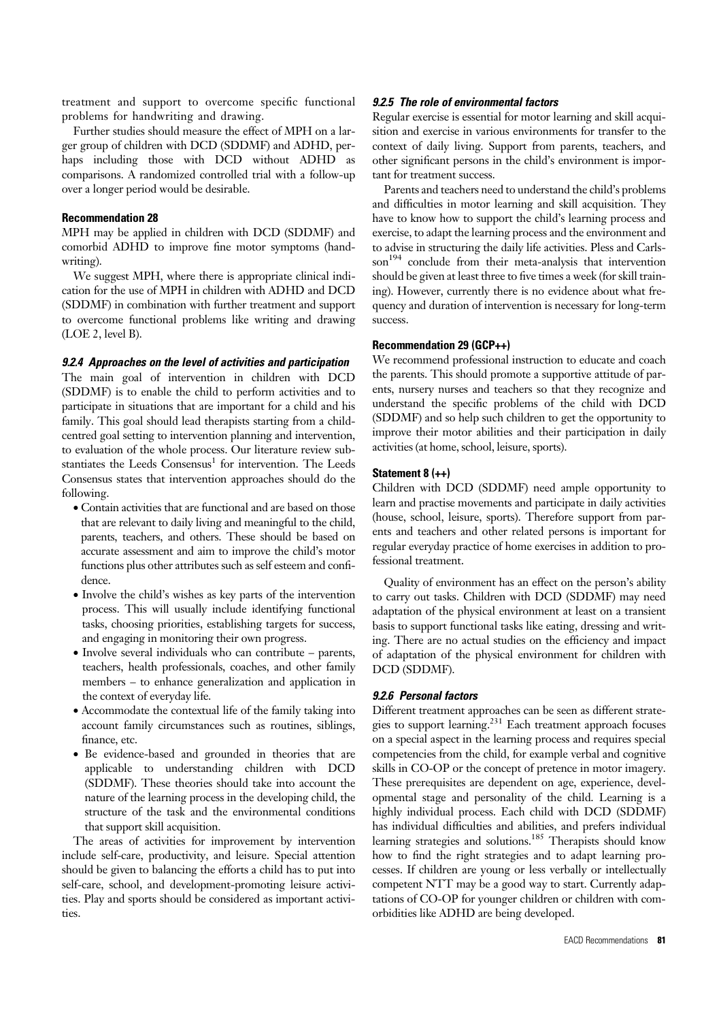treatment and support to overcome specific functional problems for handwriting and drawing.

Further studies should measure the effect of MPH on a larger group of children with DCD (SDDMF) and ADHD, perhaps including those with DCD without ADHD as comparisons. A randomized controlled trial with a follow-up over a longer period would be desirable.

### Recommendation 28

MPH may be applied in children with DCD (SDDMF) and comorbid ADHD to improve fine motor symptoms (handwriting).

We suggest MPH, where there is appropriate clinical indication for the use of MPH in children with ADHD and DCD (SDDMF) in combination with further treatment and support to overcome functional problems like writing and drawing (LOE 2, level B).

### 9.2.4 Approaches on the level of activities and participation

The main goal of intervention in children with DCD (SDDMF) is to enable the child to perform activities and to participate in situations that are important for a child and his family. This goal should lead therapists starting from a childcentred goal setting to intervention planning and intervention, to evaluation of the whole process. Our literature review substantiates the Leeds Consensus 1 for intervention. The Leeds Consensus states that intervention approaches should do the following.

- Contain activities that are functional and are based on those that are relevant to daily living and meaningful to the child, parents, teachers, and others. These should be based on accurate assessment and aim to improve the child's motor functions plus other attributes such as self esteem and confidence.
- Involve the child's wishes as key parts of the intervention process. This will usually include identifying functional tasks, choosing priorities, establishing targets for success, and engaging in monitoring their own progress.
- Involve several individuals who can contribute parents, teachers, health professionals, coaches, and other family members – to enhance generalization and application in the context of everyday life.
- Accommodate the contextual life of the family taking into account family circumstances such as routines, siblings, finance, etc.
- Be evidence-based and grounded in theories that are applicable to understanding children with DCD (SDDMF). These theories should take into account the nature of the learning process in the developing child, the structure of the task and the environmental conditions that support skill acquisition.

The areas of activities for improvement by intervention include self-care, productivity, and leisure. Special attention should be given to balancing the efforts a child has to put into self-care, school, and development-promoting leisure activities. Play and sports should be considered as important activities.

# 9.2.5 The role of environmental factors

Regular exercise is essential for motor learning and skill acquisition and exercise in various environments for transfer to the context of daily living. Support from parents, teachers, and other significant persons in the child's environment is important for treatment success.

Parents and teachers need to understand the child's problems and difficulties in motor learning and skill acquisition. They have to know how to support the child's learning process and exercise, to adapt the learning process and the environment and to advise in structuring the daily life activities. Pless and Carlsson<sup>194</sup> conclude from their meta-analysis that intervention should be given at least three to five times a week (for skill training). However, currently there is no evidence about what frequency and duration of intervention is necessary for long-term success.

# Recommendation 29 (GCP++)

We recommend professional instruction to educate and coach the parents. This should promote a supportive attitude of parents, nursery nurses and teachers so that they recognize and understand the specific problems of the child with DCD (SDDMF) and so help such children to get the opportunity to improve their motor abilities and their participation in daily activities (at home, school, leisure, sports).

# Statement 8 (++)

Children with DCD (SDDMF) need ample opportunity to learn and practise movements and participate in daily activities (house, school, leisure, sports). Therefore support from parents and teachers and other related persons is important for regular everyday practice of home exercises in addition to professional treatment.

Quality of environment has an effect on the person's ability to carry out tasks. Children with DCD (SDDMF) may need adaptation of the physical environment at least on a transient basis to support functional tasks like eating, dressing and writing. There are no actual studies on the efficiency and impact of adaptation of the physical environment for children with DCD (SDDMF).

# 9.2.6 Personal factors

Different treatment approaches can be seen as different strategies to support learning.<sup>231</sup> Each treatment approach focuses on a special aspect in the learning process and requires special competencies from the child, for example verbal and cognitive skills in CO-OP or the concept of pretence in motor imagery. These prerequisites are dependent on age, experience, developmental stage and personality of the child. Learning is a highly individual process. Each child with DCD (SDDMF) has individual difficulties and abilities, and prefers individual learning strategies and solutions.<sup>185</sup> Therapists should know how to find the right strategies and to adapt learning processes. If children are young or less verbally or intellectually competent NTT may be a good way to start. Currently adaptations of CO-OP for younger children or children with comorbidities like ADHD are being developed.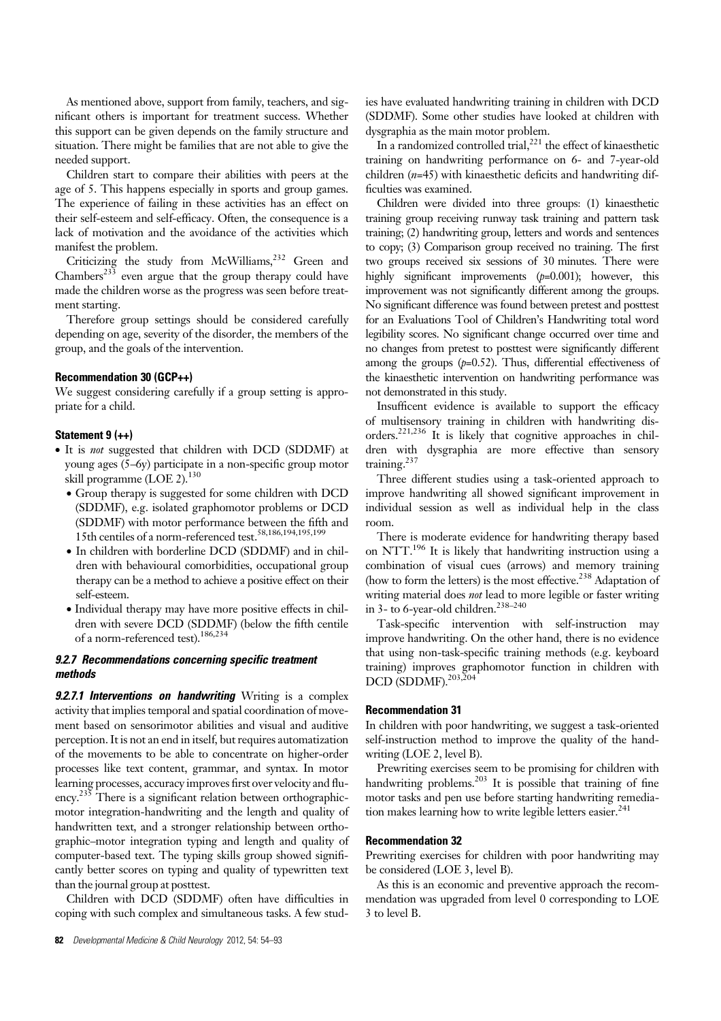As mentioned above, support from family, teachers, and significant others is important for treatment success. Whether this support can be given depends on the family structure and situation. There might be families that are not able to give the needed support.

Children start to compare their abilities with peers at the age of 5. This happens especially in sports and group games. The experience of failing in these activities has an effect on their self-esteem and self-efficacy. Often, the consequence is a lack of motivation and the avoidance of the activities which manifest the problem.

Criticizing the study from McWilliams,<sup>232</sup> Green and Chambers $^{233}$  even argue that the group therapy could have made the children worse as the progress was seen before treatment starting.

Therefore group settings should be considered carefully depending on age, severity of the disorder, the members of the group, and the goals of the intervention.

# Recommendation 30 (GCP++)

We suggest considering carefully if a group setting is appropriate for a child.

### Statement 9 (++)

- It is not suggested that children with DCD (SDDMF) at young ages (5–6y) participate in a non-specific group motor skill programme (LOE 2).<sup>130</sup>
	- Group therapy is suggested for some children with DCD (SDDMF), e.g. isolated graphomotor problems or DCD (SDDMF) with motor performance between the fifth and 15th centiles of a norm-referenced test. 58 ,186,194,195,199
	- In children with borderline DCD (SDDMF) and in children with behavioural comorbidities, occupational group therapy can be a method to achieve a positive effect on their self-esteem.
	- Individual therapy may have more positive effects in children with severe DCD (SDDMF) (below the fifth centile of a norm-referenced test).<sup>186,234</sup>

# 9.2.7 Recommendations concerning specific treatment methods

**9.2.7.1 Interventions on handwriting Writing is a complex** activity that implies temporal and spatial coordination of movement based on sensorimotor abilities and visual and auditive perception. It is not an end in itself, but requires automatization of the movements to be able to concentrate on higher-order processes like text content, grammar, and syntax. In motor learning processes, accuracy improves first over velocity and fluency.<sup>235</sup> There is a significant relation between orthographicmotor integration-handwriting and the length and quality of handwritten text, and a stronger relationship between orthographic–motor integration typing and length and quality of computer-based text. The typing skills group showed significantly better scores on typing and quality of typewritten text than the journal group at posttest.

Children with DCD (SDDMF) often have difficulties in coping with such complex and simultaneous tasks. A few studies have evaluated handwriting training in children with DCD (SDDMF). Some other studies have looked at children with dysgraphia as the main motor problem.

In a randomized controlled trial,<sup>221</sup> the effect of kinaesthetic training on handwriting performance on 6- and 7-year-old children  $(n=45)$  with kinaesthetic deficits and handwriting difficulties was examined.

Children were divided into three groups: (1) kinaesthetic training group receiving runway task training and pattern task training; (2) handwriting group, letters and words and sentences to copy; (3) Comparison group received no training. The first two groups received six sessions of 30 minutes. There were highly significant improvements (p=0.001); however, this improvement was not significantly different among the groups. No significant difference was found between pretest and posttest for an Evaluations Tool of Children's Handwriting total word legibility scores. No significant change occurred over time and no changes from pretest to posttest were significantly different among the groups  $(p=0.52)$ . Thus, differential effectiveness of the kinaesthetic intervention on handwriting performance was not demonstrated in this study.

Insufficent evidence is available to support the efficacy of multisensory training in children with handwriting disorders.<sup>221,236</sup> It is likely that cognitive approaches in children with dysgraphia are more effective than sensory training.<sup>237</sup>

Three different studies using a task-oriented approach to improve handwriting all showed significant improvement in individual session as well as individual help in the class room.

There is moderate evidence for handwriting therapy based on NTT.<sup>196</sup> It is likely that handwriting instruction using a combination of visual cues (arrows) and memory training (how to form the letters) is the most effective.<sup>238</sup> Adaptation of writing material does *not* lead to more legible or faster writing in 3- to 6-year-old children.<sup>238-240</sup>

Task-specific intervention with self-instruction may improve handwriting. On the other hand, there is no evidence that using non-task-specific training methods (e.g. keyboard training) improves graphomotor function in children with DCD (SDDMF).<sup>203,204</sup>

### Recommendation 31

In children with poor handwriting, we suggest a task-oriented self-instruction method to improve the quality of the handwriting (LOE 2, level B).

Prewriting exercises seem to be promising for children with handwriting problems.<sup>203</sup> It is possible that training of fine motor tasks and pen use before starting handwriting remediation makes learning how to write legible letters easier. 241

### Recommendation 32

Prewriting exercises for children with poor handwriting may be considered (LOE 3 , level B).

As this is an economic and preventive approach the recommendation was upgraded from level 0 corresponding to LOE 3 to level B.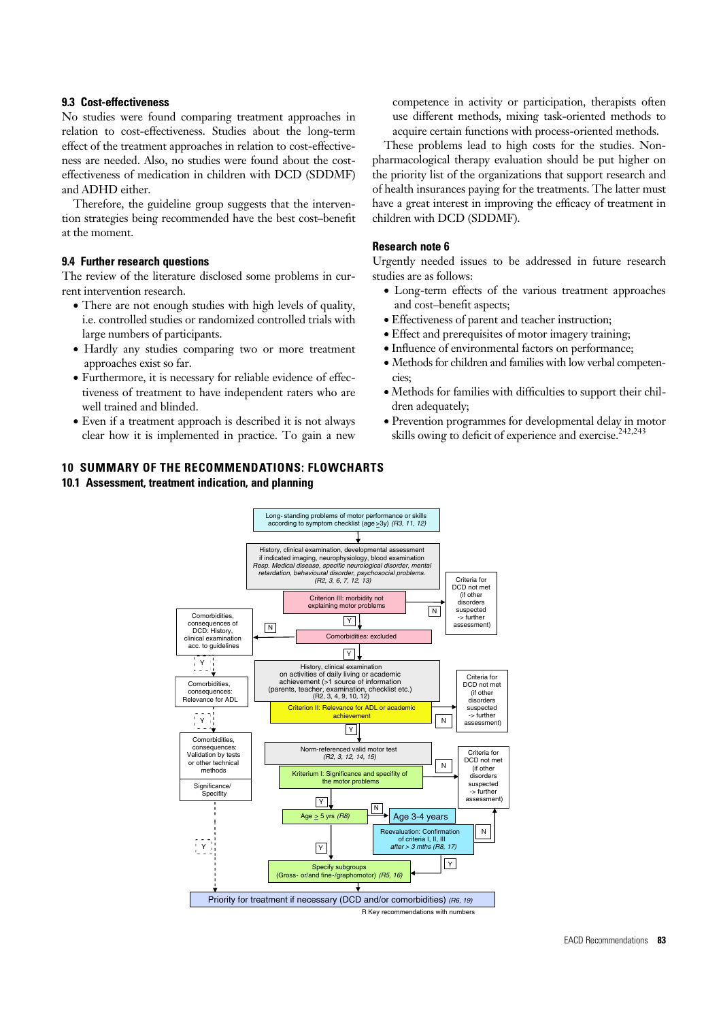# 9.3 Cost-effectiveness

No studies were found comparing treatment approaches in relation to cost-effectiveness. Studies about the long-term effect of the treatment approaches in relation to cost-effectiveness are needed. Also, no studies were found about the costeffectiveness of medication in children with DCD (SDDMF) and ADHD either.

Therefore, the guideline group suggests that the intervention strategies being recommended have the best cost–benefit at the moment.

# 9.4 Further research questions

The review of the literature disclosed some problems in current intervention research.

- There are not enough studies with high levels of quality, i.e. controlled studies or randomized controlled trials with large numbers of participants.
- Hardly any studies comparing two or more treatment approaches exist so far.
- Furthermore, it is necessary for reliable evidence of effectiveness of treatment to have independent raters who are well trained and blinded.
- Even if a treatment approach is described it is not always clear how it is implemented in practice. To gain a new

competence in activity or participation, therapists often use different methods, mixing task-oriented methods to acquire certain functions with process-oriented methods.

These problems lead to high costs for the studies. Nonpharmacological therapy evaluation should be put higher on the priority list of the organizations that support research and of health insurances paying for the treatments. The latter must have a great interest in improving the efficacy of treatment in children with DCD (SDDMF).

### Research note 6

Urgently needed issues to be addressed in future research studies are as follows:

- Long-term effects of the various treatment approaches and cost–benefit aspects;
- Effectiveness of parent and teacher instruction;
- Effect and prerequisites of motor imagery training;
- Influence of environmental factors on performance;
- Methods for children and families with low verbal competencies;
- Methods for families with difficulties to support their children adequately;
- Prevention programmes for developmental delay in motor skills owing to deficit of experience and exercise.<sup>242,243</sup>



# 10 SUMMARY OF THE RECOMMENDATIONS: FLOWCHARTS 10.1 Assessment, treatment indication, and planning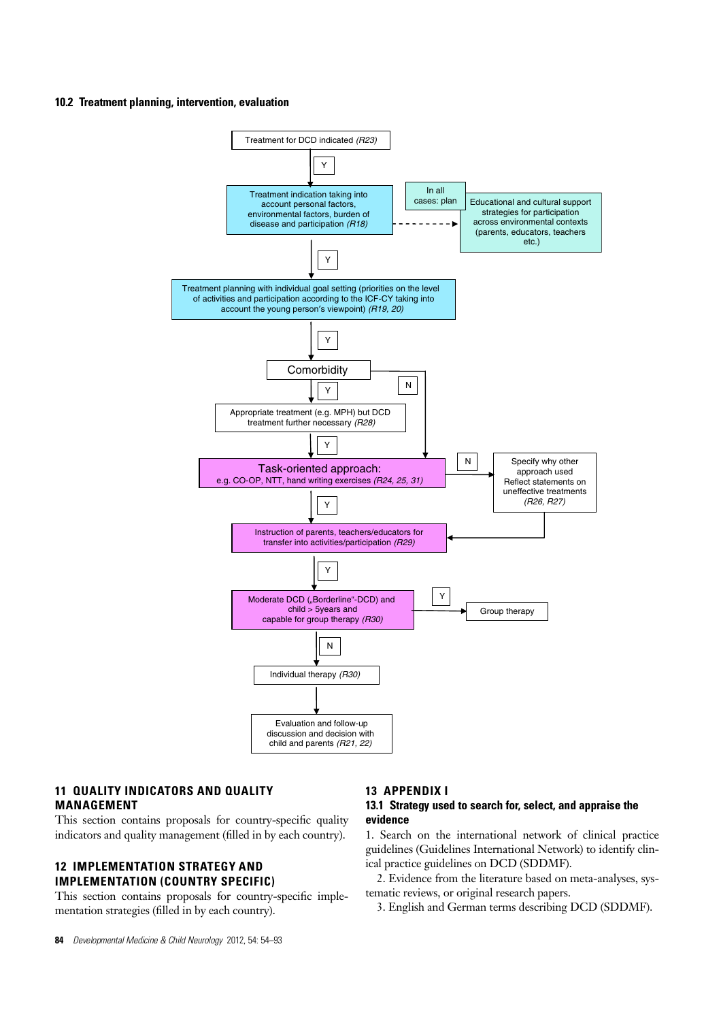### 10.2 Treatment planning, intervention, evaluation



# 11 QUALITY INDICATORS AND QUALITY **MANAGEMENT**

This section contains proposals for country-specific quality indicators and quality management (filled in by each country).

# 12 IMPLEMENTATION STRATEGY AND IMPLEMENTATION (COUNTRY SPECIFIC)

This section contains proposals for country-specific implementation strategies (filled in by each country).

# 13 APPENDIX I

### 13.1 Strategy used to search for, select, and appraise the evidence

1. Search on the international network of clinical practice guidelines (Guidelines International Network) to identify clinical practice guidelines on DCD (SDDMF).

2. Evidence from the literature based on meta-analyses, systematic reviews, or original research papers.

3 . English and German terms describing DCD (SDDMF).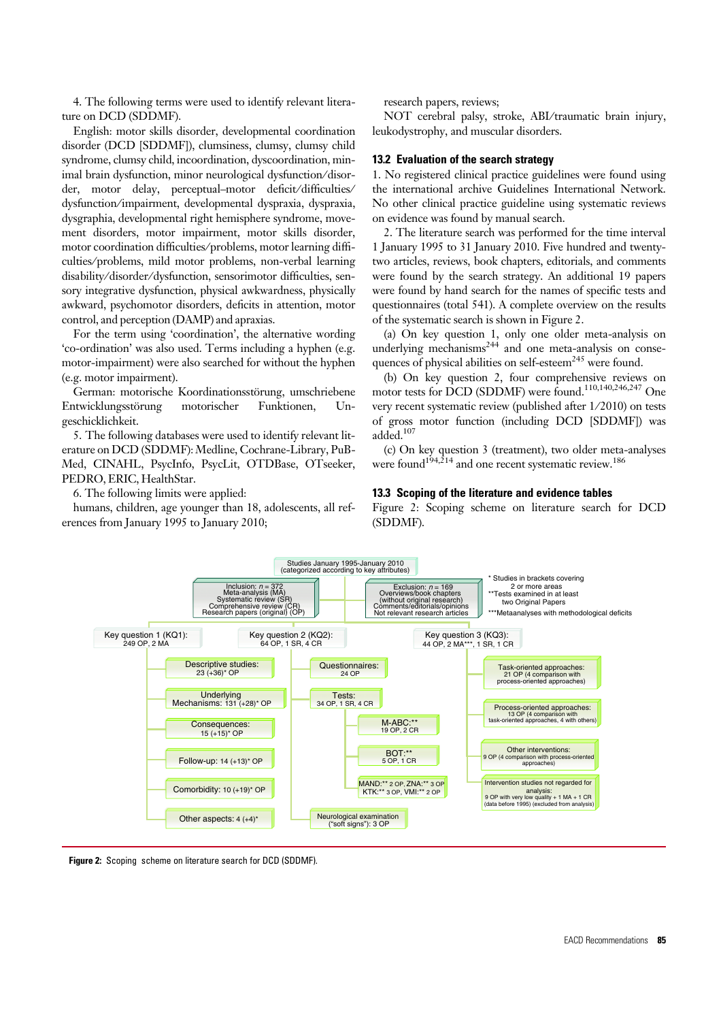4. The following terms were used to identify relevant literature on DCD (SDDMF).

English: motor skills disorder, developmental coordination disorder (DCD [SDDMF]), clumsiness, clumsy, clumsy child syndrome, clumsy child, incoordination, dyscoordination, minimal brain dysfunction, minor neurological dysfunction⁄disorder, motor delay, perceptual–motor deficit⁄ difficulties⁄ dysfunction⁄impairment, developmental dyspraxia, dyspraxia, dysgraphia, developmental right hemisphere syndrome, movement disorders, motor impairment, motor skills disorder, motor coordination difficulties/problems, motor learning difficulties⁄problems, mild motor problems, non-verbal learning disability ⁄ disorder⁄ dysfunction, sensorimotor difficulties, sensory integrative dysfunction, physical awkwardness, physically awkward, psychomotor disorders, deficits in attention, motor control, and perception (DAMP) and apraxias.

For the term using 'coordination', the alternative wording 'co-ordination' was also used. Terms including a hyphen (e.g. motor-impairment) were also searched for without the hyphen (e.g. motor impairment).

German: motorische Koordinationsstörung, umschriebene Entwicklungsstörung motorischer Funktionen, Ungeschicklichkeit.

5. The following databases were used to identify relevant literature on DCD (SDDMF): Medline, Cochrane-Library, PuB-Med, CINAHL, PsycInfo, PsycLit, OTDBase, OTseeker, PEDRO,ERIC, HealthStar.

6. The following limits were applied:

humans, children, age younger than 18, adolescents, all references from January 1995 to January 2010;

research papers, reviews;

NOT cerebral palsy, stroke, ABI⁄traumatic brain injury, leukodystrophy, and muscular disorders.

### 13.2 Evaluation of the search strategy

1. No registered clinical practice guidelines were found using the international archive Guidelines International Network. No other clinical practice guideline using systematic reviews on evidence was found by manual search.

2. The literature search was performed for the time interval 1 January 1995 to 31 January 2010. Five hundred and twentytwo articles, reviews, book chapters, editorials, and comments were found by the search strategy. An additional 19 papers were found by hand search for the names of specific tests and questionnaires (total 541). A complete overview on the results of the systematic search is shown in Figure 2.

(a) On key question 1, only one older meta-analysis on underlying mechanisms<sup>244</sup> and one meta-analysis on consequences of physical abilities on self-esteem<sup>245</sup> were found.

(b) On key question 2, four comprehensive reviews on motor tests for DCD (SDDMF) were found. 110,140,246,247 One very recent systematic review (published after 1/2010) on tests of gross motor function (including DCD [SDDMF]) was added. 107

(c) On key question 3 (treatment), two older meta-analyses were found<sup>194,214</sup> and one recent systematic review.<sup>186</sup>

### 13.3 Scoping of the literature and evidence tables

Figure 2: Scoping scheme on literature search for DCD (SDDMF).



Figure 2: Scoping scheme on literature search for DCD (SDDMF).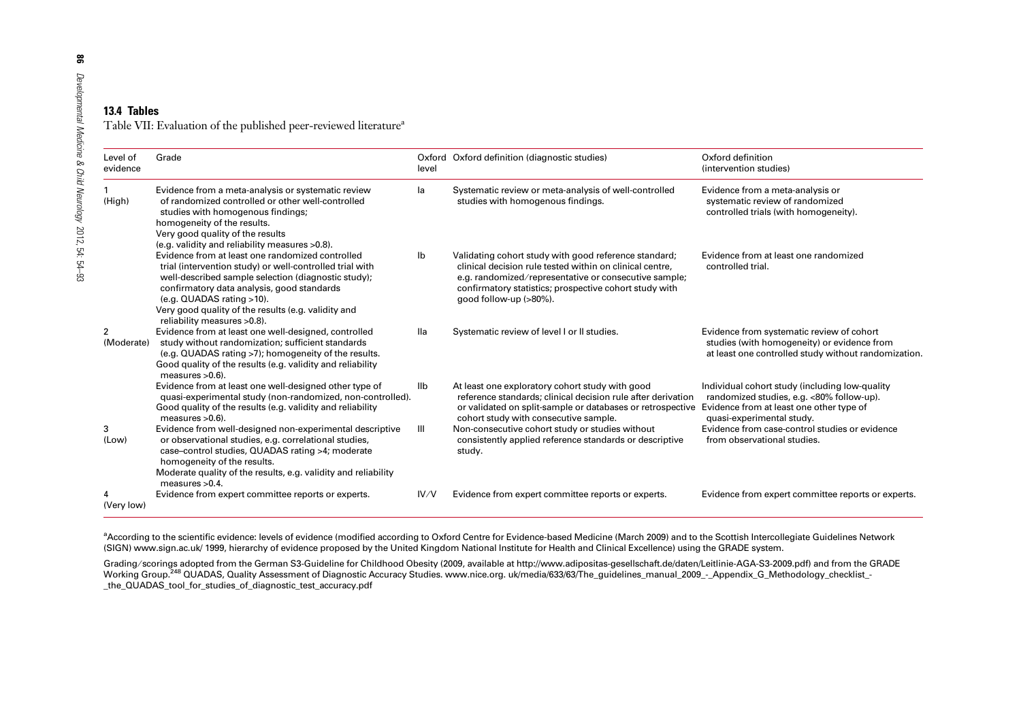# 13.4 Tables

Table VII: Evaluation of the published peer-reviewed literature<sup>a</sup>

| Level of<br>evidence         | Grade                                                                                                                                                                                                                                                                                                                                 | level | Oxford Oxford definition (diagnostic studies)                                                                                                                                                                                                                  | Oxford definition<br>(intervention studies)                                                                                                                          |
|------------------------------|---------------------------------------------------------------------------------------------------------------------------------------------------------------------------------------------------------------------------------------------------------------------------------------------------------------------------------------|-------|----------------------------------------------------------------------------------------------------------------------------------------------------------------------------------------------------------------------------------------------------------------|----------------------------------------------------------------------------------------------------------------------------------------------------------------------|
| (High)                       | Evidence from a meta-analysis or systematic review<br>of randomized controlled or other well-controlled<br>studies with homogenous findings;<br>homogeneity of the results.<br>Very good quality of the results<br>(e.g. validity and reliability measures >0.8).                                                                     | la    | Systematic review or meta-analysis of well-controlled<br>studies with homogenous findings.                                                                                                                                                                     | Evidence from a meta-analysis or<br>systematic review of randomized<br>controlled trials (with homogeneity).                                                         |
|                              | Evidence from at least one randomized controlled<br>trial (intervention study) or well-controlled trial with<br>well-described sample selection (diagnostic study);<br>confirmatory data analysis, good standards<br>(e.g. QUADAS rating >10).<br>Very good quality of the results (e.g. validity and<br>reliability measures > 0.8). | lb    | Validating cohort study with good reference standard;<br>clinical decision rule tested within on clinical centre,<br>e.g. randomized/representative or consecutive sample;<br>confirmatory statistics; prospective cohort study with<br>good follow-up (>80%). | Evidence from at least one randomized<br>controlled trial.                                                                                                           |
| $\overline{2}$<br>(Moderate) | Evidence from at least one well-designed, controlled<br>study without randomization; sufficient standards<br>(e.g. QUADAS rating >7); homogeneity of the results.<br>Good quality of the results (e.g. validity and reliability<br>measures $>0.6$ ).                                                                                 | lla   | Systematic review of level I or II studies.                                                                                                                                                                                                                    | Evidence from systematic review of cohort<br>studies (with homogeneity) or evidence from<br>at least one controlled study without randomization.                     |
|                              | Evidence from at least one well-designed other type of<br>quasi-experimental study (non-randomized, non-controlled).<br>Good quality of the results (e.g. validity and reliability<br>measures $>0.6$ ).                                                                                                                              | llb   | At least one exploratory cohort study with good<br>reference standards; clinical decision rule after derivation<br>or validated on split-sample or databases or retrospective<br>cohort study with consecutive sample.                                         | Individual cohort study (including low-quality<br>randomized studies, e.g. <80% follow-up).<br>Evidence from at least one other type of<br>quasi-experimental study. |
| 3<br>(Low)                   | Evidence from well-designed non-experimental descriptive<br>or observational studies, e.g. correlational studies,<br>case-control studies, QUADAS rating >4; moderate<br>homogeneity of the results.<br>Moderate quality of the results, e.g. validity and reliability<br>measures $>0.4$ .                                           | Ш     | Non-consecutive cohort study or studies without<br>consistently applied reference standards or descriptive<br>study.                                                                                                                                           | Evidence from case-control studies or evidence<br>from observational studies.                                                                                        |
| (Very low)                   | Evidence from expert committee reports or experts.                                                                                                                                                                                                                                                                                    | IV/V  | Evidence from expert committee reports or experts.                                                                                                                                                                                                             | Evidence from expert committee reports or experts.                                                                                                                   |

<sup>a</sup>According to the scientific evidence: levels of evidence (modified according to Oxford Centre for Evidence-based Medicine (March 2009) and to the Scottish Intercollegiate Guidelines Network (SIGN) www.sign.ac.uk/ 1999, hierarchy of evidence proposed by the United Kingdom National Institute for Health and Clinical Excellence) using the GRADE system.

Grading/scorings adopted from the German S3-Guideline for Childhood Obesity (2009, available at http://www.adipositas-gesellschaft.de/daten/Leitlinie-AGA-S3-2009.pdf) and from the GRADE Working Group.<sup>248</sup> QUADAS, Quality Assessment of Diagnostic Accuracy Studies. www.nice.org. uk/media/633/63/The\_guidelines\_manual\_2009\_-\_Appendix\_G\_Methodology\_checklist\_-\_the\_QU ADAS\_tool\_for\_studies\_of\_diagnostic\_test\_accuracy.pdf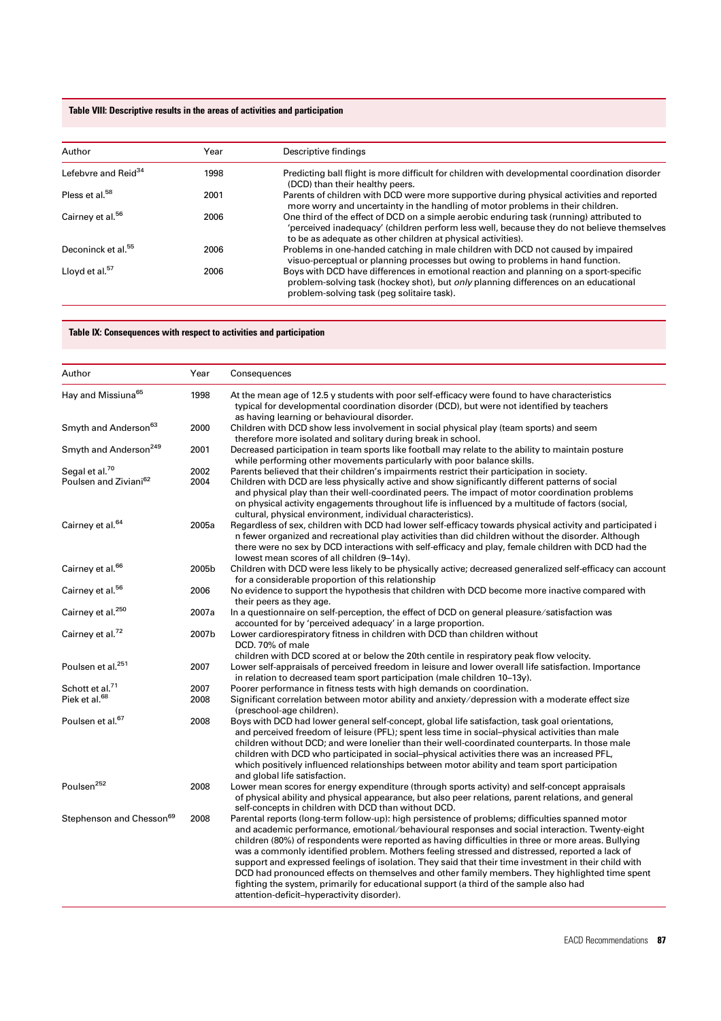# Table VIII: Descriptive results in the areas of activities and participation

| Author                          | Year | Descriptive findings                                                                                                                                                                                                                                   |
|---------------------------------|------|--------------------------------------------------------------------------------------------------------------------------------------------------------------------------------------------------------------------------------------------------------|
| Lefebvre and Reid <sup>34</sup> | 1998 | Predicting ball flight is more difficult for children with developmental coordination disorder<br>(DCD) than their healthy peers.                                                                                                                      |
| Pless et al. <sup>58</sup>      | 2001 | Parents of children with DCD were more supportive during physical activities and reported<br>more worry and uncertainty in the handling of motor problems in their children.                                                                           |
| Cairney et al. <sup>56</sup>    | 2006 | One third of the effect of DCD on a simple aerobic enduring task (running) attributed to<br>'perceived inadequacy' (children perform less well, because they do not believe themselves<br>to be as adequate as other children at physical activities). |
| Deconinck et al. <sup>55</sup>  | 2006 | Problems in one-handed catching in male children with DCD not caused by impaired<br>visuo-perceptual or planning processes but owing to problems in hand function.                                                                                     |
| Lloyd et al. <sup>57</sup>      | 2006 | Boys with DCD have differences in emotional reaction and planning on a sport-specific<br>problem-solving task (hockey shot), but <i>only</i> planning differences on an educational<br>problem-solving task (peg solitaire task).                      |

# Table IX: Consequences with respect to activities and participation

| Author                               | Year  | Consequences                                                                                                                                                                                                                                                                                                                                                                                                                                                                                                                                                                                                                                                                                                                                                   |
|--------------------------------------|-------|----------------------------------------------------------------------------------------------------------------------------------------------------------------------------------------------------------------------------------------------------------------------------------------------------------------------------------------------------------------------------------------------------------------------------------------------------------------------------------------------------------------------------------------------------------------------------------------------------------------------------------------------------------------------------------------------------------------------------------------------------------------|
| Hay and Missiuna <sup>65</sup>       | 1998  | At the mean age of 12.5 y students with poor self-efficacy were found to have characteristics<br>typical for developmental coordination disorder (DCD), but were not identified by teachers<br>as having learning or behavioural disorder.                                                                                                                                                                                                                                                                                                                                                                                                                                                                                                                     |
| Smyth and Anderson <sup>63</sup>     | 2000  | Children with DCD show less involvement in social physical play (team sports) and seem<br>therefore more isolated and solitary during break in school.                                                                                                                                                                                                                                                                                                                                                                                                                                                                                                                                                                                                         |
| Smyth and Anderson <sup>249</sup>    | 2001  | Decreased participation in team sports like football may relate to the ability to maintain posture<br>while performing other movements particularly with poor balance skills.                                                                                                                                                                                                                                                                                                                                                                                                                                                                                                                                                                                  |
| Segal et al. <sup>70</sup>           | 2002  | Parents believed that their children's impairments restrict their participation in society.                                                                                                                                                                                                                                                                                                                                                                                                                                                                                                                                                                                                                                                                    |
| Poulsen and Ziviani <sup>62</sup>    | 2004  | Children with DCD are less physically active and show significantly different patterns of social<br>and physical play than their well-coordinated peers. The impact of motor coordination problems<br>on physical activity engagements throughout life is influenced by a multitude of factors (social,<br>cultural, physical environment, individual characteristics).                                                                                                                                                                                                                                                                                                                                                                                        |
| Cairney et al. <sup>64</sup>         | 2005a | Regardless of sex, children with DCD had lower self-efficacy towards physical activity and participated i<br>n fewer organized and recreational play activities than did children without the disorder. Although<br>there were no sex by DCD interactions with self-efficacy and play, female children with DCD had the<br>lowest mean scores of all children (9-14y).                                                                                                                                                                                                                                                                                                                                                                                         |
| Cairney et al. <sup>66</sup>         | 2005b | Children with DCD were less likely to be physically active; decreased generalized self-efficacy can account<br>for a considerable proportion of this relationship                                                                                                                                                                                                                                                                                                                                                                                                                                                                                                                                                                                              |
| Cairney et al. <sup>56</sup>         | 2006  | No evidence to support the hypothesis that children with DCD become more inactive compared with<br>their peers as they age.                                                                                                                                                                                                                                                                                                                                                                                                                                                                                                                                                                                                                                    |
| Cairney et al. <sup>250</sup>        | 2007a | In a questionnaire on self-perception, the effect of DCD on general pleasure/satisfaction was<br>accounted for by 'perceived adequacy' in a large proportion.                                                                                                                                                                                                                                                                                                                                                                                                                                                                                                                                                                                                  |
| Cairney et al. <sup>72</sup>         | 2007b | Lower cardiorespiratory fitness in children with DCD than children without<br>DCD. 70% of male<br>children with DCD scored at or below the 20th centile in respiratory peak flow velocity.                                                                                                                                                                                                                                                                                                                                                                                                                                                                                                                                                                     |
| Poulsen et al. <sup>251</sup>        | 2007  | Lower self-appraisals of perceived freedom in leisure and lower overall life satisfaction. Importance<br>in relation to decreased team sport participation (male children 10–13y).                                                                                                                                                                                                                                                                                                                                                                                                                                                                                                                                                                             |
| Schott et al. <sup>71</sup>          | 2007  | Poorer performance in fitness tests with high demands on coordination.                                                                                                                                                                                                                                                                                                                                                                                                                                                                                                                                                                                                                                                                                         |
| Piek et al. <sup>68</sup>            | 2008  | Significant correlation between motor ability and anxiety/depression with a moderate effect size<br>(preschool-age children).                                                                                                                                                                                                                                                                                                                                                                                                                                                                                                                                                                                                                                  |
| Poulsen et al. <sup>67</sup>         | 2008  | Boys with DCD had lower general self-concept, global life satisfaction, task goal orientations,<br>and perceived freedom of leisure (PFL); spent less time in social-physical activities than male<br>children without DCD; and were lonelier than their well-coordinated counterparts. In those male<br>children with DCD who participated in social-physical activities there was an increased PFL,<br>which positively influenced relationships between motor ability and team sport participation<br>and global life satisfaction.                                                                                                                                                                                                                         |
| Poulsen <sup>252</sup>               | 2008  | Lower mean scores for energy expenditure (through sports activity) and self-concept appraisals<br>of physical ability and physical appearance, but also peer relations, parent relations, and general<br>self-concepts in children with DCD than without DCD.                                                                                                                                                                                                                                                                                                                                                                                                                                                                                                  |
| Stephenson and Chesson <sup>69</sup> | 2008  | Parental reports (long-term follow-up): high persistence of problems; difficulties spanned motor<br>and academic performance, emotional/behavioural responses and social interaction. Twenty-eight<br>children (80%) of respondents were reported as having difficulties in three or more areas. Bullying<br>was a commonly identified problem. Mothers feeling stressed and distressed, reported a lack of<br>support and expressed feelings of isolation. They said that their time investment in their child with<br>DCD had pronounced effects on themselves and other family members. They highlighted time spent<br>fighting the system, primarily for educational support (a third of the sample also had<br>attention-deficit-hyperactivity disorder). |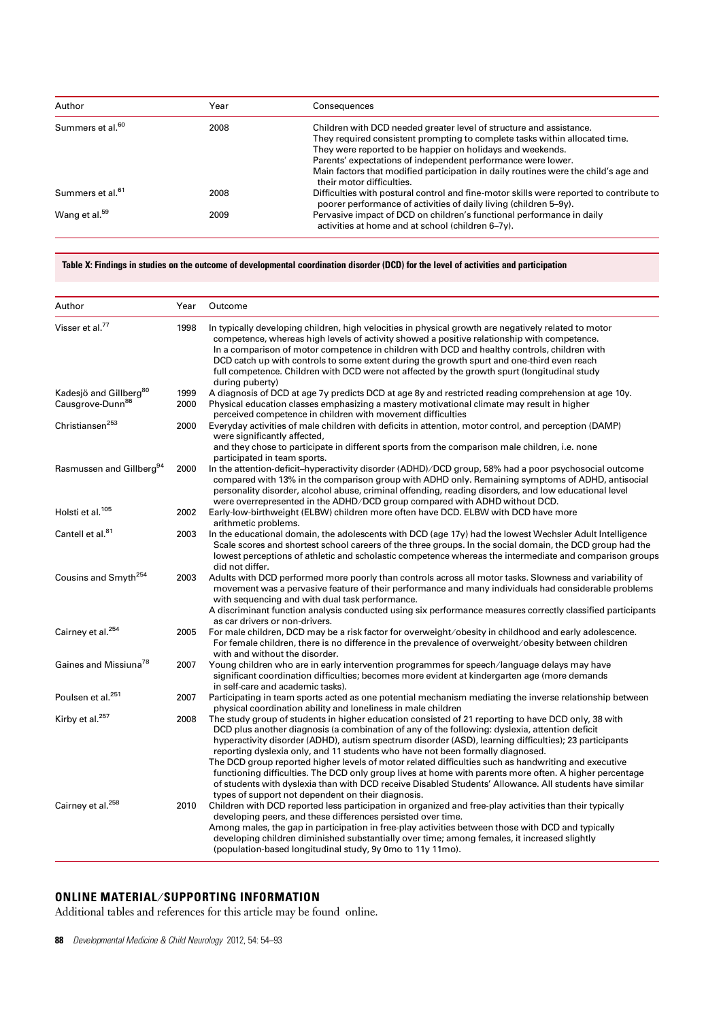| Author                       | Year | Consequences                                                                                                                                                 |
|------------------------------|------|--------------------------------------------------------------------------------------------------------------------------------------------------------------|
| Summers et al. <sup>60</sup> | 2008 | Children with DCD needed greater level of structure and assistance.                                                                                          |
|                              |      | They required consistent prompting to complete tasks within allocated time.                                                                                  |
|                              |      | They were reported to be happier on holidays and weekends.                                                                                                   |
|                              |      | Parents' expectations of independent performance were lower.                                                                                                 |
|                              |      | Main factors that modified participation in daily routines were the child's age and<br>their motor difficulties.                                             |
| Summers et al. <sup>61</sup> | 2008 | Difficulties with postural control and fine-motor skills were reported to contribute to<br>poorer performance of activities of daily living (children 5-9y). |
| Wang et al. <sup>59</sup>    | 2009 | Pervasive impact of DCD on children's functional performance in daily<br>activities at home and at school (children 6–7y).                                   |

Table X: Findings in studies on the outcome of developmental coordination disorder (DCD) for the level of activities and participation

| Author                               | Year | Outcome                                                                                                                                                                                                                                                                                                                                                                                                                                                                                                                                                                                                                                                                                                                                                                               |
|--------------------------------------|------|---------------------------------------------------------------------------------------------------------------------------------------------------------------------------------------------------------------------------------------------------------------------------------------------------------------------------------------------------------------------------------------------------------------------------------------------------------------------------------------------------------------------------------------------------------------------------------------------------------------------------------------------------------------------------------------------------------------------------------------------------------------------------------------|
| Visser et al. <sup>77</sup>          | 1998 | In typically developing children, high velocities in physical growth are negatively related to motor<br>competence, whereas high levels of activity showed a positive relationship with competence.<br>In a comparison of motor competence in children with DCD and healthy controls, children with<br>DCD catch up with controls to some extent during the growth spurt and one-third even reach<br>full competence. Children with DCD were not affected by the growth spurt (longitudinal study<br>during puberty)                                                                                                                                                                                                                                                                  |
| Kadesjö and Gillberg <sup>80</sup>   | 1999 | A diagnosis of DCD at age 7y predicts DCD at age 8y and restricted reading comprehension at age 10y.                                                                                                                                                                                                                                                                                                                                                                                                                                                                                                                                                                                                                                                                                  |
| Causgrove-Dunn <sup>86</sup>         | 2000 | Physical education classes emphasizing a mastery motivational climate may result in higher<br>perceived competence in children with movement difficulties                                                                                                                                                                                                                                                                                                                                                                                                                                                                                                                                                                                                                             |
| Christiansen <sup>253</sup>          | 2000 | Everyday activities of male children with deficits in attention, motor control, and perception (DAMP)<br>were significantly affected,<br>and they chose to participate in different sports from the comparison male children, i.e. none<br>participated in team sports.                                                                                                                                                                                                                                                                                                                                                                                                                                                                                                               |
| Rasmussen and Gillberg <sup>94</sup> | 2000 | In the attention-deficit-hyperactivity disorder (ADHD)/DCD group, 58% had a poor psychosocial outcome<br>compared with 13% in the comparison group with ADHD only. Remaining symptoms of ADHD, antisocial<br>personality disorder, alcohol abuse, criminal offending, reading disorders, and low educational level<br>were overrepresented in the ADHD/DCD group compared with ADHD without DCD.                                                                                                                                                                                                                                                                                                                                                                                      |
| Holsti et al. <sup>105</sup>         | 2002 | Early-low-birthweight (ELBW) children more often have DCD. ELBW with DCD have more<br>arithmetic problems.                                                                                                                                                                                                                                                                                                                                                                                                                                                                                                                                                                                                                                                                            |
| Cantell et al. <sup>81</sup>         | 2003 | In the educational domain, the adolescents with DCD (age 17y) had the lowest Wechsler Adult Intelligence<br>Scale scores and shortest school careers of the three groups. In the social domain, the DCD group had the<br>lowest perceptions of athletic and scholastic competence whereas the intermediate and comparison groups<br>did not differ.                                                                                                                                                                                                                                                                                                                                                                                                                                   |
| Cousins and Smyth <sup>254</sup>     | 2003 | Adults with DCD performed more poorly than controls across all motor tasks. Slowness and variability of<br>movement was a pervasive feature of their performance and many individuals had considerable problems<br>with sequencing and with dual task performance.<br>A discriminant function analysis conducted using six performance measures correctly classified participants<br>as car drivers or non-drivers.                                                                                                                                                                                                                                                                                                                                                                   |
| Cairney et al. <sup>254</sup>        | 2005 | For male children, DCD may be a risk factor for overweight/obesity in childhood and early adolescence.<br>For female children, there is no difference in the prevalence of overweight/obesity between children<br>with and without the disorder.                                                                                                                                                                                                                                                                                                                                                                                                                                                                                                                                      |
| Gaines and Missiuna <sup>78</sup>    | 2007 | Young children who are in early intervention programmes for speech/language delays may have<br>significant coordination difficulties; becomes more evident at kindergarten age (more demands<br>in self-care and academic tasks).                                                                                                                                                                                                                                                                                                                                                                                                                                                                                                                                                     |
| Poulsen et al. <sup>251</sup>        | 2007 | Participating in team sports acted as one potential mechanism mediating the inverse relationship between<br>physical coordination ability and loneliness in male children                                                                                                                                                                                                                                                                                                                                                                                                                                                                                                                                                                                                             |
| Kirby et al. <sup>257</sup>          | 2008 | The study group of students in higher education consisted of 21 reporting to have DCD only, 38 with<br>DCD plus another diagnosis (a combination of any of the following: dyslexia, attention deficit<br>hyperactivity disorder (ADHD), autism spectrum disorder (ASD), learning difficulties); 23 participants<br>reporting dyslexia only, and 11 students who have not been formally diagnosed.<br>The DCD group reported higher levels of motor related difficulties such as handwriting and executive<br>functioning difficulties. The DCD only group lives at home with parents more often. A higher percentage<br>of students with dyslexia than with DCD receive Disabled Students' Allowance. All students have similar<br>types of support not dependent on their diagnosis. |
| Cairney et al. <sup>258</sup>        | 2010 | Children with DCD reported less participation in organized and free-play activities than their typically<br>developing peers, and these differences persisted over time.<br>Among males, the gap in participation in free-play activities between those with DCD and typically<br>developing children diminished substantially over time; among females, it increased slightly<br>(population-based longitudinal study, 9y 0mo to 11y 11mo).                                                                                                                                                                                                                                                                                                                                          |

# ONLINE MATERIAL/SUPPORTING INFORMATION

Additional tables and references for this article may be found online.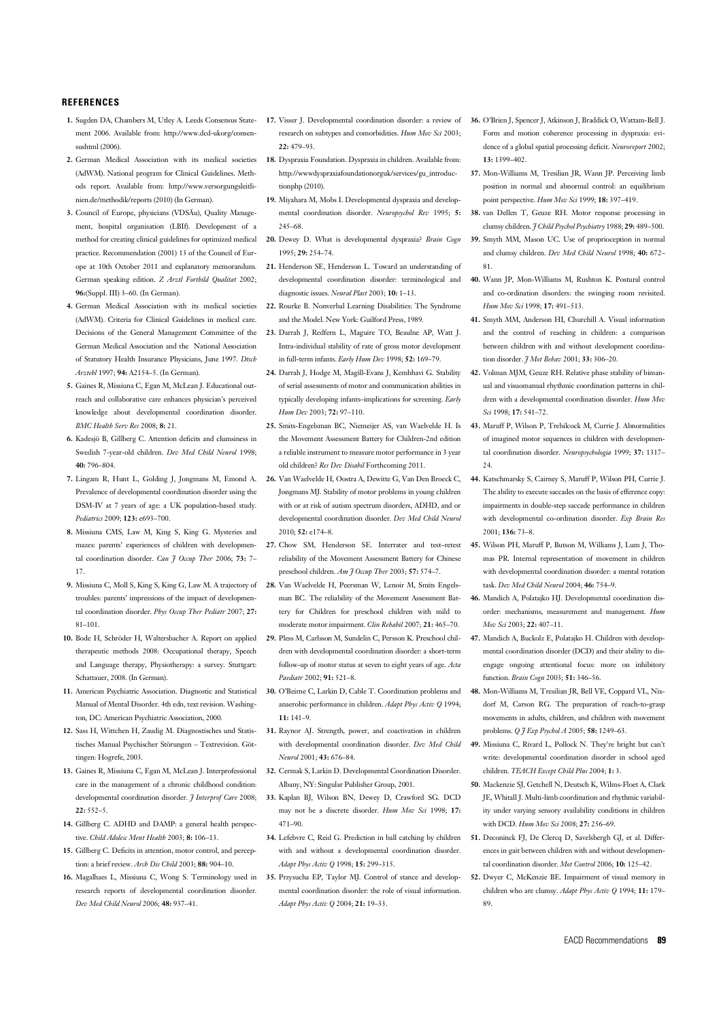### **REFERENCES**

- ment 2006. Available from: http://www.dcd-ukorg/consensushtml (2006).
- 2. German Medical Association with its medical societies (AdWM). National program for Clinical Guidelines. Methods report. Available from: http://www.versorgungsleitlinien.de/methodik/reports (2010) (In German).
- 3. Council of Europe, physicians (VDSÄu), Quality Management, hospital organisation (LBIf). Development of a method for creating clinical guidelines for optimized medical practice. Recommendation (2001) 13 of the Council of Europe at 10th October 2011 and explanatory memorandum. German speaking edition. Z Arztl Fortbild Qualitat 2002; 96: (Suppl. III) 3-60. (In German).
- 4. German Medical Association with its medical societies (AdWM). Criteria for Clinical Guidelines in medical care. Decisions of the General Management Committee of the German Medical Association and the National Association of Statutory Health Insurance Physicians, June 1997. Dtsch Arztebl 1997; 94: A2154–5. (In German).
- 5. Gaines R, Missiuna C, Egan M, McLean J. Educational outreach and collaborative care enhances physician's perceived knowledge about developmental coordination disorder. BMC Health Serv Res 2008: 8: 21.
- 6. Kadesjo¨ B, Gillberg C. Attention deficits and clumsiness in Swedish 7-year-old children. Dev Med Child Neurol 1998; 40: 796–804.
- 7. Lingam R, Hunt L, Golding J, Jongmans M, Emond A. 26. Van Waelvelde H, Oostra A, Dewitte G, Van Den Broeck C, 44. Katschmarsky S, Cairney S, Maruff P, Wilson PH, Currie J. Prevalence of developmental coordination disorder using the DSM-IV at 7 years of age: a UK population-based study. Pediatrics 2009; 123: e693-700.
- 8. Missiuna CMS, Law M, King S, King G. Mysteries and mazes: parents' experiences of children with developmental coordination disorder. Can  $\widetilde{f}$  Occup Ther 2006; 73: 7-17.
- troubles: parents' impressions of the impact of developmental coordination disorder. Phys Occup Ther Pediatr 2007; 27: 81–101.
- 10. Bode H, Schröder H, Waltersbacher A. Report on applied therapeutic methods 2008: Occupational therapy, Speech and Language therapy, Physiotherapy: a survey. Stuttgart: Schattauer, 2008. (In German).
- 11. American Psychiatric Association. Diagnostic and Statistical Manual of Mental Disorder. 4th edn, text revision. Washington, DC: American Psychiatric Association, 2000.
- 12. Sass H, Wittchen H, Zaudig M. Diagnostisches und Statistisches Manual Psychischer Störungen - Textrevision. Göttingen: Hogrefe, 2003.
- 13. Gaines R, Missiuna C, Egan M, McLean J. Interprofessional care in the management of a chronic childhood condition: developmental coordination disorder. *I Interprof Care* 2008: 22: 552–5.
- 14. Gillberg C. ADHD and DAMP: a general health perspective. Child Adolesc Ment Health 2003: 8: 106-13.
- 15. Gillberg C. Deficits in attention, motor control, and perception: a brief review. Arch Dis Child 2003; 88: 904-10.
- 16. Magalhaes L, Missiuna C, Wong S. Terminology used in research reports of developmental coordination disorder. Dev Med Child Neurol 2006: 48: 937-41.
- 1. Sugden DA, Chambers M, Utley A. Leeds Consensus State-17. Visser J. Developmental coordination disorder: a review of 36. O'Brien J, Spencer J, Atkinson J, Braddick O, Wattam-Bell J. research on subtypes and comorbidities. Hum Mov Sci 2003: 22: 479–93 .
	- 18. Dyspraxia Foundation. Dyspraxia in children. Available from: http://wwwdyspraxiafoundationorguk/services/gu\_introductionphp (2010).
	- 19. Miyahara M, Mobs I. Developmental dyspraxia and developmental coordination disorder. Neuropsychol Rev 1995; 5: 245–68 .
	- 20. Dewey D. What is developmental dyspraxia? Brain Cogn 1995; 29: 254–74.
	- 21. Henderson SE, Henderson L. Toward an understanding of developmental coordination disorder: terminological and diagnostic issues. Neural Plast 2003: 10: 1-13.
	- 22. Rourke B. Nonverbal Learning Disabilities: The Syndrome and the Model. New York: Guilford Press, 1989.
	- 23. Darrah J, Redfern L, Maguire TO, Beaulne AP, Watt J. Intra-individual stability of rate of gross motor development in full-term infants. Early Hum Dev 1998: 52: 169-79.
	- 24. Darrah J, Hodge M, Magill-Evans J, Kembhavi G. Stability of serial assessments of motor and communication abilities in typically developing infants–implications for screening. Early Hum Dev 2003: **72:** 97-110.
	- 25. Smits-Engelsman BC, Niemeijer AS, van Waelvelde H. Is the Movement Assessment Battery for Children-2nd edition a reliable instrument to measure motor performance in 3 year old children? Res Dev Disabil Forthcoming 2011.
	- Jongmans MJ. Stability of motor problems in young children with or at risk of autism spectrum disorders, ADHD, and or developmental coordination disorder. Dev Med Child Neurol 2010: 52: e174-8.
	- 27. Chow SM, Henderson SE. Interrater and test–retest reliability of the Movement Assessment Battery for Chinese preschool children. Am J Occup Ther 2003; 57: 574-7.
- 9. Missiuna C, Moll S, King S, King G, Law M. A trajectory of 28. Van Waelvelde H, Peersman W, Lenoir M, Smits Engelsman BC. The reliability of the Movement Assessment Battery for Children for preschool children with mild to moderate motor impairment. Clin Rehabil 2007; 21: 465–70.
	- 29. Pless M, Carlsson M, Sundelin C, Persson K. Preschool children with developmental coordination disorder: a short-term follow-up of motor status at seven to eight years of age. Acta Paediatr 2002; 91: 521-8.
	- 30. O'Beirne C, Larkin D, Cable T. Coordination problems and anaerobic performance in children. Adapt Phys Activ Q 1994;  $11: 141-9$
	- 31. Raynor AJ. Strength, power, and coactivation in children with developmental coordination disorder. Dev Med Child Neurol 2001; 43: 676–84.
	- 32. Cermak S, Larkin D. Developmental Coordination Disorder. Albany, NY: Singular Publisher Group, 2001.
	- 33. Kaplan BJ, Wilson BN, Dewey D, Crawford SG. DCD may not be a discrete disorder. Hum Mov Sci 1998: 17: 471–90.
	- 34. Lefebvre C, Reid G. Prediction in ball catching by children with and without a developmental coordination disorder. Adapt Phys Activ Q 1998; 15: 299-315.
	- 35. Przysucha EP, Taylor MJ. Control of stance and developmental coordination disorder: the role of visual information. Adapt Phys Activ O 2004: 21: 19-33.
- Form and motion coherence processing in dyspraxia: evidence of a global spatial processing deficit. Neuroreport 2002; 13: 13 99–402.
- 37. Mon-Williams M, Tresilian JR, Wann JP. Perceiving limb position in normal and abnormal control: an equilibrium point perspective. Hum Mov Sci 1999; 18: 397-419.
- 38. van Dellen T, Geuze RH. Motor response processing in clumsy children. 7 Child Psychol Psychiatry 1988; 29: 489-500.
- 39. Smyth MM, Mason UC. Use of proprioception in normal and clumsy children. Dev Med Child Neurol 1998: 40: 672-81.
- 40. Wann JP, Mon-Williams M, Rushton K. Postural control and co-ordination disorders: the swinging room revisited. Hum Mov Sci 1998: 17: 491-513.
- 41. Smyth MM, Anderson HI, Churchill A. Visual information and the control of reaching in children: a comparison between children with and without development coordination disorder. *I Mot Behav* 2001: 33: 306-20.
- 42. Volman MJM, Geuze RH. Relative phase stability of bimanual and visuomanual rhythmic coordination patterns in children with a developmental coordination disorder. Hum Mov Sci 1998 **17**: 541-72.
- 43. Maruff P, Wilson P, Trebilcock M, Currie J. Abnormalities of imagined motor sequences in children with developmental coordination disorder. Neuropsychologia 1999; 37: 13 17– 24.
- The ability to execute saccades on the basis of efference copy: impairments in double-step saccade performance in children with developmental co-ordination disorder. Exp Brain Res  $2001: 136: 73-8.$
- 45. Wilson PH, Maruff P, Butson M, Williams J, Lum J, Thomas PR. Internal representation of movement in children with developmental coordination disorder: a mental rotation task. Dev Med Child Neurol 2004; 46: 754–9.
- 46. Mandich A, Polatajko HJ. Developmental coordination disorder: mechanisms, measurement and management. Hum Mov. Sci 2003 : 22: 407-11.
- 47. Mandich A, Buckolz E, Polatajko H. Children with developmental coordination disorder (DCD) and their ability to disengage ongoing attentional focus: more on inhibitory function. Brain Cogn 2003: 51: 346-56.
- 48. Mon-Williams M, Tresilian JR, Bell VE, Coppard VL, Nixdorf M, Carson RG. The preparation of reach-to-grasp movements in adults, children, and children with movement problems. Q J Exp Psychol A 2005; 58: 1249-63.
- 49. Missiuna C, Rivard L, Pollock N. They're bright but can't write: developmental coordination disorder in school aged children. TEACH Except Child Plus 2004; 1: 3.
- 50. Mackenzie SJ, Getchell N, Deutsch K, Wilms-Floet A, Clark JE, Whitall J. Multi-limb coordination and rhythmic variability under varying sensory availability conditions in children with DCD. Hum Mov Sci 2008; 27: 256-69.
- 51. Deconinck FJ, De Clercq D, Savelsbergh GJ, et al. Differences in gait between children with and without developmental coordination disorder. Mot Control 2006; 10: 125–42.
- 52. Dwyer C, McKenzie BE. Impairment of visual memory in children who are clumsy. Adapt Phys Activ Q 1994; 11: 179– 89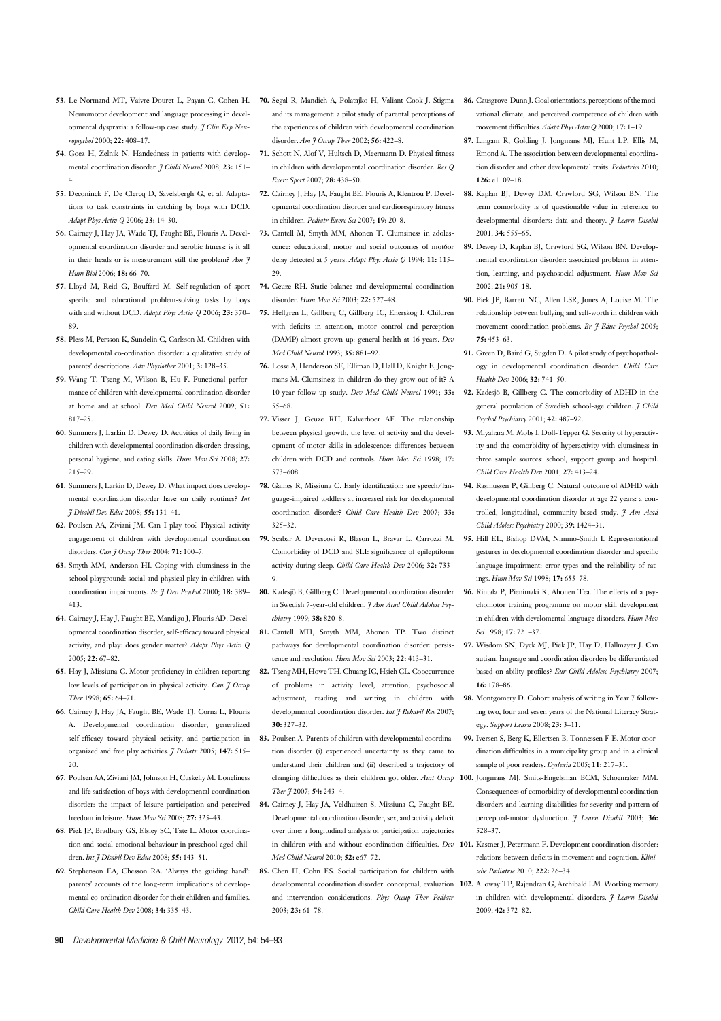- Neuromotor development and language processing in developmental dyspraxia: a follow-up case study. J Clin Exp Neuropsychol 2000; 22: 408–17.
- 54. Goez H, Zelnik N. Handedness in patients with developmental coordination disorder. J Child Neurol 2008; 23: 151-4.
- 55. Deconinck F, De Clercq D, Savelsbergh G, et al. Adaptations to task constraints in catching by boys with DCD. Adapt Phys Activ Q 2006; 23: 14-30.
- 56. Cairney J, Hay JA, Wade TJ, Faught BE, Flouris A. Developmental coordination disorder and aerobic fitness: is it all in their heads or is measurement still the problem?  $Am \nvert \nvert$ Hum Biol 2006; 18: 66–70.
- 57. Lloyd M, Reid G, Bouffard M. Self-regulation of sport specific and educational problem-solving tasks by boys with and without DCD. Adapt Phys Activ Q 2006; 23: 370-89.
- 58. Pless M, Persson K, Sundelin C, Carlsson M. Children with developmental co-ordination disorder: a qualitative study of parents' descriptions. Adv Physiother 2001; 3: 128-35.
- 59. Wang T, Tseng M, Wilson B, Hu F. Functional performance of children with developmental coordination disorder at home and at school. Dev Med Child Neurol 2009; 51: 817–25.
- 60. Summers J, Larkin D, Dewey D. Activities of daily living in children with developmental coordination disorder: dressing, personal hygiene, and eating skills. Hum Mov Sci 2008; 27: 215–29.
- 61. Summers J, Larkin D, Dewey D. What impact does developmental coordination disorder have on daily routines? Int JDisabil Dev Educ 2008 ; 55: 13 1–41.
- 62. Poulsen AA, Ziviani JM. Can I play too? Physical activity engagement of children with developmental coordination disorders. Can J Occup Ther 2004; 71: 100-7.
- 63. Smyth MM, Anderson HI. Coping with clumsiness in the school playground: social and physical play in children with coordination impairments. Br 7 Dev Psychol 2000; 18: 389-413 .
- 64. Cairney J, Hay J, Faught BE, Mandigo J, Flouris AD. Developmental coordination disorder, self-efficacy toward physical activity, and play: does gender matter? Adapt Phys Activ Q 2005; 22: 67–82.
- 65. Hay J, Missiuna C. Motor proficiency in children reporting low levels of participation in physical activity. Can  $\bar{f}$  Occup Ther 1998: 65: 64-71.
- 66. Cairney J, Hay JA, Faught BE, Wade TJ, Corna L, Flouris A. Developmental coordination disorder, generalized self-efficacy toward physical activity, and participation in organized and free play activities.  $\frac{7}{7}$  Pediatr 2005; 147: 515–  $20.$
- 67. Poulsen AA, Ziviani JM, Johnson H, Cuskelly M. Loneliness and life satisfaction of boys with developmental coordination disorder: the impact of leisure participation and perceived freedom in leisure. Hum Mov Sci 2008: 27: 325-43.
- 68. Piek JP, Bradbury GS, Elsley SC, Tate L. Motor coordination and social-emotional behaviour in preschool-aged children. Int J Disabil Dev Educ 2008; 55: 143-51.
- 69. Stephenson EA, Chesson RA. 'Always the guiding hand': parents' accounts of the long-term implications of developmental co-ordination disorder for their children and families. Child Care Health Dev 2008; 34: 335-43.
- 53. Le Normand MT, Vaivre-Douret L, Payan C, Cohen H. 70. Segal R, Mandich A, Polatajko H, Valiant Cook J. Stigma 86. Causgrove-Dunn J. Goal orientations, perceptions of the motiand its management: a pilot study of parental perceptions of the experiences of children with developmental coordination disorder. Am J Occup Ther 2002; 56: 422-8.
	- 71. Schott N, Alof V, Hultsch D, Meermann D. Physical fitness in children with developmental coordination disorder. Res Q Exerc Sport 2007; 78: 43 8–50.
	- opmental coordination disorder and cardiorespiratory fitness in children. Pediatr Exerc Sci 2007; 19: 20–8 .
	- 73. Cantell M, Smyth MM, Ahonen T. Clumsiness in adolescence: educational, motor and social outcomes of mot6or delay detected at 5 years. Adapt Phys Activ Q 1994; 11: 115-29.
	- 74. Geuze RH. Static balance and developmental coordination disorder. Hum Mov Sci 2003; 22: 527-48.
	- 75. Hellgren L, Gillberg C, Gillberg IC, Enerskog I. Children with deficits in attention, motor control and perception (DAMP) almost grown up: general health at 16 years. Dev Med Child Neurol 1993; 35: 881-92.
	- 76. Losse A, Henderson SE, Elliman D, Hall D, Knight E, Jongmans M. Clumsiness in children-do they grow out of it? A 10-year follow-up study. Dev Med Child Neurol 1991; 33: 55–68 .
	- 77. Visser J, Geuze RH, Kalverboer AF. The relationship between physical growth, the level of activity and the development of motor skills in adolescence: differences between children with DCD and controls. Hum Mov Sci 1998; 17: 573 – 608
	- 78. Gaines R, Missiuna C. Early identification: are speech ⁄ language-impaired toddlers at increased risk for developmental coordination disorder? Child Care Health Dev 2007; 33:  $325 - 32.$
	- 79. Scabar A, Devescovi R, Blason L, Bravar L, Carrozzi M. Comorbidity of DCD and SLI: significance of epileptiform activity during sleep. Child Care Health Dev 2006; 32: 733-9.
	- 80. Kadesjö B, Gillberg C. Developmental coordination disorder in Swedish 7-year-old children. J Am Acad Child Adolesc Psychiatry 1999; 38: 820–8 .
	- 81. Cantell MH, Smyth MM, Ahonen TP. Two distinct pathways for developmental coordination disorder: persistence and resolution.  $Hum$  Mov Sci 2003: 22: 413-31.
	- 82. Tseng MH, Howe TH, Chuang IC, Hsieh CL. Cooccurrence of problems in activity level, attention, psychosocial adjustment, reading and writing in children with developmental coordination disorder. Int 7 Rehabil Res 2007: 30: 327-32.
	- 83. Poulsen A. Parents of children with developmental coordination disorder (i) experienced uncertainty as they came to understand their children and (ii) described a trajectory of changing difficulties as their children got older. Aust Occup 100. Jongmans MJ, Smits-Engelsman BCM, Schoemaker MM. Ther 7 2007: 54: 243-4.
	- 84. Cairney J, Hay JA, Veldhuizen S, Missiuna C, Faught BE. Developmental coordination disorder, sex, and activity deficit over time: a longitudinal analysis of participation trajectories in children with and without coordination difficulties. Dev 101. Kastner J, Petermann F. Development coordination disorder: Med Child Neurol 2010; 52: e67–72.
	- 85. Chen H, Cohn ES. Social participation for children with and intervention considerations. Phys Occup Ther Pediatr 2003: 23: 61-78.
- vational climate, and perceived competence of children with movement difficulties. Adapt Phys Activ Q 2000; 17: 1-19.
- 87. Lingam R, Golding J, Jongmans MJ, Hunt LP, Ellis M, Emond A. The association between developmental coordination disorder and other developmental traits. Pediatrics 2010; 126: e1109–18 .
- 72. Cairney J, Hay JA, Faught BE, Flouris A, Klentrou P. Devel-88. Kaplan BJ, Dewey DM, Crawford SG, Wilson BN. The term comorbidity is of questionable value in reference to developmental disorders: data and theory. *J Learn Disabil* 2001; 34: 555–65.
	- 89. Dewey D, Kaplan BJ, Crawford SG, Wilson BN. Developmental coordination disorder: associated problems in attention, learning, and psychosocial adjustment. Hum Mov Sci 2002; 21: 905–18 .
	- 90. Piek JP, Barrett NC, Allen LSR, Jones A, Louise M. The relationship between bullying and self-worth in children with movement coordination problems. Br  $\tilde{\tau}$  Educ Psychol 2005; 75: 453 –63 .
	- 91. Green D, Baird G, Sugden D. A pilot study of psychopathology in developmental coordination disorder. Child Care Health Dev 2006; 32: 741–50.
	- 92. Kadesjö B, Gillberg C. The comorbidity of ADHD in the general population of Swedish school-age children.  $\tilde{\tau}$  Child Psychol Psychiatry 2001; 42: 487–92.
	- 93. Miyahara M, Mobs I, Doll-Tepper G. Severity of hyperactivity and the comorbidity of hyperactivity with clumsiness in three sample sources: school, support group and hospital. Child Care Health Dev 2001; 27: 413 –24.
	- 94. Rasmussen P, Gillberg C. Natural outcome of ADHD with developmental coordination disorder at age 22 years: a controlled, longitudinal, community-based study.  $\frac{1}{2} Am$  Acad Child Adolesc Psychiatry 2000; 39: 1424–3 1.
	- 95. Hill EL, Bishop DVM, Nimmo-Smith I. Representational gestures in developmental coordination disorder and specific language impairment: error-types and the reliability of ratings. Hum Mov Sci 1998: 17: 655-78.
	- 96. Rintala P, Pienimaki K, Ahonen Tea. The effects of a psychomotor training programme on motor skill development in children with develomental language disorders. Hum Mov Sci 1998: 17: 721-37.
	- 97. Wisdom SN, Dyck MJ, Piek JP, Hay D, Hallmayer J. Can autism, language and coordination disorders be differentiated based on ability profiles? Eur Child Adolesc Psychiatry 2007; 16: 178–86.
	- 98. Montgomery D. Cohort analysis of writing in Year 7 following two, four and seven years of the National Literacy Strategy. Support Learn 2008; 23: 3-11.
	- 99. Iversen S, Berg K, Ellertsen B, Tonnessen F-E. Motor coordination difficulties in a municipality group and in a clinical sample of poor readers. Dyslexia 2005; 11: 217-31.
	- Consequences of comorbidity of developmental coordination disorders and learning disabilities for severity and pattern of perceptual-motor dysfunction. *J Learn Disabil* 2003; 36: 528–3 7.
	- relations between deficits in movement and cognition. Klinische Pädiatrie 2010; 222: 26-34.
	- developmental coordination disorder: conceptual, evaluation 102. Alloway TP, Rajendran G, Archibald LM. Working memory in children with developmental disorders.  $\tilde{f}$  Learn Disabil 2009; 42: 3 72–82.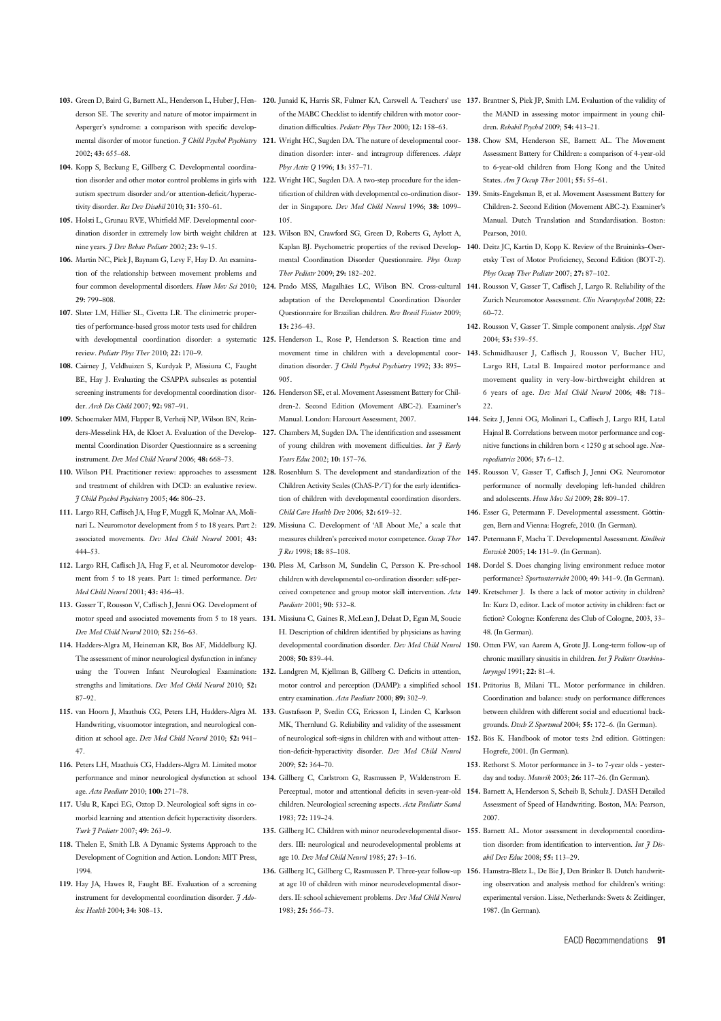- 103. Green D, Baird G, Barnett AL, Henderson L, Huber J, Hen- 120. Junaid K, Harris SR, Fulmer KA, Carswell A. Teachers' use 137. Brantner S, Piek JP, Smith LM. Evaluation of the validity of derson SE. The severity and nature of motor impairment in Asperger's syndrome: a comparison with specific develop-2002; 43: 655–68 .
- 104. Kopp S, Beckung E, Gillberg C. Developmental coordinaautism spectrum disorder and ⁄ or attention-deficit ⁄ hyperactivity disorder. Res Dev Disabil 2010; 31: 3 50–61.
- 105. Holsti L, Grunau RVE, Whitfield MF. Developmental coordination disorder in extremely low birth weight children at 123. Wilson BN, Crawford SG, Green D, Roberts G, Aylott A, nine years. *I Dev Behav Pediatr* 2002: 23: 9–15.
- 106. Martin NC, Piek J, Baynam G, Levy F, Hay D. An examination of the relationship between movement problems and 29: 799–808 .
- 107. Slater LM, Hillier SL, Civetta LR. The clinimetric properties of performance-based gross motor tests used for children review. Pediatr Phys Ther 2010; 22: 170–9.
- 108. Cairney J, Veldhuizen S, Kurdyak P, Missiuna C, Faught BE, Hay J. Evaluating the CSAPPA subscales as potential screening instruments for developmental coordination disor- 126. Henderson SE, et al. Movement Assessment Battery for Childer. Arch Dis Child 2007; 92: 987–91.
- 109. Schoemaker MM, Flapper B, Verheij NP, Wilson BN, Reinmental Coordination Disorder Questionnaire as a screening instrument. Dev Med Child Neurol 2006; 48: 668–73 .
- and treatment of children with DCD: an evaluative review. JChild Psychol Psychiatry 2005; 46: 806–23 .
- 111. Largo RH, Caflisch JA, Hug F, Muggli K, Molnar AA, Moliassociated movements. Dev Med Child Neurol 2001; 43: 444–53 .
- ment from 5 to 18 years. Part 1: timed performance. Dev Med Child Neurol 2001; 43: 436-43.
- 113. Gasser T, Rousson V, Caflisch J, Jenni OG. Development of Dev Med Child Neurol 2010; 52: 256–63 .
- 114. Hadders-Algra M, Heineman KR, Bos AF, Middelburg KJ. The assessment of minor neurological dysfunction in infancy using the Touwen Infant Neurological Examination: 132. Landgren M, Kjellman B, Gillberg C. Deficits in attention, strengths and limitations. Dev Med Child Neurol 2010; 52: 87–92.
- Handwriting, visuomotor integration, and neurological condition at school age. Dev Med Child Neurol 2010; 52: 941– 47.
- 116. Peters LH, Maathuis CG, Hadders-Algra M. Limited motor age. Acta Paediatr 2010; 100: 271–78 .
- 117. Uslu R, Kapci EG, Oztop D. Neurological soft signs in comorbid learning and attention deficit hyperactivity disorders. Turk 7 Pediatr 2007; 49: 263-9.
- 118. Thelen E, Smith LB. A Dynamic Systems Approach to the Development of Cognition and Action. London: MIT Press, 1994.
- 119. Hay JA, Hawes R, Faught BE. Evaluation of a screening instrument for developmental coordination disorder.  $\mathcal{J}$  Adolesc Health 2004; 34: 308-13.
- of the MABC Checklist to identify children with motor coordination difficulties. Pediatr Phys Ther 2000; 12: 158–63 .
- mental disorder of motor function. *J Child Psychol Psychiatry* 121. Wright HC, Sugden DA. The nature of developmental coor- 138. Chow SM, Henderson SE, Barnett AL. The Movement dination disorder: inter- and intragroup differences. Adapt Phys Activ Q 1996; 13: 3 57–71.
- tion disorder and other motor control problems in girls with 122. Wright HC, Sugden DA. A two-step procedure for the idender in Singapore. Dev Med Child Neurol 1996; 38: 1099– 105.
	- mental Coordination Disorder Questionnaire. Phys Occup Ther Pediatr 2009; 29: 182–202.
	- adaptation of the Developmental Coordination Disorder Questionnaire for Brazilian children. Rev Brasil Fisioter 2009;  $13: 236 - 43.$
- with developmental coordination disorder: a systematic 125. Henderson L, Rose P, Henderson S. Reaction time and dination disorder. J Child Psychol Psychiatry 1992; 33: 895-905.
	- dren-2. Second Edition (Movement ABC-2). Examiner's Manual. London: Harcourt Assessment, 2007.
- ders-Messelink HA, de Kloet A. Evaluation of the Develop-127. Chambers M, Sugden DA. The identification and assessment of young children with movement difficulties. Int  $\bar{f}$  Early Years Educ 2002; 10: 157–76.
	- Children Activity Scales (ChAS-P/T) for the early identification of children with developmental coordination disorders. Child Care Health Dev 2006: **32**: 619-32.
- nari L. Neuromotor development from 5 to 18 years. Part 2: 129. Missiuna C. Development of 'All About Me,' a scale that J Res 1998; 18: 85-108.
- 112. Largo RH, Caflisch JA, Hug F, et al. Neuromotor develop-130. Pless M, Carlsson M, Sundelin C, Persson K. Pre-school 148. Dordel S. Does changing living environment reduce motor children with developmental co-ordination disorder: self-per-Paediatr 2001; 90: 532-8.
	- motor speed and associated movements from 5 to 18 years. 131. Missiuna C, Gaines R, McLean J, Delaat D, Egan M, Soucie H. Description of children identified by physicians as having 2008: 50: 839-44.
		- entry examination. Acta Paediatr 2000; 89: 302-9.
- 115. van Hoorn J, Maathuis CG, Peters LH, Hadders-Algra M. 133. Gustafsson P, Svedin CG, Ericsson I, Linden C, Karlsson MK, Thernlund G. Reliability and validity of the assessment tion-deficit-hyperactivity disorder. Dev Med Child Neurol 2009; 52: 3 64–70.
	- performance and minor neurological dysfunction at school 134. Gillberg C, Carlstrom G, Rasmussen P, Waldenstrom E. children. Neurological screening aspects. Acta Paediatr Scand 1983: 72: 119-24.
		- ders. III: neurological and neurodevelopmental problems at age 10. Dev Med Child Neurol 1985; 27: 3 –16.
		- 136. Gillberg IC, Gillberg C, Rasmussen P. Three-year follow-up 156. Hamstra-Bletz L, De Bie J, Den Brinker B. Dutch handwritat age 10 of children with minor neurodevelopmental disorders. II: school achievement problems. Dev Med Child Neurol 1983: 25: 566-73.
- the MAND in assessing motor impairment in young children. Rehabil Psychol 2009; 54: 413-21.
- Assessment Battery for Children: a comparison of 4-year-old to 6-year-old children from Hong Kong and the United States. Am 7 Occup Ther 2001; 55: 55-61.
- tification of children with developmental co-ordination disor-139. Smits-Engelsman B, et al. Movement Assessment Battery for Children-2. Second Edition (Movement ABC-2). Examiner's Manual. Dutch Translation and Standardisation. Boston: Pearson, 2010.
- Kaplan BJ. Psychometric properties of the revised Develop- 140. Deitz JC, Kartin D, Kopp K. Review of the Bruininks-Oseretsky Test of Motor Proficiency, Second Edition (BOT-2). Phys Occup Ther Pediatr 2007; 27: 87–102.
- four common developmental disorders. Hum Mov Sci 2010; 124. Prado MSS, Magalhães LC, Wilson BN. Cross-cultural 141. Rousson V, Gasser T, Caflisch J, Largo R. Reliability of the Zurich Neuromotor Assessment. Clin Neuropsychol 2008; 22: 60–72.
	- 142. Rousson V, Gasser T. Simple component analysis. Appl Stat 2004; 53: 53 9–55.
	- movement time in children with a developmental coor-143. Schmidhauser J, Caflisch J, Rousson V, Bucher HU, Largo RH, Latal B. Impaired motor performance and movement quality in very-low-birthweight children at 6 years of age. Dev Med Child Neurol 2006; 48: 718–  $22.2$ 
		- 144. Seitz J, Jenni OG, Molinari L, Caflisch J, Largo RH, Latal Hajnal B. Correlations between motor performance and cognitive functions in children born < 1250 g at school age. Neuropediatrics 2006; 37: 6–12.
- 110. Wilson PH. Practitioner review: approaches to assessment 128. Rosenblum S. The development and standardization of the 145. Rousson V, Gasser T, Caflisch J, Jenni OG. Neuromotor performance of normally developing left-handed children and adolescents. Hum Mov Sci 2009; 28: 809-17.
	- 146. Esser G. Petermann F. Developmental assessment. Göttingen, Bern and Vienna: Hogrefe, 2010. (In German).
	- measures children's perceived motor competence. Occup Ther 147. Petermann F, Macha T. Developmental Assessment. Kindheit Entwick 2005; 14: 13 1–9. (In German).
		- performance? Sportunterricht 2000; 49: 3 41–9. (In German).
	- ceived competence and group motor skill intervention. Acta 149. Kretschmer J. Is there a lack of motor activity in children? In: Kurz D, editor. Lack of motor activity in children: fact or fiction? Cologne: Konferenz des Club of Cologne, 2003, 33-48. (In German).
	- developmental coordination disorder. Dev Med Child Neurol 150. Otten FW, van Aarem A, Grote JJ. Long-term follow-up of chronic maxillary sinusitis in children. *Int 7 Pediatr Otorhino*laryngol 1991; 22: 81–4.
	- motor control and perception (DAMP): a simplified school 151. Prätorius B, Milani TL. Motor performance in children. Coordination and balance: study on performance differences between children with different social and educational backgrounds. Dtsch Z Sportmed 2004; 55: 172–6. (In German).
	- of neurological soft-signs in children with and without atten- 152. Bös K. Handbook of motor tests 2nd edition. Göttingen: Hogrefe, 2001. (In German).
		- 153. Rethorst S. Motor performance in 3- to 7-year olds yesterday and today. Motorik 2003; 26: 117-26. (In German).
	- Perceptual, motor and attentional deficits in seven-year-old 154. Barnett A, Henderson S, Scheib B, Schulz J. DASH Detailed Assessment of Speed of Handwriting. Boston, MA: Pearson, 2007.
	- 135. Gillberg IC. Children with minor neurodevelopmental disor-155. Barnett AL. Motor assessment in developmental coordination disorder: from identification to intervention. Int  $\mathcal{F}$  Disabil Dev Educ 2008; 55: 113-29.
		- ing observation and analysis method for children's writing: experimental version. Lisse, Netherlands: Swets & Zeitlinger, 1987. (In German).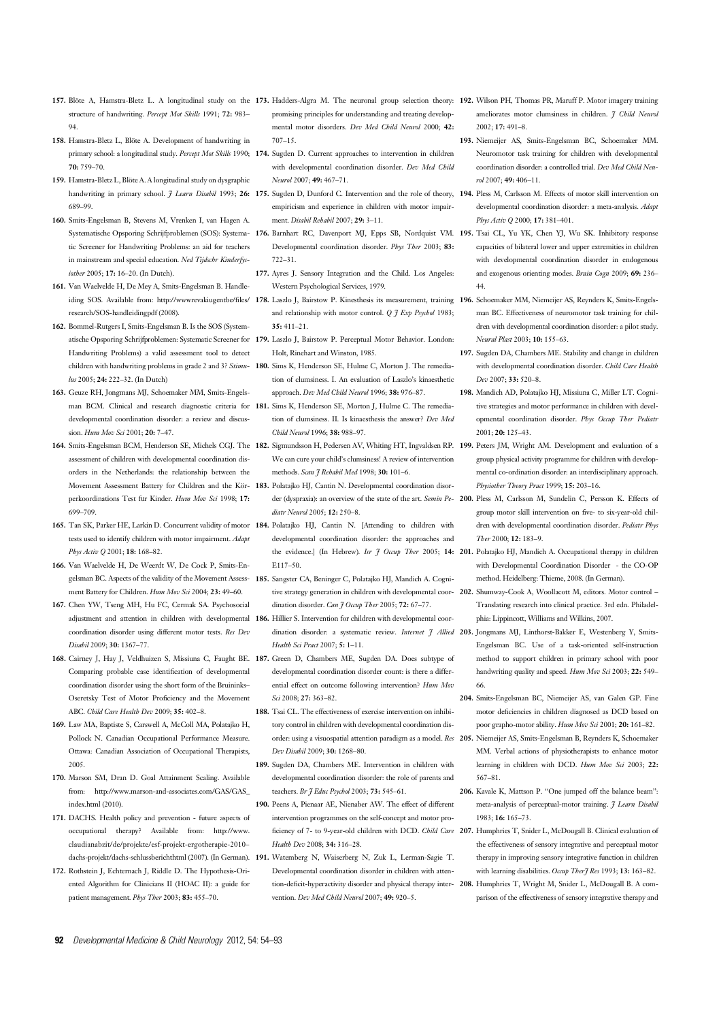- structure of handwriting. Percept Mot Skills 1991: 72: 983-94.
- 158. Hamstra-Bletz L, Blöte A. Development of handwriting in 70: 759–70.
- 159. Hamstra-Bletz L, Blöte A. A longitudinal study on dysgraphic handwriting in primary school. *J Learn Disabil* 1993; 26: 175. Sugden D, Dunford C. Intervention and the role of theory, 194. Pless M, Carlsson M. Effects of motor skill intervention on 680–99
- 160. Smits-Engelsman B, Stevens M, Vrenken I, van Hagen A. Systematische Opsporing Schrijfproblemen (SOS): Systema- 176. Barnhart RC, Davenport MJ, Epps SB, Nordquist VM. 195. Tsai CL, Yu YK, Chen YJ, Wu SK. Inhibitory response tic Screener for Handwriting Problems: an aid for teachers in mainstream and special education. Ned Tijdschr Kinderfysiother 2005; 17: 16–20. (In Dutch).
- 161. Van Waelvelde H, De Mey A, Smits-Engelsman B. Handleresearch/SOS-handleidingpdf (2008 ).
- 162. Bommel-Rutgers I, Smits-Engelsman B. Is the SOS (System-Handwriting Problems) a valid assessment tool to detect children with handwriting problems in grade 2 and 3? Stimu- 180. Sims K, Henderson SE, Hulme C, Morton J. The remedialus 2005: 24: 222-32. (In Dutch)
- 163. Geuze RH, Jongmans MJ, Schoemaker MM, Smits-Engelsman BCM. Clinical and research diagnostic criteria for 181. Sims K, Henderson SE, Morton J, Hulme C. The remediadevelopmental coordination disorder: a review and discussion. Hum Mov Sci 2001; 20: 7–47.
- 164. Smits-Engelsman BCM, Henderson SE, Michels CGJ. The 182. Sigmundsson H, Pedersen AV, Whiting HT, Ingvaldsen RP. 199. Peters JM, Wright AM. Development and evaluation of a assessment of children with developmental coordination disorders in the Netherlands: the relationship between the perkoordinations Test für Kinder. Hum Mov Sci 1998; 17: 699–709.
- tests used to identify children with motor impairment. Adapt Phys Activ Q 2001; 18: 168–82.
- 166. Van Waelvelde H, De Weerdt W, De Cock P, Smits-Engelsman BC. Aspects of the validity of the Movement Assessment Battery for Children. Hum Mov Sci 2004; 23: 49–60.
- 167. Chen YW, Tseng MH, Hu FC, Cermak SA. Psychosocial adjustment and attention in children with developmental 186. Hillier S. Intervention for children with developmental coorcoordination disorder using different motor tests. Res Dev Disabil 2009: 30: 1367-77
- Comparing probable case identification of developmental coordination disorder using the short form of the Bruininks– Oseretsky Test of Motor Proficiency and the Movement ABC. Child Care Health Dev 2009; 35: 402–8 .
- 169. Law MA, Baptiste S, Carswell A, McColl MA, Polatajko H, Pollock N. Canadian Occupational Performance Measure. Ottawa: Canadian Association of Occupational Therapists, 2005.
- 170. Marson SM, Dran D. Goal Attainment Scaling. Available from: http://www.marson-and-associates.com/GAS/GAS\_ index.html (2010).
- 171. DACHS. Health policy and prevention future aspects of occupational therapy? Available from: http://www. claudianabzit/de/projekte/esf-projekt-ergotherapie-2010–
- 172. Rothstein J, Echternach J, Riddle D. The Hypothesis-Oriented Algorithm for Clinicians II (HOAC II): a guide for patient management. Phys Ther 2003; 83: 455-70.
- promising principles for understanding and treating developmental motor disorders. Dev Med Child Neurol 2000; 42: 707–15.
- primary school: a longitudinal study. Percept Mot Skills 1990; 174. Sugden D. Current approaches to intervention in children with developmental coordination disorder. Dev Med Child Neurol 2007; 49: 467–71.
	- empiricism and experience in children with motor impairment. Disabil Rehabil 2007: 29: 3-11.
	- Developmental coordination disorder. Phys Ther 2003: 83: 722–3 1.
	- 177. Ayres J. Sensory Integration and the Child. Los Angeles: Western Psychological Services, 1979.
- iding SOS. Available from: http://wwwrevakiugentbe/files/ 178. Laszlo J, Bairstow P. Kinesthesis its measurement, training 196. Schoemaker MM, Niemeijer AS, Reynders K, Smits-Engelsand relationship with motor control.  $Q \nmid Exp \; Ps$ ychol 1983; 35: 411–21.
- atische Opsporing Schrijfproblemen: Systematic Screener for 179. Laszlo J, Bairstow P. Perceptual Motor Behavior. London: Holt, Rinehart and Winston, 1985.
	- tion of clumsiness. I. An evaluation of Laszlo's kinaesthetic approach. Dev Med Child Neurol 1996; 38: 976–87.
	- tion of clumsiness. II. Is kinaesthesis the answer? Dev Med Child Neurol 1996; 38: 988-97.
	- We can cure your child's clumsiness! A review of intervention methods. Scan 7 Rehabil Med 1998: 30: 101-6.
- Movement Assessment Battery for Children and the Kör- 183. Polatajko HJ, Cantin N. Developmental coordination disordiatr Neurol 2005; **12:** 250-8
- 165. Tan SK, Parker HE, Larkin D. Concurrent validity of motor 184. Polatajko HJ, Cantin N. [Attending to children with developmental coordination disorder: the approaches and E117–50.
	- 185. Sangster CA, Beninger C, Polatajko HJ, Mandich A. Cognidination disorder. Can J Occup Ther 2005; 72: 67-77.
	- Health Sci Pract 2007; 5: 1–11.
- 168. Cairney J, Hay J, Veldhuizen S, Missiuna C, Faught BE. 187. Green D, Chambers ME, Sugden DA. Does subtype of developmental coordination disorder count: is there a differential effect on outcome following intervention? Hum Mov Sci 2008: 27: 363-82.
	- 188. Tsai CL. The effectiveness of exercise intervention on inhibitory control in children with developmental coordination disorder: using a visuospatial attention paradigm as a model. Res 205. Niemeijer AS, Smits-Engelsman B, Reynders K, Schoemaker Dev Disabil 2009; 30: 1268–80.
	- 189. Sugden DA, Chambers ME. Intervention in children with developmental coordination disorder: the role of parents and teachers. Br 7 Educ Psychol 2003; 73: 545-61.
	- 190. Peens A, Pienaar AE, Nienaber AW. The effect of different intervention programmes on the self-concept and motor proficiency of 7- to 9-year-old children with DCD. Child Care 207. Humphries T, Snider L, McDougall B. Clinical evaluation of Health Dev 2008; 34: 316-28.
	- dachs-projekt/dachs-schlussberichthtml (2007). (In German). 191. Watemberg N, Waiserberg N, Zuk L, Lerman-Sagie T. Developmental coordination disorder in children with attenvention. Dev Med Child Neurol 2007; 49: 920-5.
- 157. Blöte A, Hamstra-Bletz L. A longitudinal study on the 173. Hadders-Algra M. The neuronal group selection theory: 192. Wilson PH, Thomas PR, Maruff P. Motor imagery training ameliorates motor clumsiness in children. 7 Child Neurol 2002; 17: 491–8 .
	- 193. Niemeijer AS, Smits-Engelsman BC, Schoemaker MM. Neuromotor task training for children with developmental coordination disorder: a controlled trial. Dev Med Child Neurol 2007; 49: 406–11.
		- developmental coordination disorder: a meta-analysis. Adapt Phys Activ Q 2000; 17: 381-401.
	- capacities of bilateral lower and upper extremities in children with developmental coordination disorder in endogenous and exogenous orienting modes. Brain Cogn 2009; 69: 236– 44.
	- man BC. Effectiveness of neuromotor task training for children with developmental coordination disorder: a pilot study. Neural Plast 2003: 10: 155-63.
	- 197. Sugden DA, Chambers ME. Stability and change in children with developmental coordination disorder. Child Care Health Dev 2007: 33: 520-8.
	- 198. Mandich AD, Polatajko HJ, Missiuna C, Miller LT. Cognitive strategies and motor performance in children with developmental coordination disorder. Phys Occup Ther Pediatr 2001; 20: 125–43 .
	- group physical activity programme for children with developmental co-ordination disorder: an interdisciplinary approach. Physiother Theory Pract 1999; 15: 203-16.
	- der (dyspraxia): an overview of the state of the art. Semin Pe- 200. Pless M, Carlsson M, Sundelin C, Persson K. Effects of group motor skill intervention on five- to six-year-old children with developmental coordination disorder. Pediatr Phys Ther 2000: 12: 183-9.
	- the evidence.] (In Hebrew). Isr J Occup Ther 2005; 14: 201. Polatajko HJ, Mandich A. Occupational therapy in children with Developmental Coordination Disorder - the CO-OP method. Heidelberg: Thieme, 2008. (In German).
	- tive strategy generation in children with developmental coor- 202. Shumway-Cook A, Woollacott M, editors. Motor control -Translating research into clinical practice. 3rd edn. Philadelphia: Lippincott, Williams and Wilkins, 2007.
	- dination disorder: a systematic review. Internet J Allied 203. Jongmans MJ, Linthorst-Bakker E, Westenberg Y, Smits-Engelsman BC. Use of a task-oriented self-instruction method to support children in primary school with poor handwriting quality and speed. Hum Mov Sci 2003; 22: 549-66.
		- 204. Smits-Engelsman BC, Niemeijer AS, van Galen GP. Fine motor deficiencies in children diagnosed as DCD based on poor grapho-motor ability. Hum Mov Sci 2001; 20: 161–82.
			- MM. Verbal actions of physiotherapists to enhance motor learning in children with DCD. Hum Mov Sci 2003; 22: 567–81.
		- 206. Kavale K, Mattson P. ''One jumped off the balance beam'': meta-analysis of perceptual-motor training. *I Learn Disabil*  $1983 \cdot 16: 165 - 73$ 
			- the effectiveness of sensory integrative and perceptual motor therapy in improving sensory integrative function in children with learning disabilities. Occup Ther7 Res 1993; 13: 163-82.
	- tion-deficit-hyperactivity disorder and physical therapy inter- 208. Humphries T, Wright M, Snider L, McDougall B. A comparison of the effectiveness of sensory integrative therapy and